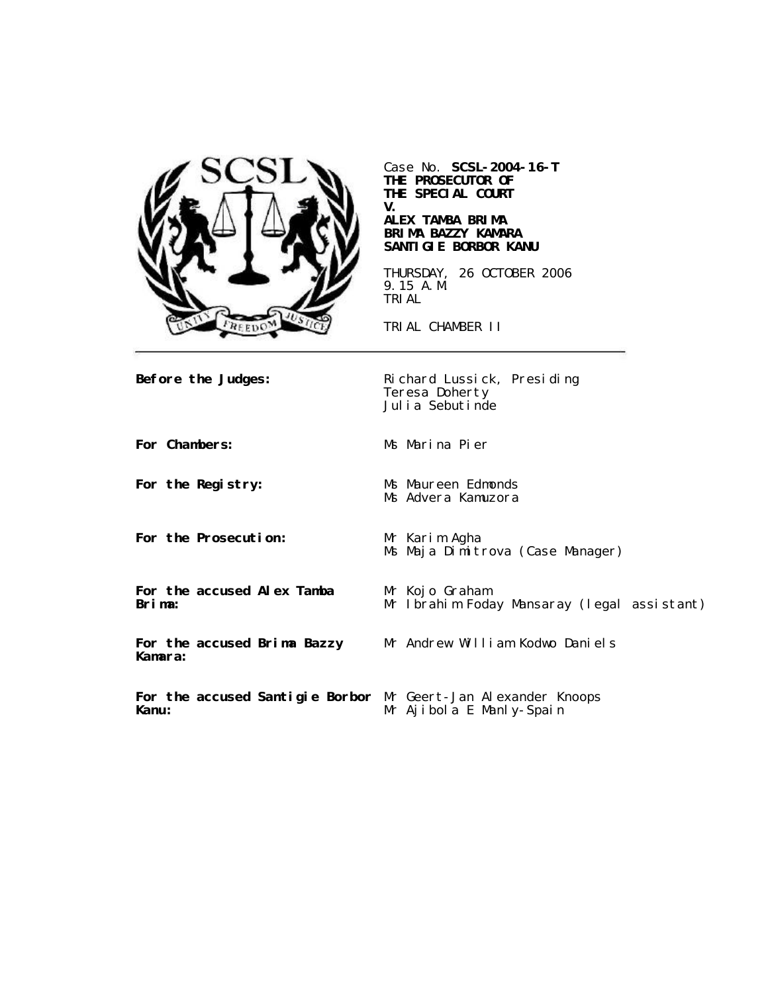

Case No. **SCSL-2004-16-T THE PROSECUTOR OF THE SPECIAL COURT V.**

#### **ALEX TAMBA BRIMA BRIMA BAZZY KAMARA SANTIGIE BORBOR KANU**

THURSDAY, 26 OCTOBER 2006 9.15 A.M. TRIAL

TRIAL CHAMBER II

Ms Advera Kamuzora

**Before the Judges:** Richard Lussick, Presiding Teresa Doherty Julia Sebutinde

**For Chambers:** Ms Marina Pier

**For the Registry:** Ms Maureen Edmonds

**For the Prosecution:** Mr Karim Agha

Ms Maja Dimitrova (Case Manager)

**For the accused Alex Tamba Brima:**

**For the accused Brima Bazzy Kamara:**

Mr Kojo Graham Mr Ibrahim Foday Mansaray (legal assistant)

Mr Andrew William Kodwo Daniels

**For the accused Santigie Borbor** Mr Geert-Jan Alexander Knoops **Kanu:** Mr Ajibola E Manly-Spain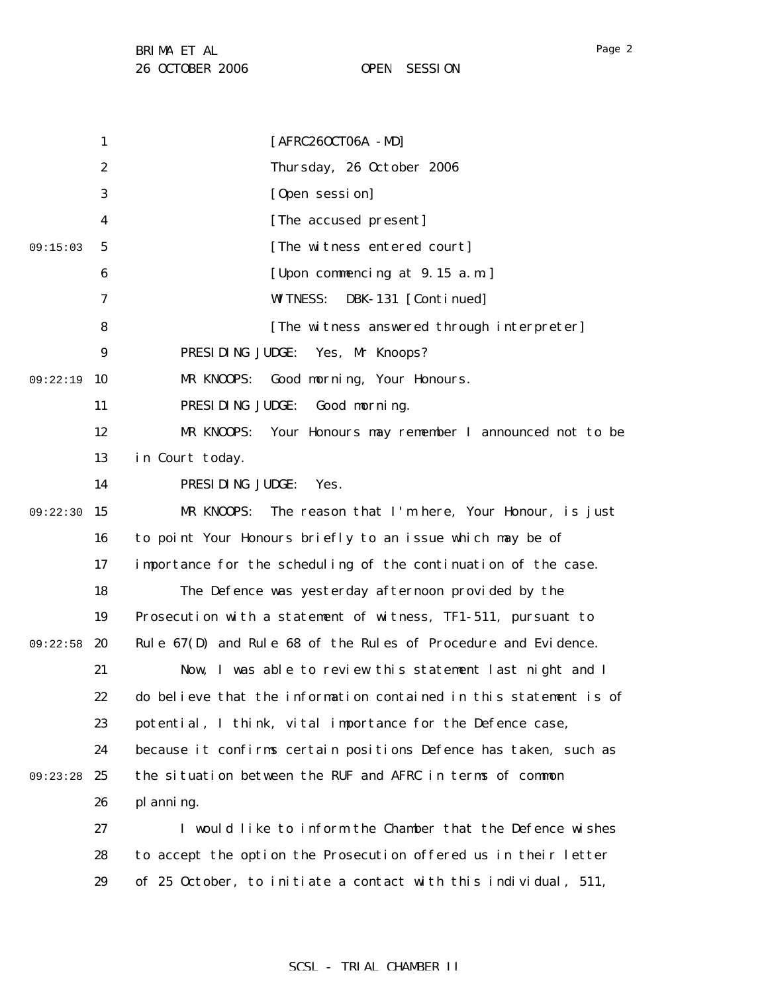1 2 3 4 5 6 7 8 9 09:22:19 10 11 12 13 14 09:22:30 15 16 17 18 19 09:22:58 20 21 22 23 24 09:23:28 25 26 27 28 29 09:15:03 [AFRC26OCT06A -MD] Thursday, 26 October 2006 [Open session] [The accused present] [The witness entered court] [Upon commencing at 9.15 a.m.] WITNESS: DBK-131 [Continued] [The witness answered through interpreter] PRESIDING JUDGE: Yes, Mr Knoops? MR KNOOPS: Good morning, Your Honours. PRESIDING JUDGE: Good morning. MR KNOOPS: Your Honours may remember I announced not to be in Court today. PRESIDING JUDGE: Yes. MR KNOOPS: The reason that I'm here, Your Honour, is just to point Your Honours briefly to an issue which may be of importance for the scheduling of the continuation of the case. The Defence was yesterday afternoon provided by the Prosecution with a statement of witness, TF1-511, pursuant to Rule 67(D) and Rule 68 of the Rules of Procedure and Evidence. Now, I was able to review this statement last night and I do believe that the information contained in this statement is of potential, I think, vital importance for the Defence case, because it confirms certain positions Defence has taken, such as the situation between the RUF and AFRC in terms of common planning. I would like to inform the Chamber that the Defence wishes to accept the option the Prosecution offered us in their letter of 25 October, to initiate a contact with this individual, 511,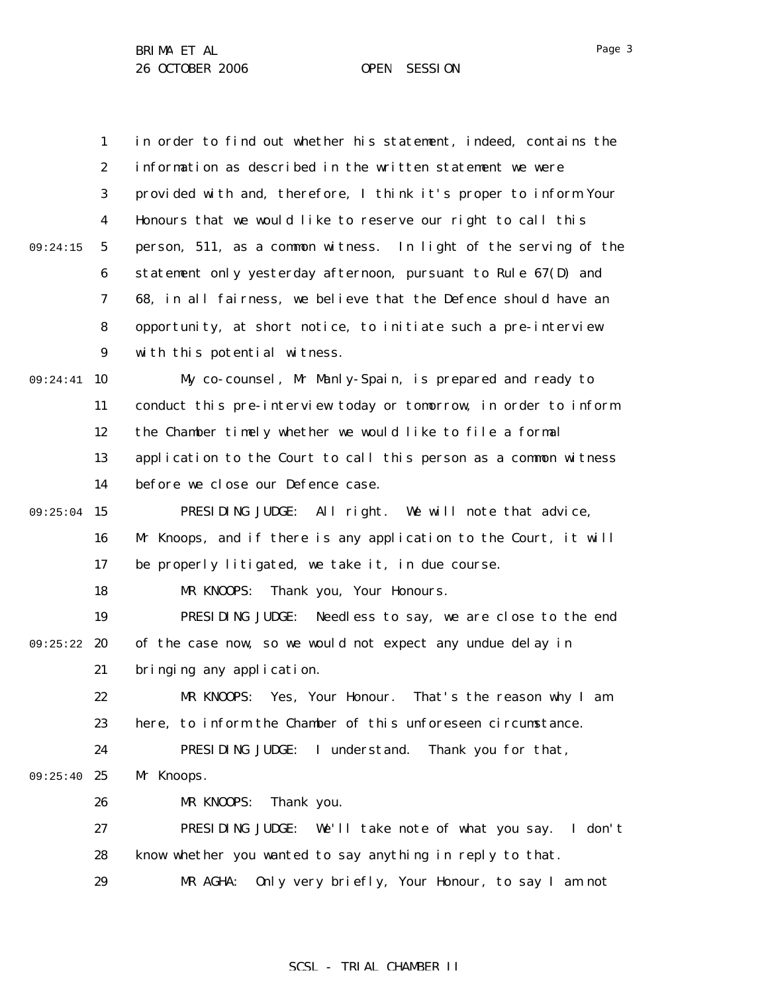1 2 3 4 5 6 7 8 9 09:24:41 10 11 12 13 14 09:25:04 15 16 17 18 19 09:25:22 20 21 22 23 24 09:25:40 25 26 27 28 29 09:24:15 in order to find out whether his statement, indeed, contains the information as described in the written statement we were provided with and, therefore, I think it's proper to inform Your Honours that we would like to reserve our right to call this person, 511, as a common witness. In light of the serving of the statement only yesterday afternoon, pursuant to Rule 67(D) and 68, in all fairness, we believe that the Defence should have an opportunity, at short notice, to initiate such a pre-interview with this potential witness. My co-counsel, Mr Manly-Spain, is prepared and ready to conduct this pre-interview today or tomorrow, in order to inform the Chamber timely whether we would like to file a formal application to the Court to call this person as a common witness before we close our Defence case. PRESIDING JUDGE: All right. We will note that advice, Mr Knoops, and if there is any application to the Court, it will be properly litigated, we take it, in due course. MR KNOOPS: Thank you, Your Honours. PRESIDING JUDGE: Needless to say, we are close to the end of the case now, so we would not expect any undue delay in bringing any application. MR KNOOPS: Yes, Your Honour. That's the reason why I am here, to inform the Chamber of this unforeseen circumstance. PRESIDING JUDGE: I understand. Thank you for that, Mr Knoops. MR KNOOPS: Thank you. PRESIDING JUDGE: We'll take note of what you say. I don't know whether you wanted to say anything in reply to that. MR AGHA: Only very briefly, Your Honour, to say I am not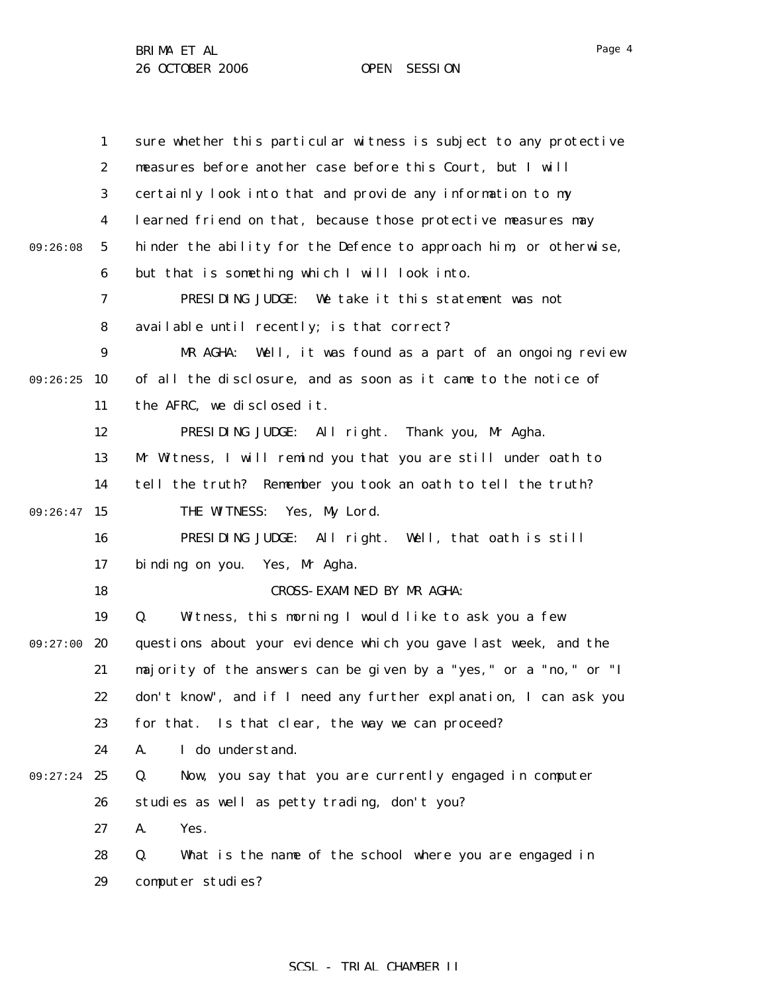|          | $\mathbf{1}$     | sure whether this particular witness is subject to any protective |
|----------|------------------|-------------------------------------------------------------------|
|          | 2                | measures before another case before this Court, but I will        |
|          | 3                | certainly look into that and provide any information to my        |
|          | 4                | learned friend on that, because those protective measures may     |
| 09:26:08 | $\mathbf{5}$     | hinder the ability for the Defence to approach him, or otherwise, |
|          | 6                | but that is something which I will look into.                     |
|          | 7                | PRESIDING JUDGE: We take it this statement was not                |
|          | 8                | available until recently; is that correct?                        |
|          | $\boldsymbol{9}$ | Well, it was found as a part of an ongoing review<br>MR AGHA:     |
| 09:26:25 | 10               | of all the disclosure, and as soon as it came to the notice of    |
|          | 11               | the AFRC, we disclosed it.                                        |
|          | 12               | PRESIDING JUDGE: All right. Thank you, Mr Agha.                   |
|          | 13               | Mr Witness, I will remind you that you are still under oath to    |
|          | 14               | tell the truth? Remember you took an oath to tell the truth?      |
| 09:26:47 | 15               | THE WITNESS: Yes, My Lord.                                        |
|          | 16               | PRESIDING JUDGE: All right. Well, that oath is still              |
|          | 17               | binding on you. Yes, Mr Agha.                                     |
|          | 18               | CROSS-EXAMINED BY MR AGHA:                                        |
|          | 19               | Witness, this morning I would like to ask you a few<br>Q.         |
| 09:27:00 | 20               | questions about your evidence which you gave last week, and the   |
|          | 21               | majority of the answers can be given by a "yes," or a "no," or "I |
|          | 22               | don't know", and if I need any further explanation, I can ask you |
|          | 23               | for that. Is that clear, the way we can proceed?                  |
|          | 24               | I do understand.<br>A.                                            |
| 09:27:24 | 25               | Now, you say that you are currently engaged in computer<br>Q.     |
|          | 26               | studies as well as petty trading, don't you?                      |
|          | 27               | A.<br>Yes.                                                        |
|          | 28               | What is the name of the school where you are engaged in<br>Q.     |
|          | 29               | computer studies?                                                 |

SCSL - TRIAL CHAMBER II

Page 4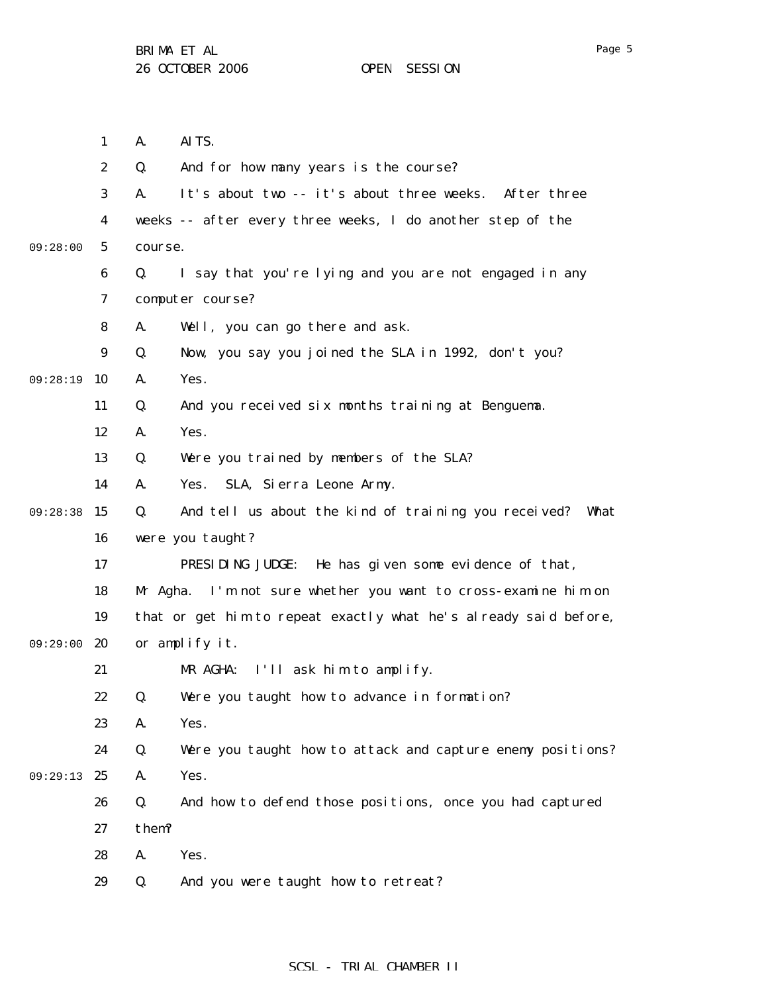1 2 3 4 5 6 7 8 9 09:28:19 10 11 12 13 14 09:28:38 15 16 17 18 19 09:29:00 20 21 22 23 24 09:29:13 25 26 27 28 29 09:28:00 A. AITS. Q. And for how many years is the course? A. It's about two -- it's about three weeks. After three weeks -- after every three weeks, I do another step of the course. Q. I say that you're lying and you are not engaged in any computer course? A. Well, you can go there and ask. Q. Now, you say you joined the SLA in 1992, don't you? A. Yes. Q. And you received six months training at Benguema. A. Yes. Q. Were you trained by members of the SLA? A. Yes. SLA, Sierra Leone Army. Q. And tell us about the kind of training you received? What were you taught? PRESIDING JUDGE: He has given some evidence of that, Mr Agha. I'm not sure whether you want to cross-examine him on that or get him to repeat exactly what he's already said before, or amplify it. MR AGHA: I'll ask him to amplify. Q. Were you taught how to advance in formation? A. Yes. Q. Were you taught how to attack and capture enemy positions? A. Yes. Q. And how to defend those positions, once you had captured them? A. Yes. Q. And you were taught how to retreat?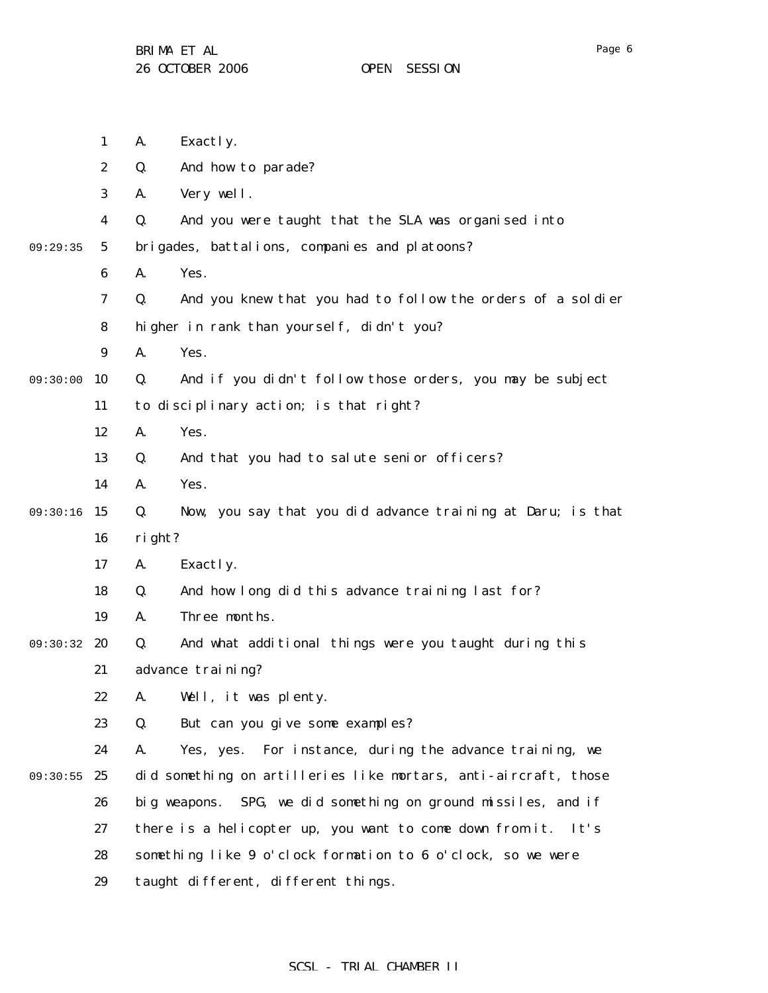1 2 3 4 5 6 7 8 9 09:30:00 10 11 12 13 14 09:30:16 15 16 17 18 19 09:30:32 20 21 22 23 24 09:30:55 25 26 27 28 29 09:29:35 A. Exactly. Q. And how to parade? A. Very well. Q. And you were taught that the SLA was organised into brigades, battalions, companies and platoons? A. Yes. Q. And you knew that you had to follow the orders of a soldier higher in rank than yourself, didn't you? A. Yes. Q. And if you didn't follow those orders, you may be subject to disciplinary action; is that right? A. Yes. Q. And that you had to salute senior officers? A. Yes. Q. Now, you say that you did advance training at Daru; is that right? A. Exactly. Q. And how long did this advance training last for? A. Three months. Q. And what additional things were you taught during this advance training? A. Well, it was plenty. Q. But can you give some examples? A. Yes, yes. For instance, during the advance training, we did something on artilleries like mortars, anti-aircraft, those big weapons. SPG, we did something on ground missiles, and if there is a helicopter up, you want to come down from it. It's something like 9 o'clock formation to 6 o'clock, so we were taught different, different things.

Page 6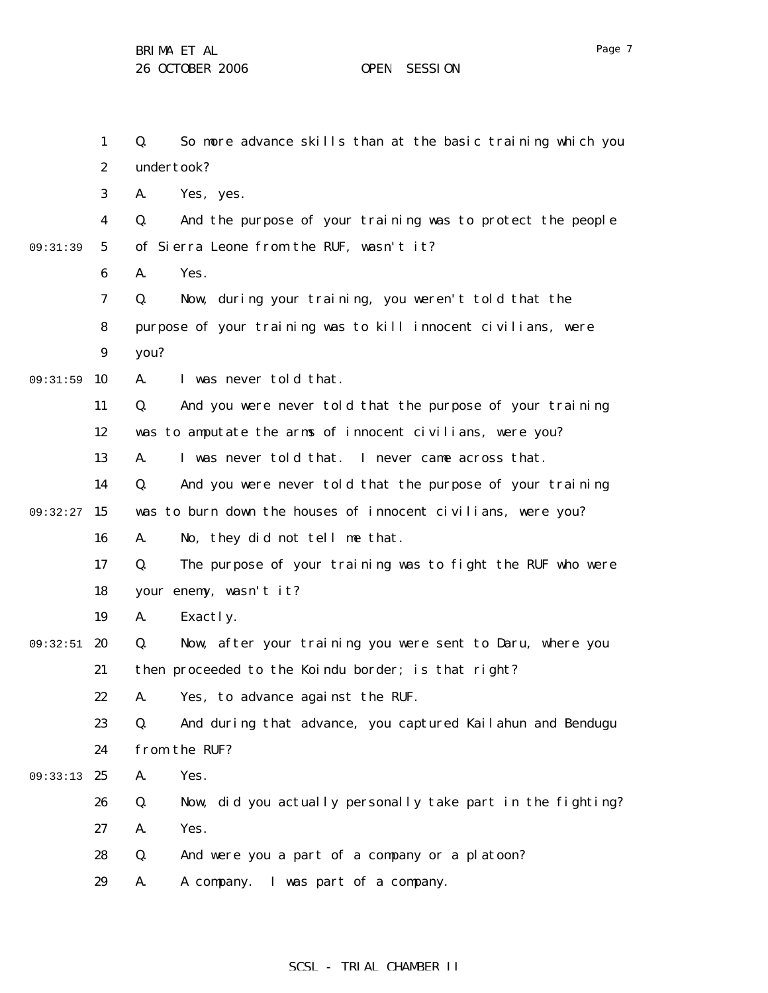1 2 3 4 5 6 7 8 9 09:31:59 10 11 12 13 14 09:32:27 15 16 17 18 19 09:32:51 20 21 22 23 24 09:33:13 25 26 27 28 29 09:31:39 Q. So more advance skills than at the basic training which you undertook? A. Yes, yes. Q. And the purpose of your training was to protect the people of Sierra Leone from the RUF, wasn't it? A. Yes. Q. Now, during your training, you weren't told that the purpose of your training was to kill innocent civilians, were you? A. I was never told that. Q. And you were never told that the purpose of your training was to amputate the arms of innocent civilians, were you? A. I was never told that. I never came across that. Q. And you were never told that the purpose of your training was to burn down the houses of innocent civilians, were you? A. No, they did not tell me that. Q. The purpose of your training was to fight the RUF who were your enemy, wasn't it? A. Exactly. Q. Now, after your training you were sent to Daru, where you then proceeded to the Koindu border; is that right? A. Yes, to advance against the RUF. Q. And during that advance, you captured Kailahun and Bendugu from the RUF? A. Yes. Q. Now, did you actually personally take part in the fighting? A. Yes. Q. And were you a part of a company or a platoon? A. A company. I was part of a company.

Page 7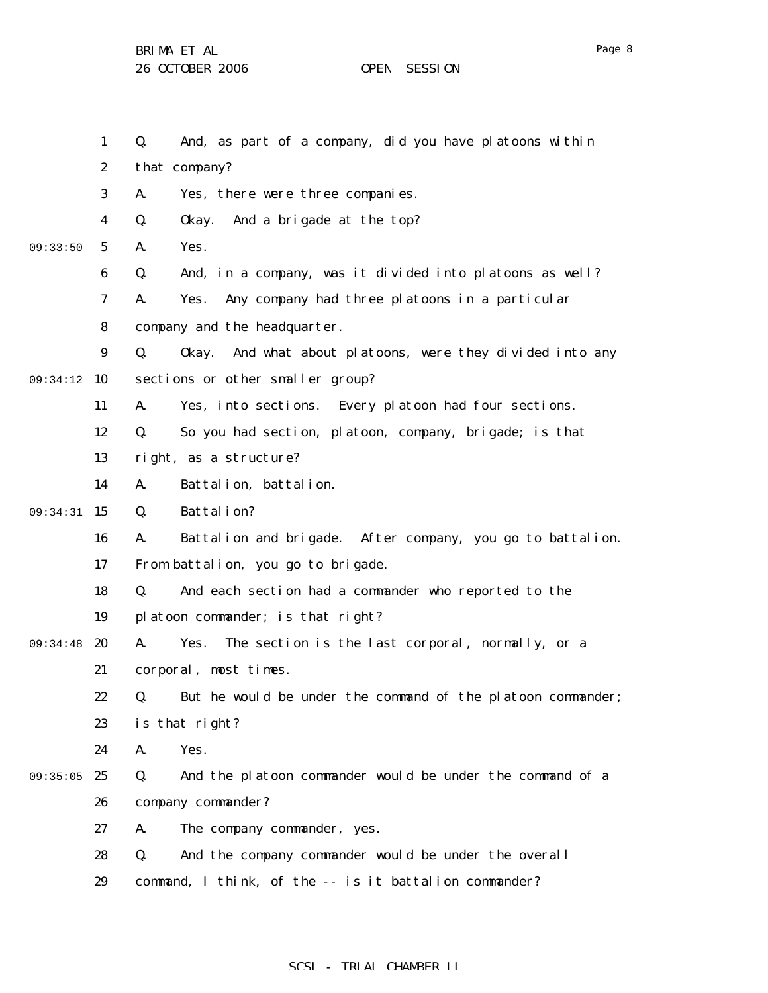BRIMA ET AL

26 OCTOBER 2006 OPEN SESSION

1 2 3 4 5 6 7 8 9 09:34:12 10 11 12 13 14 09:34:31 15 16 17 18 19 09:34:48 20 21 22 23 24 09:35:05 25 26 27 28 29 09:33:50 Q. And, as part of a company, did you have platoons within that company? A. Yes, there were three companies. Q. Okay. And a brigade at the top? A. Yes. Q. And, in a company, was it divided into platoons as well? A. Yes. Any company had three platoons in a particular company and the headquarter. Q. Okay. And what about platoons, were they divided into any sections or other smaller group? A. Yes, into sections. Every platoon had four sections. Q. So you had section, platoon, company, brigade; is that right, as a structure? A. Battalion, battalion. Q. Battalion? A. Battalion and brigade. After company, you go to battalion. From battalion, you go to brigade. Q. And each section had a commander who reported to the platoon commander; is that right? A. Yes. The section is the last corporal, normally, or a corporal, most times. Q. But he would be under the command of the platoon commander; is that right? A. Yes. Q. And the platoon commander would be under the command of a company commander? A. The company commander, yes. Q. And the company commander would be under the overall command, I think, of the -- is it battalion commander?

Page 8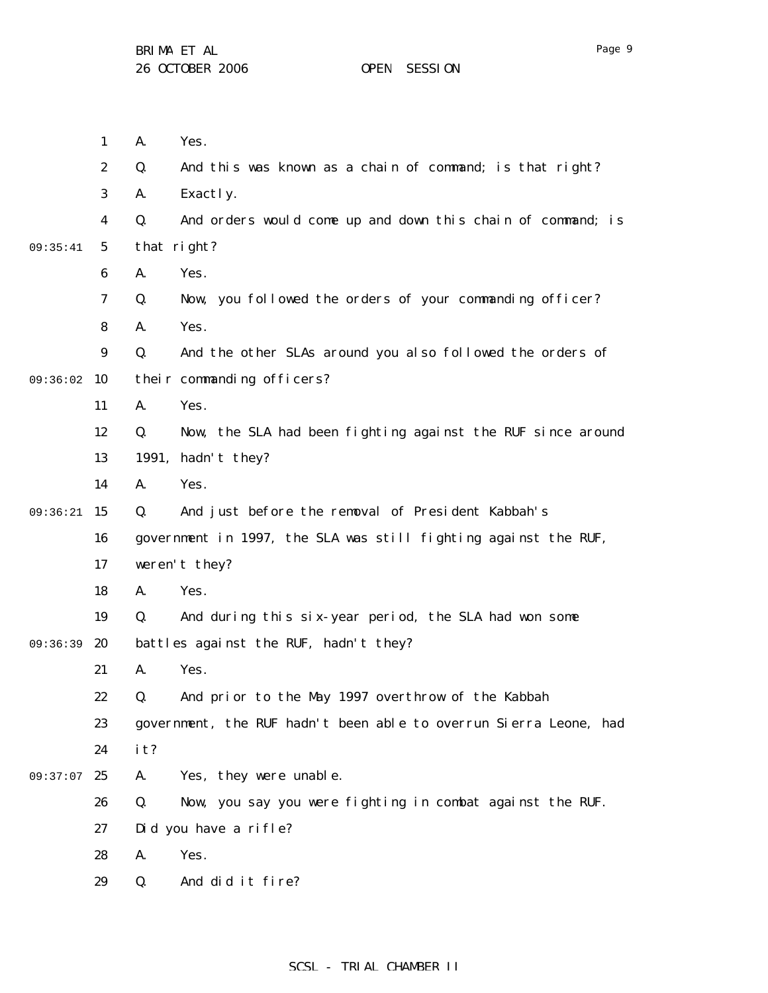|          | $\mathbf{1}$            | A.  | Yes.                                                              |
|----------|-------------------------|-----|-------------------------------------------------------------------|
|          | $\boldsymbol{2}$        | Q.  | And this was known as a chain of command; is that right?          |
|          | 3                       | A.  | Exactly.                                                          |
|          | $\overline{\mathbf{4}}$ | Q.  | And orders would come up and down this chain of command; is       |
| 09:35:41 | $\mathbf{5}$            |     | that right?                                                       |
|          | 6                       | A.  | Yes.                                                              |
|          | 7                       | Q.  | Now, you followed the orders of your commanding officer?          |
|          | 8                       | A.  | Yes.                                                              |
|          | 9                       | Q.  | And the other SLAs around you also followed the orders of         |
| 09:36:02 | 10                      |     | their commanding officers?                                        |
|          | 11                      | A.  | Yes.                                                              |
|          | 12                      | Q.  | Now, the SLA had been fighting against the RUF since around       |
|          | 13                      |     | 1991, hadn't they?                                                |
|          | 14                      | A.  | Yes.                                                              |
| 09:36:21 | 15                      | Q.  | And just before the removal of President Kabbah's                 |
|          | 16                      |     | government in 1997, the SLA was still fighting against the RUF,   |
|          | 17                      |     | weren't they?                                                     |
|          | 18                      | A.  | Yes.                                                              |
|          | 19                      | Q.  | And during this six-year period, the SLA had won some             |
| 09:36:39 | 20                      |     | battles against the RUF, hadn't they?                             |
|          | 21                      | A.  | Yes.                                                              |
|          | 22                      | O.  | And prior to the May 1997 overthrow of the Kabbah                 |
|          | 23                      |     | government, the RUF hadn't been able to overrun Sierra Leone, had |
|          | 24                      | it? |                                                                   |
| 09:37:07 | 25                      | A.  | Yes, they were unable.                                            |
|          | 26                      | Q.  | Now, you say you were fighting in combat against the RUF.         |
|          | 27                      |     | Did you have a rifle?                                             |
|          | 28                      | A.  | Yes.                                                              |
|          | 29                      | Q.  | And did it fire?                                                  |
|          |                         |     |                                                                   |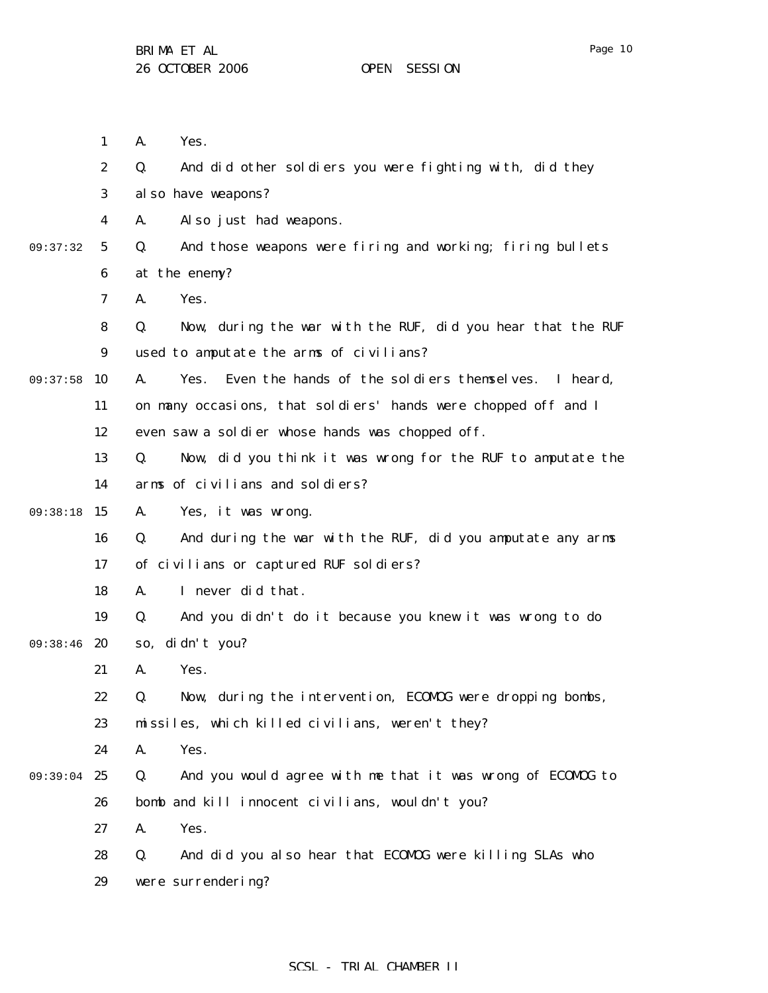|          | $\mathbf{1}$     | A.<br>Yes.                                                        |
|----------|------------------|-------------------------------------------------------------------|
|          | $\boldsymbol{2}$ | And did other soldiers you were fighting with, did they<br>Q.     |
|          | 3                | al so have weapons?                                               |
|          | 4                | Also just had weapons.<br>A.                                      |
| 09:37:32 | $\mathbf{5}$     | And those weapons were firing and working; firing bullets<br>Q.   |
|          | 6                | at the enemy?                                                     |
|          | 7                | Yes.<br>A.                                                        |
|          | 8                | Now, during the war with the RUF, did you hear that the RUF<br>Q. |
|          | $\boldsymbol{9}$ | used to amputate the arms of civilians?                           |
| 09:37:58 | 10               | Even the hands of the soldiers themselves. I heard,<br>A.<br>Yes. |
|          | 11               | on many occasions, that soldiers' hands were chopped off and I    |
|          | 12               | even saw a soldier whose hands was chopped off.                   |
|          | 13               | Now, did you think it was wrong for the RUF to amputate the<br>Q. |
|          | 14               | arms of civilians and soldiers?                                   |
| 09:38:18 | 15               | Yes, it was wrong.<br>A.                                          |
|          | 16               | And during the war with the RUF, did you amputate any arms<br>Q.  |
|          | 17               | of civilians or captured RUF soldiers?                            |
|          | 18               | I never did that.<br>A.                                           |
|          | 19               | And you didn't do it because you knew it was wrong to do<br>Q.    |
| 09:38:46 | 20               | di dn't you?<br>S0,                                               |
|          | 21               | Yes.<br>A.                                                        |
|          | 22               | Now, during the intervention, ECOMOG were dropping bombs,<br>Q.   |
|          | 23               | missiles, which killed civilians, weren't they?                   |
|          | 24               | A.<br>Yes.                                                        |
| 09:39:04 | 25               | And you would agree with me that it was wrong of ECOMDG to<br>Q.  |
|          | 26               | bomb and kill innocent civilians, wouldn't you?                   |
|          | 27               | Yes.<br>A.                                                        |
|          | 28               | And did you also hear that ECOMDG were killing SLAs who<br>Q.     |
|          | 29               | were surrendering?                                                |
|          |                  |                                                                   |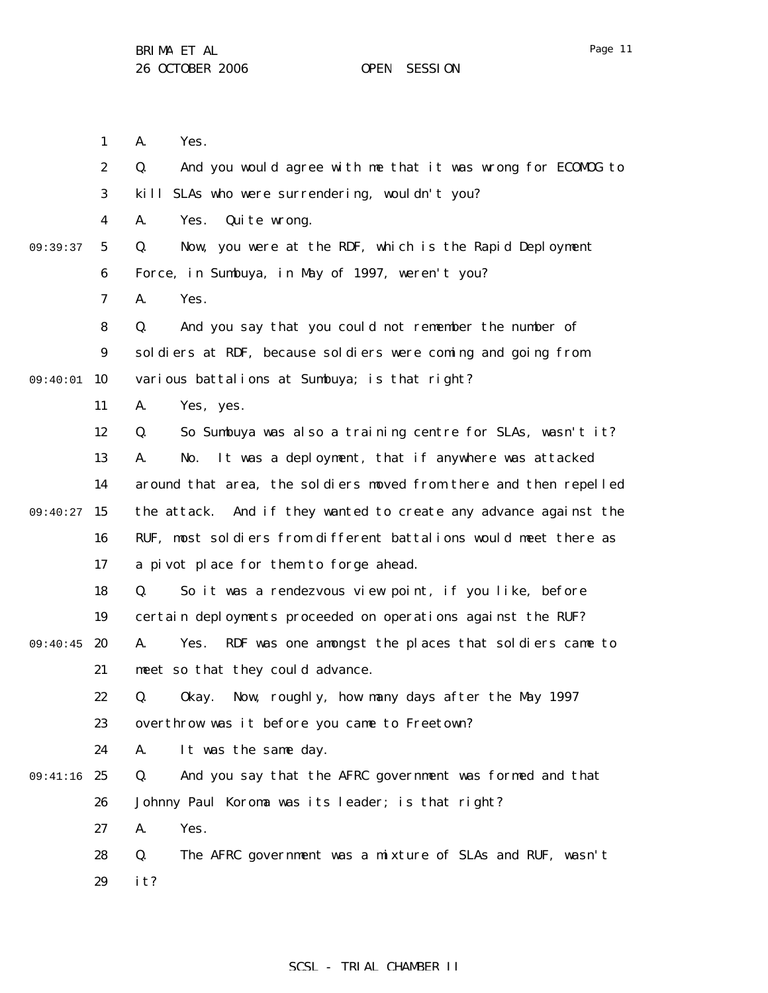1 2 3 4 5 6 7 8 9 09:40:01 10 11 12 13 14 09:40:27 15 16 17 18 19 09:40:45 20 21 22 23 24 09:41:16 25 26 27 28 09:39:37 A. Yes. Q. And you would agree with me that it was wrong for ECOMOG to kill SLAs who were surrendering, wouldn't you? A. Yes. Quite wrong. Q. Now, you were at the RDF, which is the Rapid Deployment Force, in Sumbuya, in May of 1997, weren't you? A. Yes. Q. And you say that you could not remember the number of soldiers at RDF, because soldiers were coming and going from various battalions at Sumbuya; is that right? A. Yes, yes. Q. So Sumbuya was also a training centre for SLAs, wasn't it? A. No. It was a deployment, that if anywhere was attacked around that area, the soldiers moved from there and then repelled the attack. And if they wanted to create any advance against the RUF, most soldiers from different battalions would meet there as a pivot place for them to forge ahead. Q. So it was a rendezvous view point, if you like, before certain deployments proceeded on operations against the RUF? A. Yes. RDF was one amongst the places that soldiers came to meet so that they could advance. Q. Okay. Now, roughly, how many days after the May 1997 overthrow was it before you came to Freetown? A. It was the same day. Q. And you say that the AFRC government was formed and that Johnny Paul Koroma was its leader; is that right? A. Yes. Q. The AFRC government was a mixture of SLAs and RUF, wasn't

> 29 it?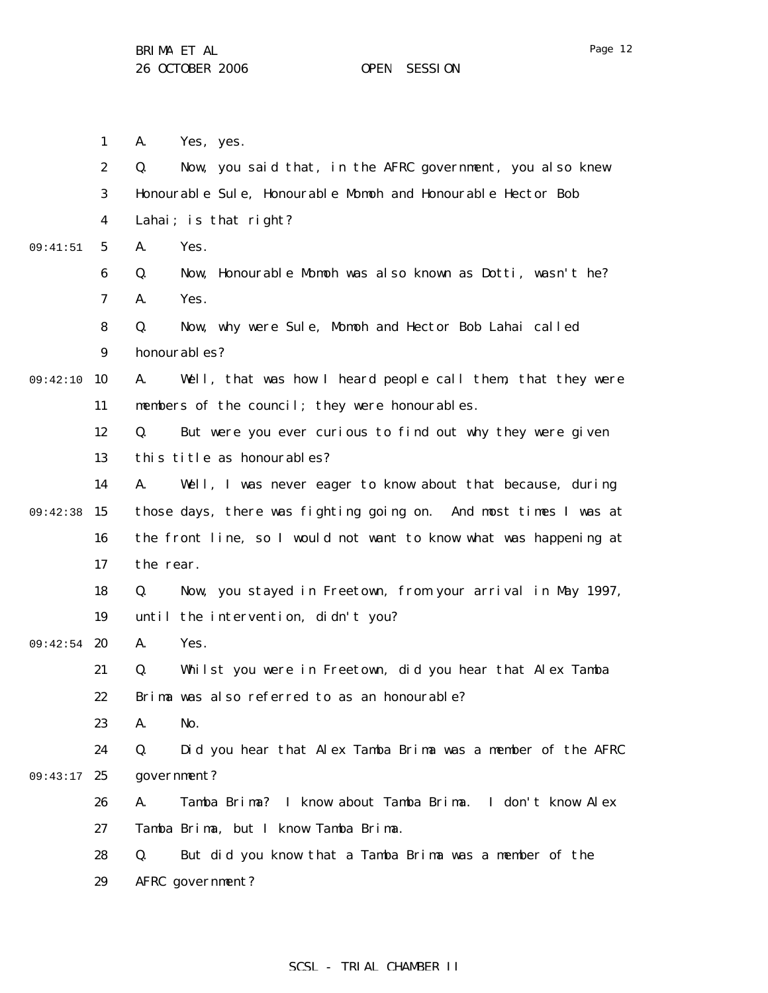|          | $\mathbf{1}$     | Yes, yes.<br>A.                                                   |
|----------|------------------|-------------------------------------------------------------------|
|          | $\boldsymbol{2}$ | Now, you said that, in the AFRC government, you also knew<br>Q.   |
|          | $\boldsymbol{3}$ | Honourable Sule, Honourable Momoh and Honourable Hector Bob       |
|          | 4                | Lahai; is that right?                                             |
| 09:41:51 | $5\overline{ }$  | A.<br>Yes.                                                        |
|          | 6                | Now, Honourable Momoh was also known as Dotti, wasn't he?<br>Q.   |
|          | 7                | Yes.<br>A.                                                        |
|          | 8                | Now, why were Sule, Momoh and Hector Bob Lahai called<br>Q.       |
|          | $\boldsymbol{9}$ | honourables?                                                      |
| 09:42:10 | 10               | A.<br>Well, that was how I heard people call them, that they were |
|          | 11               | members of the council; they were honourables.                    |
|          | 12               | But were you ever curious to find out why they were given<br>Q.   |
|          | 13               | this title as honourables?                                        |
|          | 14               | A.<br>Well, I was never eager to know about that because, during  |
| 09:42:38 | 15               | those days, there was fighting going on. And most times I was at  |
|          | 16               | the front line, so I would not want to know what was happening at |
|          | 17               | the rear.                                                         |
|          | 18               | Now, you stayed in Freetown, from your arrival in May 1997,<br>Q. |
|          | 19               | until the intervention, didn't you?                               |
| 09:42:54 | 20               | Yes.<br>A.                                                        |
|          | 21               | Whilst you were in Freetown, did you hear that Alex Tamba<br>Q.   |
|          | 22               | Brima was also referred to as an honourable?                      |
|          | 23               | A.<br>No.                                                         |
|          | 24               | Did you hear that Alex Tamba Brima was a member of the AFRC<br>Q. |
| 09:43:17 | 25               | government?                                                       |
|          | 26               | Tamba Brima? I know about Tamba Brima. I don't know Alex<br>A.    |
|          | 27               | Tamba Brima, but I know Tamba Brima.                              |
|          | 28               | Q.<br>But did you know that a Tamba Brima was a member of the     |
|          | 29               | AFRC government?                                                  |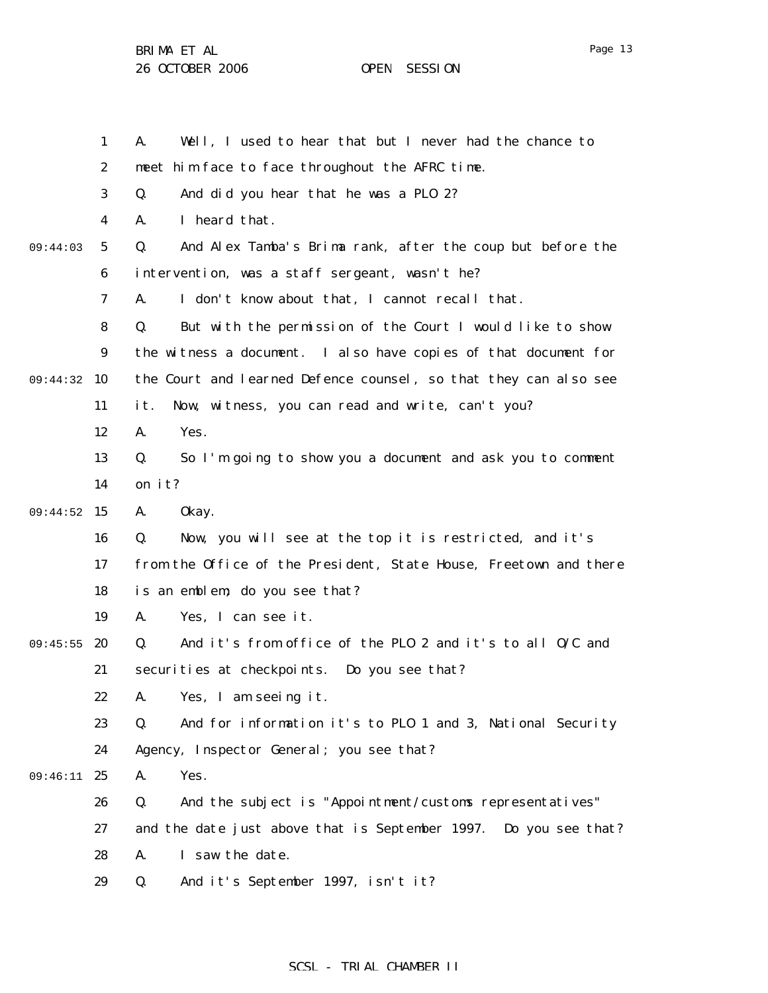1 2 3 4 5 6 7 8 9 09:44:32 10 11 12 13 14 09:44:52 15 16 17 18 19 09:45:55 20 21 22 23 24 09:46:11 25 26 27 28 29 09:44:03 A. Well, I used to hear that but I never had the chance to meet him face to face throughout the AFRC time. Q. And did you hear that he was a PLO 2? A. I heard that. Q. And Alex Tamba's Brima rank, after the coup but before the intervention, was a staff sergeant, wasn't he? A. I don't know about that, I cannot recall that. Q. But with the permission of the Court I would like to show the witness a document. I also have copies of that document for the Court and learned Defence counsel, so that they can also see it. Now, witness, you can read and write, can't you? A. Yes. Q. So I'm going to show you a document and ask you to comment on it? A. Okay. Q. Now, you will see at the top it is restricted, and it's from the Office of the President, State House, Freetown and there is an emblem; do you see that? A. Yes, I can see it. Q. And it's from office of the PLO 2 and it's to all O/C and securities at checkpoints. Do you see that? A. Yes, I am seeing it. Q. And for information it's to PLO 1 and 3, National Security Agency, Inspector General; you see that? A. Yes. Q. And the subject is "Appointment/customs representatives" and the date just above that is September 1997. Do you see that? A. I saw the date. Q. And it's September 1997, isn't it?

## SCSL - TRIAL CHAMBER II

Page 13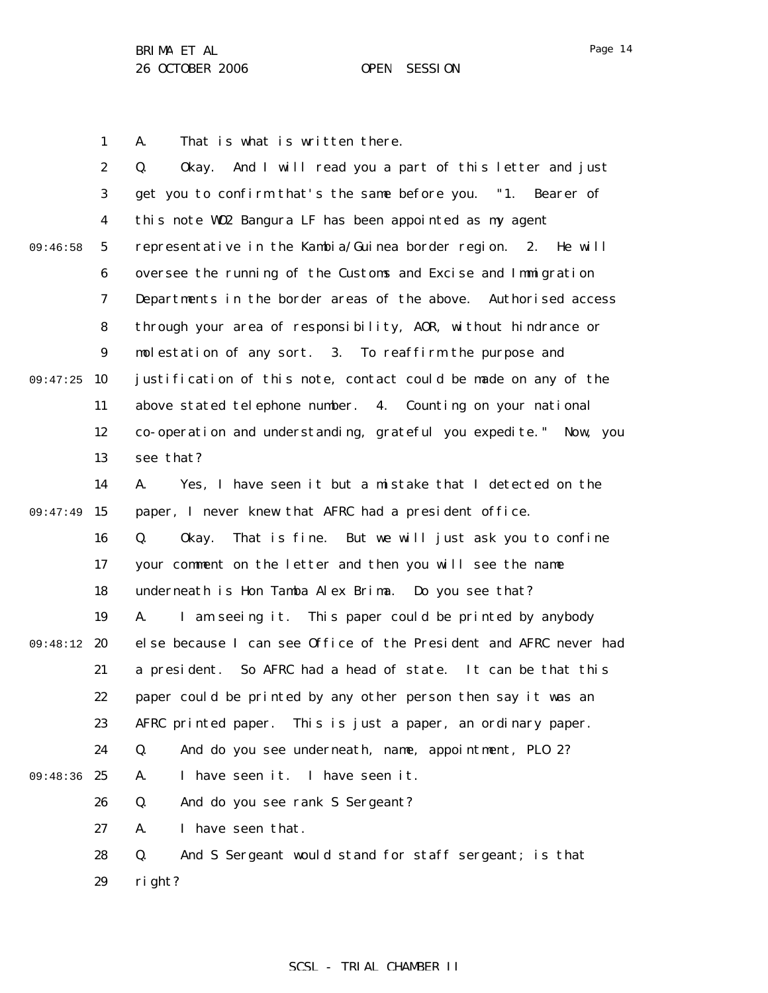1 A. That is what is written there.

|          | $\boldsymbol{2}$ | And I will read you a part of this letter and just<br>Q.<br>0kay. |
|----------|------------------|-------------------------------------------------------------------|
|          | 3                | get you to confirm that's the same before you. "1. Bearer of      |
|          | $\boldsymbol{4}$ | this note W02 Bangura LF has been appointed as my agent           |
| 09:46:58 | $\mathbf{5}$     | representative in the Kambia/Guinea border region. 2. He will     |
|          | $\boldsymbol{6}$ | oversee the running of the Customs and Excise and Immigration     |
|          | 7                | Departments in the border areas of the above. Authorised access   |
|          | 8                | through your area of responsibility, AOR, without hindrance or    |
|          | $\boldsymbol{9}$ | molestation of any sort. 3. To reaffirm the purpose and           |
| 09:47:25 | 10               | justification of this note, contact could be made on any of the   |
|          | 11               | above stated telephone number. 4. Counting on your national       |
|          | 12               | co-operation and understanding, grateful you expedite." Now, you  |
|          | 13               | see that?                                                         |
|          | 14               | Yes, I have seen it but a mistake that I detected on the<br>A.    |
| 09:47:49 | 15               | paper, I never knew that AFRC had a president office.             |
|          | 16               | Q.<br>That is fine. But we will just ask you to confine<br>0kay.  |
|          | 17               | your comment on the letter and then you will see the name         |
|          | 18               | underneath is Hon Tamba Alex Brima. Do you see that?              |
|          | 19               | I am seeing it. This paper could be printed by anybody<br>A.      |
| 09:48:12 | 20               | else because I can see Office of the President and AFRC never had |
|          | 21               | a president. So AFRC had a head of state. It can be that this     |
|          | 22               | paper could be printed by any other person then say it was an     |
|          | 23               | AFRC printed paper. This is just a paper, an ordinary paper.      |
|          | 24               | And do you see underneath, name, appointment, PLO 2?<br>Q.        |
| 09:48:36 | 25               | I have seen it.<br>I have seen it.<br>A.                          |
|          | 26               | Q.<br>And do you see rank S Sergeant?                             |
|          | 27               | A.<br>I have seen that.                                           |
|          | 28               | And S Sergeant would stand for staff sergeant; is that<br>Q.      |
|          | 29               | right?                                                            |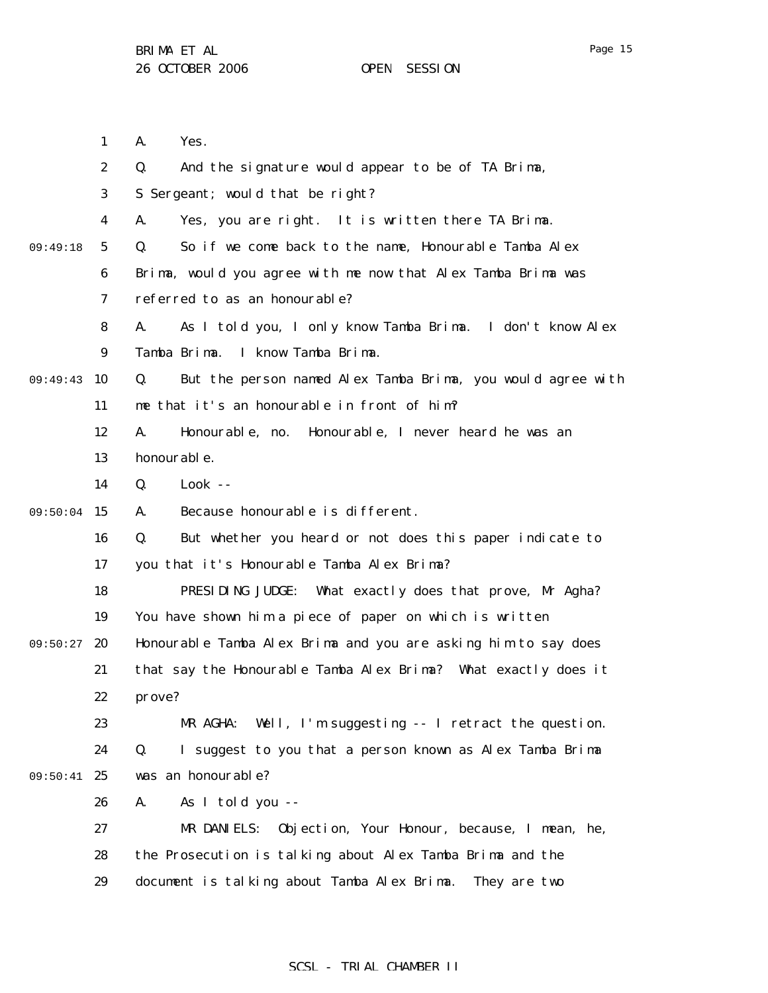1 2 3 4 5 6 7 8 9 09:49:43 10 11 12 13 14 09:50:04 15 16 17 18 19 09:50:27 20 21 22 23 24 09:50:41 25 26 27 28 29 09:49:18 A. Yes. Q. And the signature would appear to be of TA Brima, S Sergeant; would that be right? A. Yes, you are right. It is written there TA Brima. Q. So if we come back to the name, Honourable Tamba Alex Brima, would you agree with me now that Alex Tamba Brima was referred to as an honourable? A. As I told you, I only know Tamba Brima. I don't know Alex Tamba Brima. I know Tamba Brima. Q. But the person named Alex Tamba Brima, you would agree with me that it's an honourable in front of him? A. Honourable, no. Honourable, I never heard he was an honourable. Q. Look -- A. Because honourable is different. Q. But whether you heard or not does this paper indicate to you that it's Honourable Tamba Alex Brima? PRESIDING JUDGE: What exactly does that prove, Mr Agha? You have shown him a piece of paper on which is written Honourable Tamba Alex Brima and you are asking him to say does that say the Honourable Tamba Alex Brima? What exactly does it prove? MR AGHA: Well, I'm suggesting -- I retract the question. Q. I suggest to you that a person known as Alex Tamba Brima was an honourable? A. As I told you -- MR DANIELS: Objection, Your Honour, because, I mean, he, the Prosecution is talking about Alex Tamba Brima and the document is talking about Tamba Alex Brima. They are two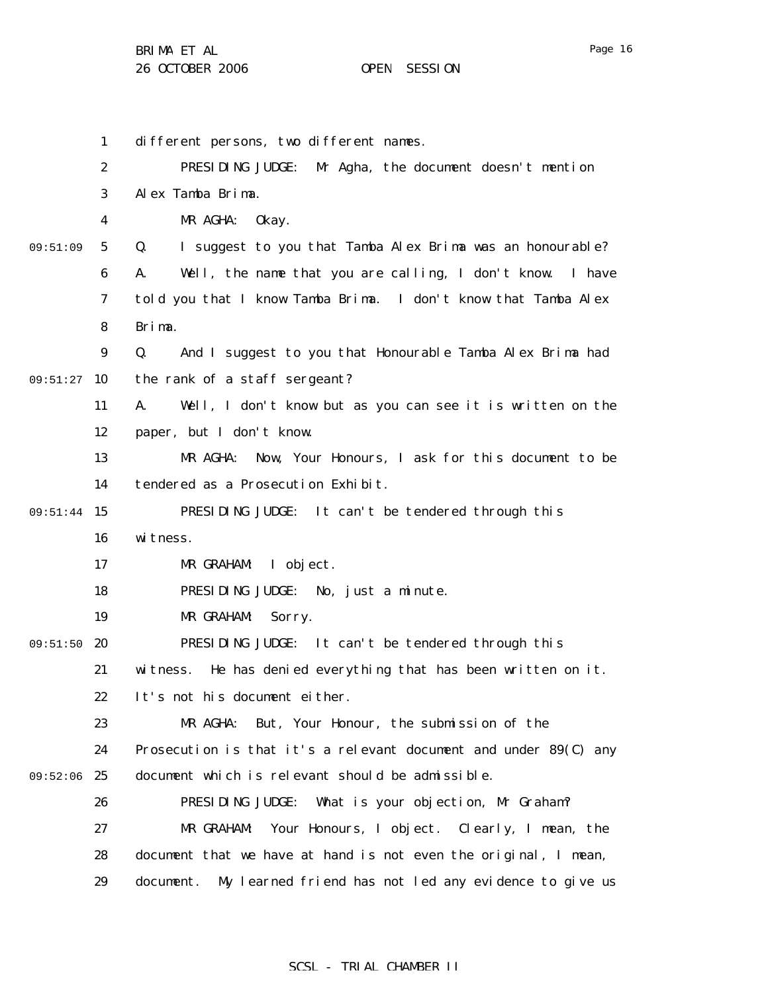BRIMA ET AL

|          | $\mathbf{1}$     | different persons, two different names.                            |
|----------|------------------|--------------------------------------------------------------------|
|          | $\boldsymbol{2}$ | PRESIDING JUDGE:<br>Mr Agha, the document doesn't mention          |
|          | 3                | Alex Tamba Brima.                                                  |
|          | 4                | MR AGHA:<br>0kay.                                                  |
| 09:51:09 | $\sqrt{5}$       | Q.<br>I suggest to you that Tamba Alex Brima was an honourable?    |
|          | 6                | Well, the name that you are calling, I don't know.<br>I have<br>A. |
|          | 7                | told you that I know Tamba Brima. I don't know that Tamba Alex     |
|          | 8                | Brima.                                                             |
|          | 9                | And I suggest to you that Honourable Tamba Alex Brima had<br>Q.    |
| 09:51:27 | 10               | the rank of a staff sergeant?                                      |
|          | 11               | Well, I don't know but as you can see it is written on the<br>A.   |
|          | 12               | paper, but I don't know.                                           |
|          | 13               | MR AGHA:<br>Now, Your Honours, I ask for this document to be       |
|          | 14               | tendered as a Prosecution Exhibit.                                 |
| 09:51:44 | 15               | PRESIDING JUDGE:<br>It can't be tendered through this              |
|          | 16               | witness.                                                           |
|          | 17               | MR GRAHAM:<br>I object.                                            |
|          | 18               | PRESIDING JUDGE: No, just a minute.                                |
|          | 19               | MR GRAHAM:<br>Sorry.                                               |
| 09:51:50 | <b>20</b>        | PRESIDING JUDGE: It can't be tendered through this                 |
|          | 21               | He has denied everything that has been written on it.<br>witness.  |
|          | 22               | It's not his document either.                                      |
|          | 23               | But, Your Honour, the submission of the<br>MR AGHA:                |
|          | 24               | Prosecution is that it's a relevant document and under 89(C) any   |
| 09:52:06 | 25               | document which is relevant should be admissible.                   |
|          | 26               | PRESIDING JUDGE:<br>What is your objection, Mr Graham?             |
|          | 27               | MR GRAHAM:<br>Your Honours, I object.<br>Clearly, I mean, the      |
|          | 28               | document that we have at hand is not even the original, I mean,    |
|          | 29               | My learned friend has not led any evidence to give us<br>document. |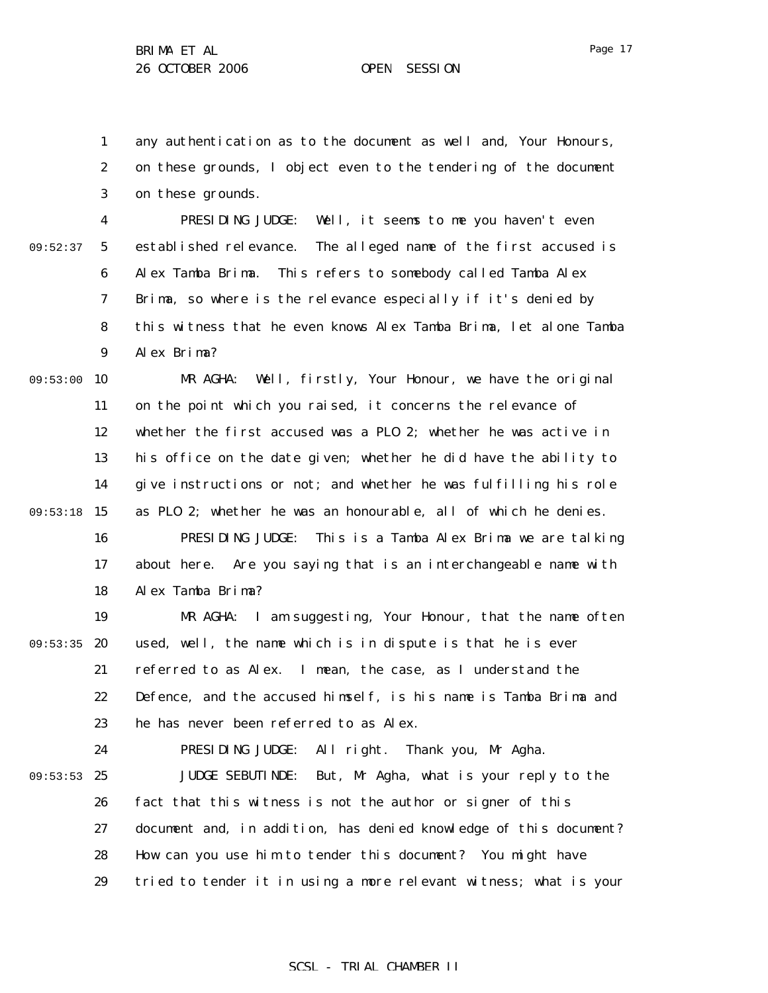1 2 3 any authentication as to the document as well and, Your Honours, on these grounds, I object even to the tendering of the document on these grounds.

4 5 6 7 8 9 09:52:37 PRESIDING JUDGE: Well, it seems to me you haven't even established relevance. The alleged name of the first accused is Alex Tamba Brima. This refers to somebody called Tamba Alex Brima, so where is the relevance especially if it's denied by this witness that he even knows Alex Tamba Brima, let alone Tamba Alex Brima?

09:53:00 10 11 12 13 14 09:53:18 15 16 17 MR AGHA: Well, firstly, Your Honour, we have the original on the point which you raised, it concerns the relevance of whether the first accused was a PLO 2; whether he was active in his office on the date given; whether he did have the ability to give instructions or not; and whether he was fulfilling his role as PLO 2; whether he was an honourable, all of which he denies. PRESIDING JUDGE: This is a Tamba Alex Brima we are talking about here. Are you saying that is an interchangeable name with

> 18 Alex Tamba Brima?

19 09:53:35 20 21 22 23 MR AGHA: I am suggesting, Your Honour, that the name often used, well, the name which is in dispute is that he is ever referred to as Alex. I mean, the case, as I understand the Defence, and the accused himself, is his name is Tamba Brima and he has never been referred to as Alex.

24 09:53:53 25 26 27 28 29 PRESIDING JUDGE: All right. Thank you, Mr Agha. JUDGE SEBUTINDE: But, Mr Agha, what is your reply to the fact that this witness is not the author or signer of this document and, in addition, has denied knowledge of this document? How can you use him to tender this document? You might have tried to tender it in using a more relevant witness; what is your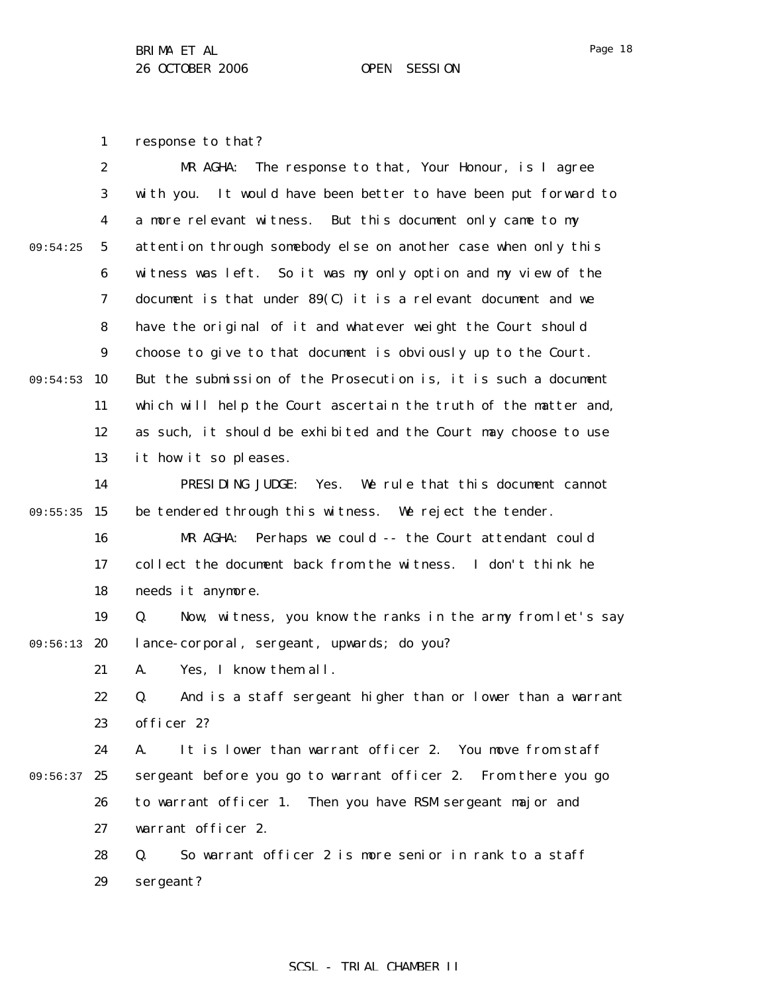1 response to that?

|          | $\boldsymbol{2}$ | MR AGHA:<br>The response to that, Your Honour, is I agree          |
|----------|------------------|--------------------------------------------------------------------|
|          | 3                | It would have been better to have been put forward to<br>with you. |
|          | 4                | a more relevant witness. But this document only came to my         |
| 09:54:25 | $\mathbf{5}$     | attention through somebody else on another case when only this     |
|          | 6                | witness was left. So it was my only option and my view of the      |
|          | 7                | document is that under $89(C)$ it is a relevant document and we    |
|          | 8                | have the original of it and whatever weight the Court should       |
|          | $\boldsymbol{9}$ | choose to give to that document is obviously up to the Court.      |
| 09:54:53 | 10               | But the submission of the Prosecution is, it is such a document    |
|          | 11               | which will help the Court ascertain the truth of the matter and,   |
|          | 12               | as such, it should be exhibited and the Court may choose to use    |
|          | 13               | it how it so pleases.                                              |
|          | 14               | PRESIDING JUDGE:<br>Yes. We rule that this document cannot         |
| 09:55:35 | 15               | be tendered through this witness. We reject the tender.            |
|          | 16               | MR AGHA:<br>Perhaps we could -- the Court attendant could          |
|          | 17               | collect the document back from the witness. I don't think he       |
|          | 18               | needs it anymore.                                                  |
|          | 19               | Now, witness, you know the ranks in the army from let's say<br>Q.  |
| 09:56:13 | 20               | lance-corporal, sergeant, upwards; do you?                         |
|          | 21               | Yes, I know them all.<br>A.                                        |
|          | 22               | And is a staff sergeant higher than or lower than a warrant<br>Q.  |
|          | 23               | officer 2?                                                         |
|          | 24               | It is lower than warrant officer 2. You move from staff<br>A.      |
| 09:56:37 | 25               | sergeant before you go to warrant officer 2. From there you go     |
|          | 26               | to warrant officer 1. Then you have RSM sergeant major and         |
|          | 27               | warrant officer 2.                                                 |
|          | 28               | So warrant officer 2 is more senior in rank to a staff<br>Q.       |
|          | 29               | sergeant?                                                          |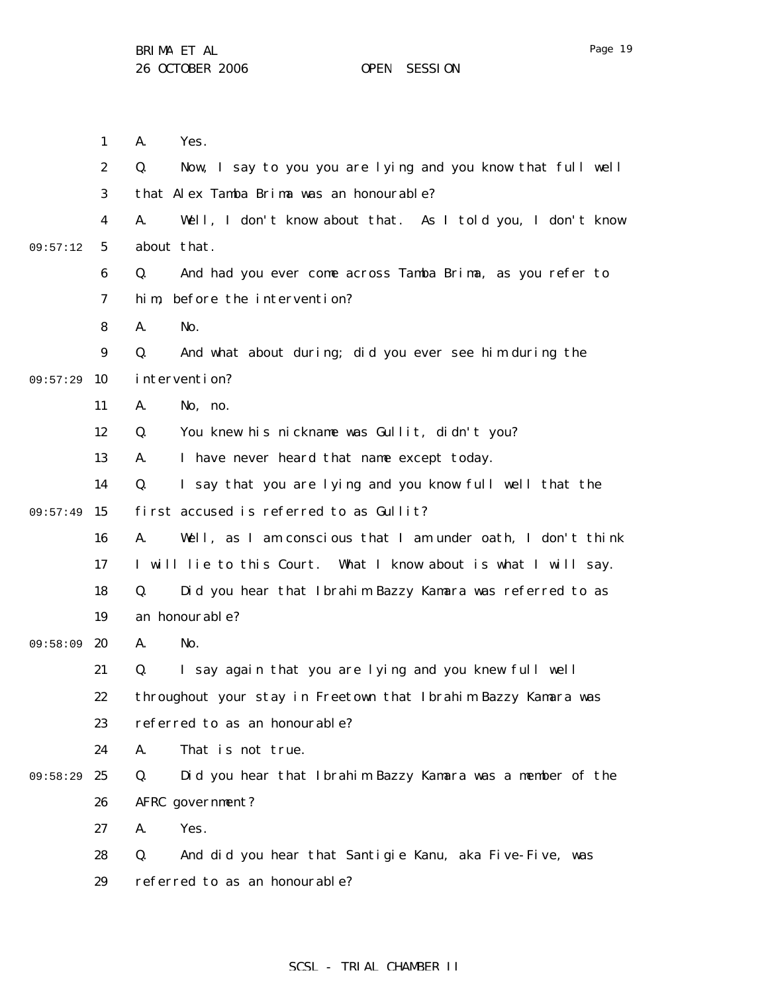Page 19

|          | $\mathbf{1}$     | Yes.<br>A.                                                        |
|----------|------------------|-------------------------------------------------------------------|
|          | $\boldsymbol{2}$ | Q.<br>Now, I say to you you are lying and you know that full well |
|          | 3                | that Alex Tamba Brima was an honourable?                          |
|          | 4                | Well, I don't know about that. As I told you, I don't know<br>A.  |
| 09:57:12 | 5                | about that.                                                       |
|          | 6                | Q.<br>And had you ever come across Tamba Brima, as you refer to   |
|          | 7                | before the intervention?<br>hi m,                                 |
|          | 8                | A.<br>No.                                                         |
|          | 9                | And what about during; did you ever see him during the<br>Q.      |
| 09:57:29 | 10               | intervention?                                                     |
|          | 11               | No, no.<br>A.                                                     |
|          | 12               | You knew his nickname was Gullit, didn't you?<br>Q.               |
|          | 13               | I have never heard that name except today.<br>A.                  |
|          | 14               | Q.<br>I say that you are lying and you know full well that the    |
| 09:57:49 | 15               | first accused is referred to as Gullit?                           |
|          | 16               | A.<br>Well, as I am conscious that I am under oath, I don't think |
|          | 17               | I will lie to this Court. What I know about is what I will say.   |
|          | 18               | Q.<br>Did you hear that Ibrahim Bazzy Kamara was referred to as   |
|          | 19               | an honourable?                                                    |
| 09:58:09 | 20               | No.<br>A.                                                         |
|          | 21               | I say again that you are lying and you knew full well<br>Q.       |
|          | 22               | throughout your stay in Freetown that Ibrahim Bazzy Kamara was    |
|          | 23               | referred to as an honourable?                                     |
|          | 24               | A.<br>That is not true.                                           |
| 09:58:29 | 25               | Q.<br>Did you hear that Ibrahim Bazzy Kamara was a member of the  |
|          | 26               | AFRC government?                                                  |
|          | 27               | Yes.<br>A.                                                        |
|          | 28               | And did you hear that Santigie Kanu, aka Five-Five, was<br>Q.     |
|          | 29               | referred to as an honourable?                                     |
|          |                  |                                                                   |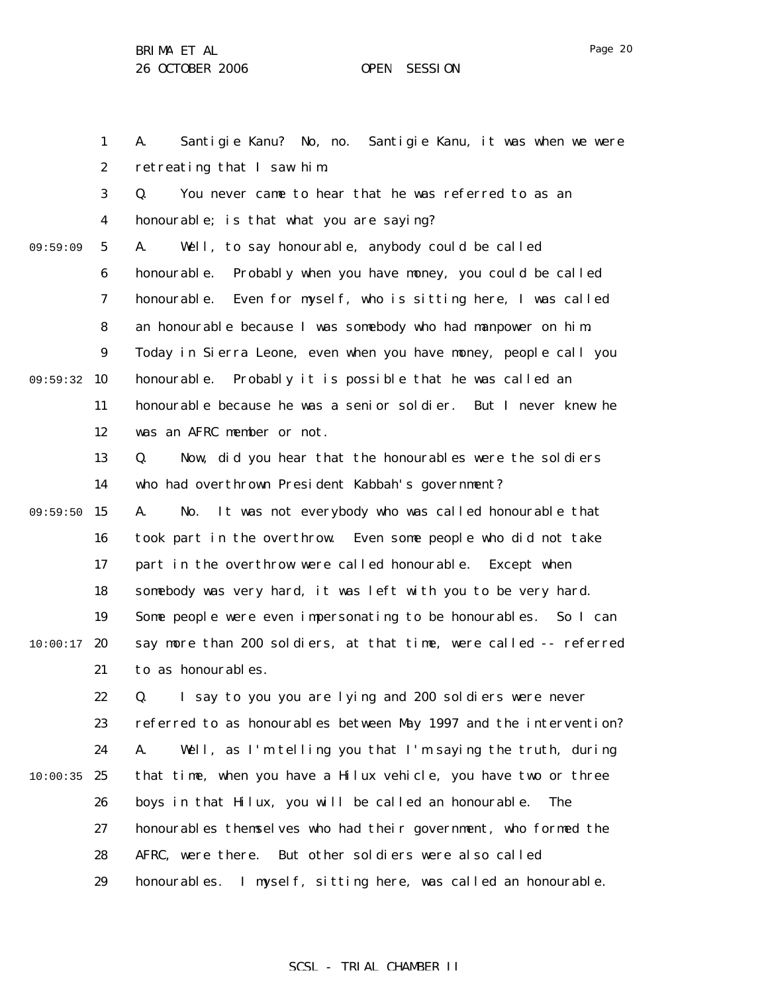Page 20

1 2 3 4 5 6 7 8 9 09:59:32 10 11 12 13 14 09:59:50 15 16 17 18 19  $10:00:17$  20 21 22 23 24  $10:00:35$  25 26 27 28 29 09:59:09 A. Santigie Kanu? No, no. Santigie Kanu, it was when we were retreating that I saw him. Q. You never came to hear that he was referred to as an honourable; is that what you are saying? A. Well, to say honourable, anybody could be called honourable. Probably when you have money, you could be called honourable. Even for myself, who is sitting here, I was called an honourable because I was somebody who had manpower on him. Today in Sierra Leone, even when you have money, people call you honourable. Probably it is possible that he was called an honourable because he was a senior soldier. But I never knew he was an AFRC member or not. Q. Now, did you hear that the honourables were the soldiers who had overthrown President Kabbah's government? A. No. It was not everybody who was called honourable that took part in the overthrow. Even some people who did not take part in the overthrow were called honourable. Except when somebody was very hard, it was left with you to be very hard. Some people were even impersonating to be honourables. So I can say more than 200 soldiers, at that time, were called -- referred to as honourables. Q. I say to you you are lying and 200 soldiers were never referred to as honourables between May 1997 and the intervention? A. Well, as I'm telling you that I'm saying the truth, during that time, when you have a Hilux vehicle, you have two or three boys in that Hilux, you will be called an honourable. The honourables themselves who had their government, who formed the AFRC, were there. But other soldiers were also called honourables. I myself, sitting here, was called an honourable.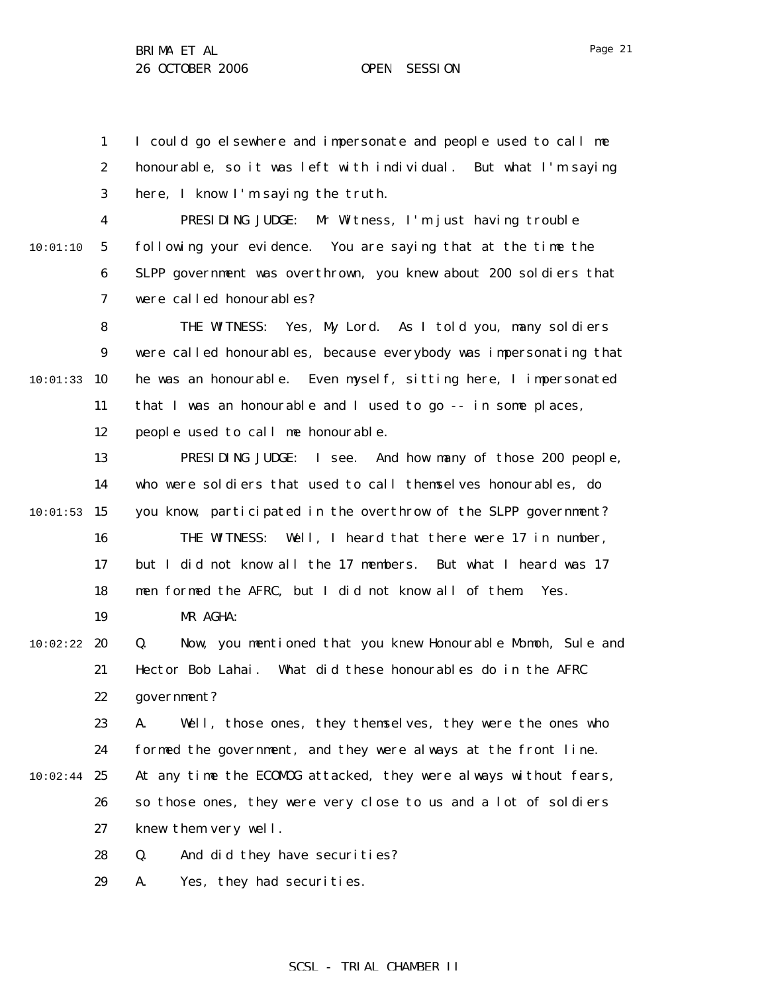1 2 3 I could go elsewhere and impersonate and people used to call me honourable, so it was left with individual. But what I'm saying here, I know I'm saying the truth.

4 5 6 7 10:01:10 PRESIDING JUDGE: Mr Witness, I'm just having trouble following your evidence. You are saying that at the time the SLPP government was overthrown, you knew about 200 soldiers that were called honourables?

8 9 10:01:33 10 11 12 THE WITNESS: Yes, My Lord. As I told you, many soldiers were called honourables, because everybody was impersonating that he was an honourable. Even myself, sitting here, I impersonated that I was an honourable and I used to go -- in some places, people used to call me honourable.

13 14  $10:01:53$  15 16 17 18 PRESIDING JUDGE: I see. And how many of those 200 people, who were soldiers that used to call themselves honourables, do you know, participated in the overthrow of the SLPP government? THE WITNESS: Well, I heard that there were 17 in number, but I did not know all the 17 members. But what I heard was 17 men formed the AFRC, but I did not know all of them. Yes.

 $10:02:22$  20 21 22 Q. Now, you mentioned that you knew Honourable Momoh, Sule and Hector Bob Lahai. What did these honourables do in the AFRC government?

23 24  $10:02:44$  25 26 27 A. Well, those ones, they themselves, they were the ones who formed the government, and they were always at the front line. At any time the ECOMOG attacked, they were always without fears, so those ones, they were very close to us and a lot of soldiers knew them very well.

> 28 Q. And did they have securities?

29 A. Yes, they had securities.

MR AGHA:

19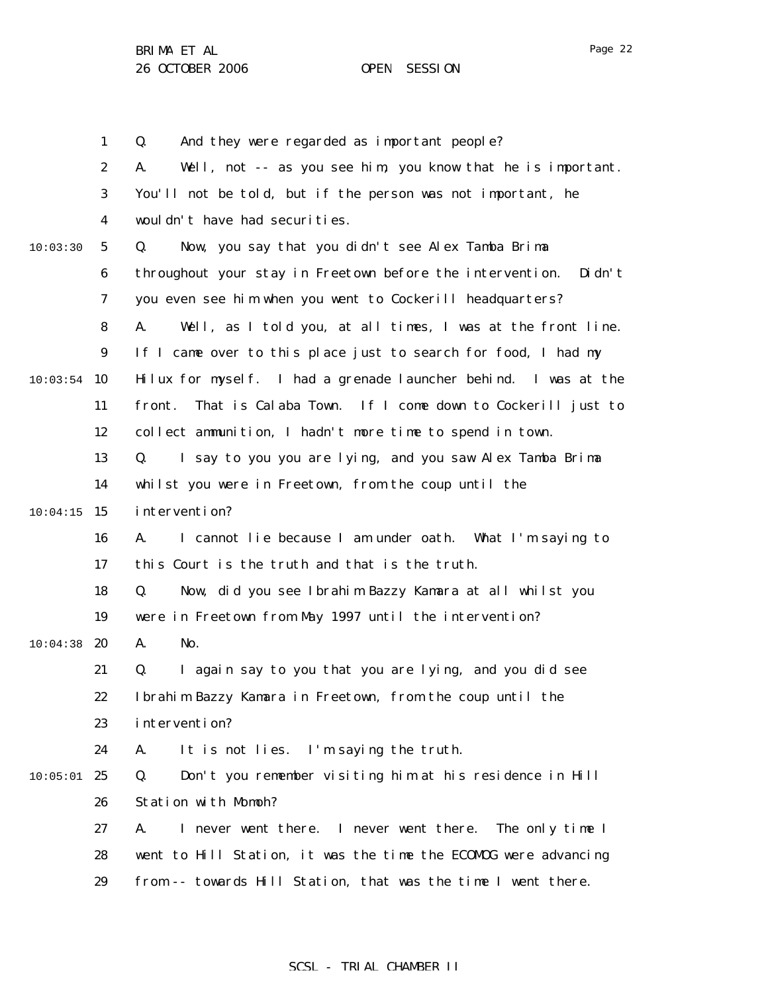|          | $\mathbf{1}$     | And they were regarded as important people?<br>Q.                    |
|----------|------------------|----------------------------------------------------------------------|
|          | $\boldsymbol{2}$ | Well, not -- as you see him, you know that he is important.<br>A.    |
|          | 3                | You'll not be told, but if the person was not important, he          |
|          | 4                | wouldn't have had securities.                                        |
| 10:03:30 | $\mathbf{5}$     | Now, you say that you didn't see Alex Tamba Brima<br>Q.              |
|          | $\boldsymbol{6}$ | throughout your stay in Freetown before the intervention.<br>Di dn't |
|          | 7                | you even see him when you went to Cockerill headquarters?            |
|          | 8                | Well, as I told you, at all times, I was at the front line.<br>A.    |
|          | $\boldsymbol{9}$ | If I came over to this place just to search for food, I had my       |
| 10:03:54 | 10               | Hilux for myself. I had a grenade launcher behind. I was at the      |
|          | 11               | That is Calaba Town. If I come down to Cockerill just to<br>front.   |
|          | 12               | collect ammunition, I hadn't more time to spend in town.             |
|          | 13               | I say to you you are lying, and you saw Alex Tamba Brima<br>Q.       |
|          | 14               | whilst you were in Freetown, from the coup until the                 |
| 10:04:15 | 15               | intervention?                                                        |
|          | 16               | I cannot lie because I am under oath. What I'm saying to<br>A.       |
|          | 17               | this Court is the truth and that is the truth.                       |
|          | 18               | Q.<br>Now, did you see Ibrahim Bazzy Kamara at all whilst you        |
|          | 19               | were in Freetown from May 1997 until the intervention?               |
| 10:04:38 | 20               | No.<br>A.                                                            |
|          | 21               | I again say to you that you are lying, and you did see<br>Q.         |
|          | 22               | Ibrahim Bazzy Kamara in Freetown, from the coup until the            |
|          | 23               | intervention?                                                        |
|          | 24               | It is not lies. I'm saying the truth.<br>A.                          |
| 10:05:01 | 25               | Q.<br>Don't you remember visiting him at his residence in Hill       |
|          | 26               | Station with Momoh?                                                  |
|          | 27               | I never went there. I never went there.<br>The only time I<br>A.     |
|          | 28               | went to Hill Station, it was the time the ECOMDG were advancing      |
|          | 29               | from -- towards Hill Station, that was the time I went there.        |
|          |                  |                                                                      |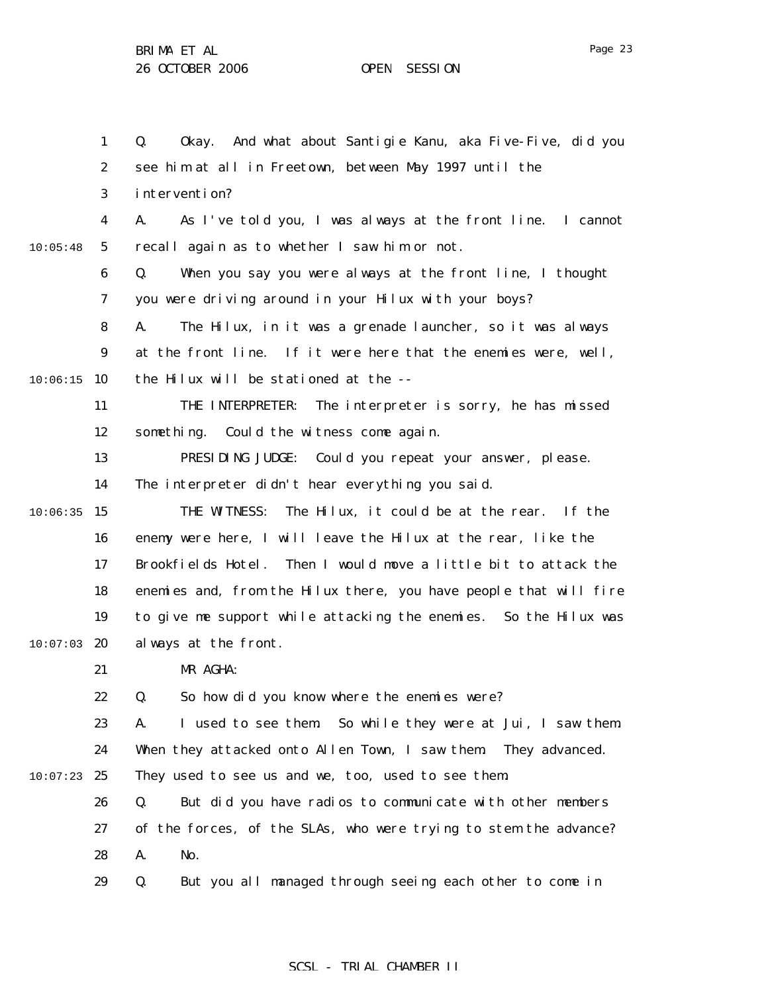Page 23

|          | $\mathbf{1}$     | Okay. And what about Santigie Kanu, aka Five-Five, did you<br>Q.  |
|----------|------------------|-------------------------------------------------------------------|
|          | $\boldsymbol{2}$ | see him at all in Freetown, between May 1997 until the            |
|          | 3                | intervention?                                                     |
|          | 4                | As I've told you, I was always at the front line. I cannot<br>A.  |
| 10:05:48 | $5\phantom{.0}$  | recall again as to whether I saw him or not.                      |
|          | 6                | When you say you were always at the front line, I thought<br>Q.   |
|          | 7                | you were driving around in your Hilux with your boys?             |
|          | 8                | The Hilux, in it was a grenade launcher, so it was always<br>A.   |
|          | $\boldsymbol{9}$ | at the front line. If it were here that the enemies were, well,   |
| 10:06:15 | 10               | the Hilux will be stationed at the --                             |
|          | 11               | THE INTERPRETER:<br>The interpreter is sorry, he has missed       |
|          | 12               | something.<br>Could the witness come again.                       |
|          | 13               | PRESIDING JUDGE: Could you repeat your answer, please.            |
|          | 14               | The interpreter didn't hear everything you said.                  |
| 10:06:35 | 15               | THE WITNESS:<br>The Hilux, it could be at the rear.<br>If the     |
|          | 16               | enemy were here, I will leave the Hilux at the rear, like the     |
|          | 17               | Brookfields Hotel. Then I would move a little bit to attack the   |
|          | 18               | enemies and, from the Hilux there, you have people that will fire |
|          | 19               | to give me support while attacking the enemies. So the Hilux was  |
| 10:07:03 | 20               | always at the front.                                              |
|          | 21               | MR AGHA:                                                          |
|          | 22               | So how did you know where the enemies were?<br>O.                 |
|          | 23               | I used to see them So while they were at Jui, I saw them.<br>A.   |
|          | 24               | When they attacked onto Allen Town, I saw them They advanced.     |
| 10:07:23 | 25               | They used to see us and we, too, used to see them.                |
|          | 26               | But did you have radios to communicate with other members<br>Q.   |
|          | 27               | of the forces, of the SLAs, who were trying to stem the advance?  |
|          | 28               | A.<br>No.                                                         |
|          | 29               | But you all managed through seeing each other to come in<br>Q.    |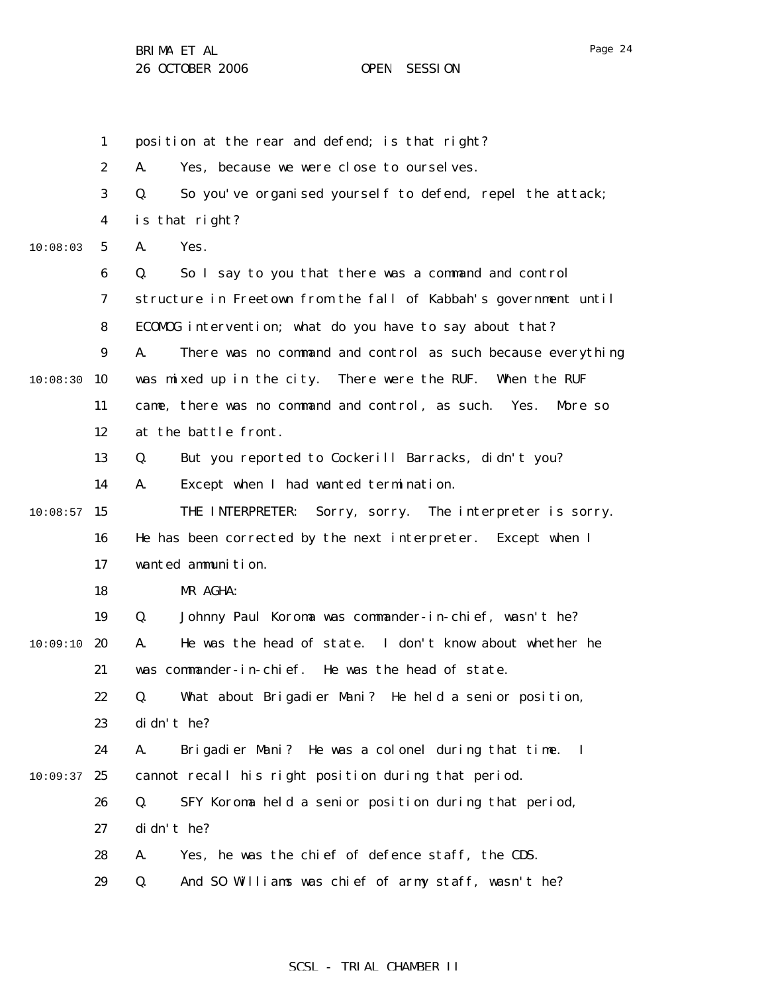Page 24

1 2 3 4 5 6 7 8 9 10:08:30 10 11 12 13 14  $10:08:57$  15 16 17 18 19  $10:09:10$  20 21 22 23 24  $10:09:37$  25 26 27 28 29 10:08:03 position at the rear and defend; is that right? A. Yes, because we were close to ourselves. Q. So you've organised yourself to defend, repel the attack; is that right? A. Yes. Q. So I say to you that there was a command and control structure in Freetown from the fall of Kabbah's government until ECOMOG intervention; what do you have to say about that? A. There was no command and control as such because everything was mixed up in the city. There were the RUF. When the RUF came, there was no command and control, as such. Yes. More so at the battle front. Q. But you reported to Cockerill Barracks, didn't you? A. Except when I had wanted termination. THE INTERPRETER: Sorry, sorry. The interpreter is sorry. He has been corrected by the next interpreter. Except when I wanted ammunition. MR AGHA: Q. Johnny Paul Koroma was commander-in-chief, wasn't he? A. He was the head of state. I don't know about whether he was commander-in-chief. He was the head of state. Q. What about Brigadier Mani? He held a senior position, didn't he? A. Brigadier Mani? He was a colonel during that time. I cannot recall his right position during that period. Q. SFY Koroma held a senior position during that period, didn't he? A. Yes, he was the chief of defence staff, the CDS. Q. And SO Williams was chief of army staff, wasn't he?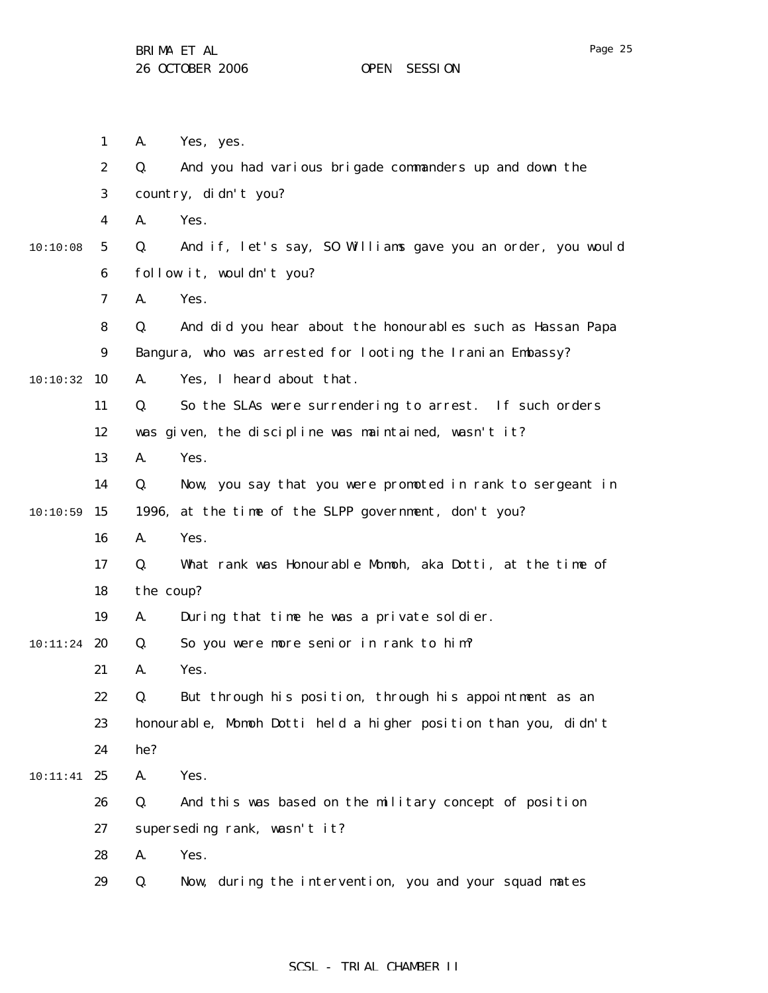|               | $\mathbf{1}$            | A.        | Yes, yes.                                                       |
|---------------|-------------------------|-----------|-----------------------------------------------------------------|
|               | $\boldsymbol{2}$        | Q.        | And you had various brigade commanders up and down the          |
|               | 3                       |           | country, didn't you?                                            |
|               | $\overline{\mathbf{4}}$ | A.        | Yes.                                                            |
| 10:10:08      | $5\phantom{.0}$         | Q.        | And if, let's say, SO Williams gave you an order, you would     |
|               | 6                       |           | follow it, wouldn't you?                                        |
|               | $\boldsymbol{7}$        | A.        | Yes.                                                            |
|               | 8                       | Q.        | And did you hear about the honourables such as Hassan Papa      |
|               | $\boldsymbol{9}$        |           | Bangura, who was arrested for looting the Iranian Embassy?      |
| 10:10:32      | 10                      | A.        | Yes, I heard about that.                                        |
|               | 11                      | Q.        | So the SLAs were surrendering to arrest. If such orders         |
|               | 12                      |           | was given, the discipline was maintained, wasn't it?            |
|               | 13                      | A.        | Yes.                                                            |
|               | 14                      | Q.        | Now, you say that you were promoted in rank to sergeant in      |
| 10:10:59      | 15                      |           | 1996, at the time of the SLPP government, don't you?            |
|               | 16                      | A.        | Yes.                                                            |
|               | 17                      | Q.        | What rank was Honourable Momoh, aka Dotti, at the time of       |
|               | 18                      | the coup? |                                                                 |
|               | 19                      | A.        | During that time he was a private soldier.                      |
| $10:11:24$ 20 |                         | Q.        | So you were more senior in rank to him?                         |
|               | 21                      | A.        | Yes.                                                            |
|               | 22                      | Q.        | But through his position, through his appointment as an         |
|               | 23                      |           | honourable, Momoh Dotti held a higher position than you, didn't |
|               | 24                      | he?       |                                                                 |
| 10:11:41      | 25                      | A.        | Yes.                                                            |
|               | 26                      | Q.        | And this was based on the military concept of position          |
|               | 27                      |           | superseding rank, wasn't it?                                    |
|               | 28                      | A.        | Yes.                                                            |
|               | 29                      | Q.        | Now, during the intervention, you and your squad mates          |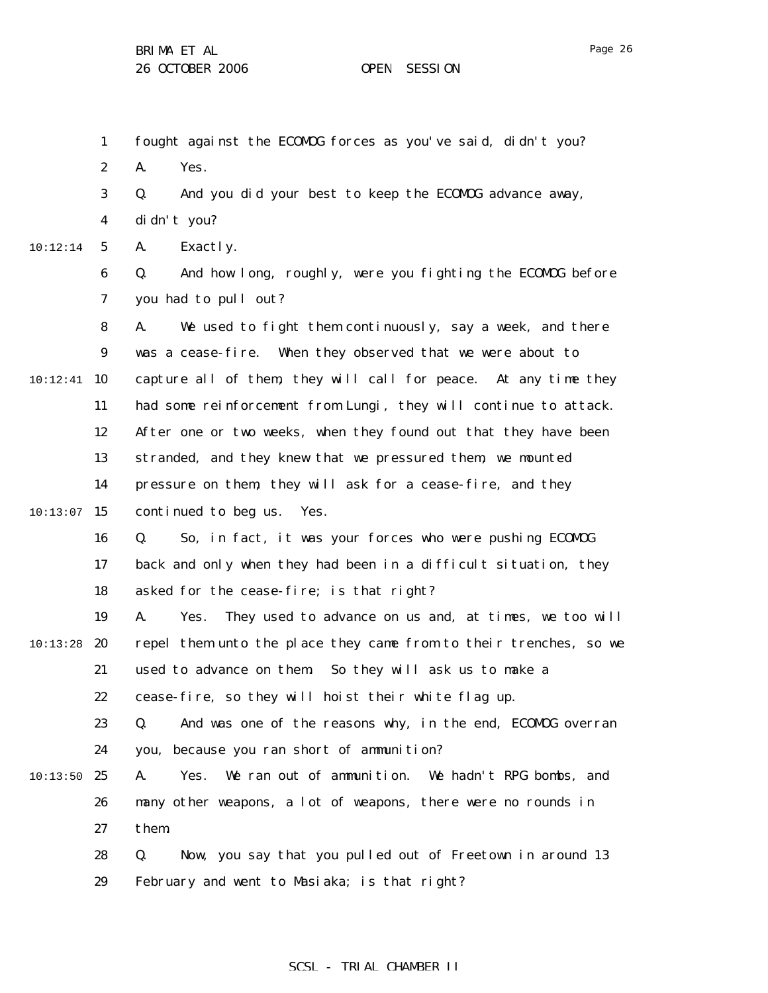|          | $\mathbf{1}$     | fought against the ECOMDG forces as you've said, didn't you?        |
|----------|------------------|---------------------------------------------------------------------|
|          | $\boldsymbol{2}$ | Yes.<br>A.                                                          |
|          | 3                | And you did your best to keep the ECOMDG advance away,<br>Q.        |
|          | 4                | di dn't you?                                                        |
| 10:12:14 | $5\phantom{.0}$  | Exactly.<br>A.                                                      |
|          | $\bf 6$          | And how long, roughly, were you fighting the ECOMDG before<br>Q.    |
|          | 7                | you had to pull out?                                                |
|          | 8                | We used to fight them continuously, say a week, and there<br>A.     |
|          | 9                | was a cease-fire. When they observed that we were about to          |
| 10:12:41 | 10               | capture all of them, they will call for peace. At any time they     |
|          | 11               | had some reinforcement from Lungi, they will continue to attack.    |
|          | 12               | After one or two weeks, when they found out that they have been     |
|          | 13               | stranded, and they knew that we pressured them, we mounted          |
|          | 14               | pressure on them, they will ask for a cease-fire, and they          |
| 10:13:07 | 15               | continued to beg us.<br>Yes.                                        |
|          | 16               | So, in fact, it was your forces who were pushing ECOMDG<br>Q.       |
|          | 17               | back and only when they had been in a difficult situation, they     |
|          | 18               | asked for the cease-fire; is that right?                            |
|          | 19               | A.<br>They used to advance on us and, at times, we too will<br>Yes. |
| 10:13:28 | 20               | repel them unto the place they came from to their trenches, so we   |
|          | 21               | So they will ask us to make a<br>used to advance on them.           |
|          | 22               | cease-fire, so they will hoist their white flag up.                 |
|          | 23               | And was one of the reasons why, in the end, ECOMOG overran<br>Q.    |
|          | 24               | you, because you ran short of ammunition?                           |
| 10:13:50 | 25               | We ran out of ammunition. We hadn't RPG bombs, and<br>A.<br>Yes.    |
|          | 26               | many other weapons, a lot of weapons, there were no rounds in       |
|          | 27               | them.                                                               |
|          | 28               | Q.<br>Now, you say that you pulled out of Freetown in around 13     |
|          | 29               | February and went to Masiaka; is that right?                        |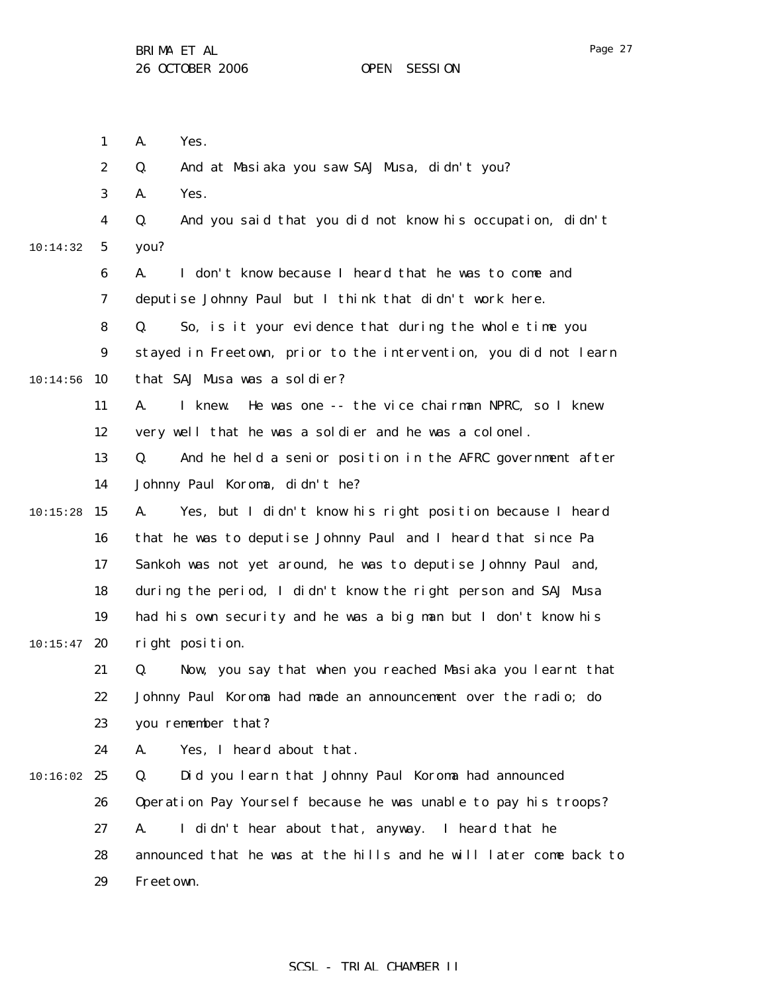|          | $\mathbf{1}$     | A.<br>Yes.                                                        |
|----------|------------------|-------------------------------------------------------------------|
|          | $\boldsymbol{2}$ | And at Masiaka you saw SAJ Musa, didn't you?<br>Q.                |
|          | 3                | Yes.<br>A.                                                        |
|          | 4                | Q.<br>And you said that you did not know his occupation, didn't   |
| 10:14:32 | $\mathbf{5}$     | you?                                                              |
|          | 6                | I don't know because I heard that he was to come and<br>A.        |
|          | 7                | deputise Johnny Paul but I think that didn't work here.           |
|          | 8                | So, is it your evidence that during the whole time you<br>Q.      |
|          | $\boldsymbol{9}$ | stayed in Freetown, prior to the intervention, you did not learn  |
| 10:14:56 | 10               | that SAJ Musa was a soldier?                                      |
|          | 11               | He was one -- the vice chairman NPRC, so I knew<br>A.<br>I knew.  |
|          | 12               | very well that he was a soldier and he was a colonel.             |
|          | 13               | And he held a senior position in the AFRC government after<br>Q.  |
|          | 14               | Johnny Paul Koroma, didn't he?                                    |
| 10:15:28 | 15               | Yes, but I didn't know his right position because I heard<br>A.   |
|          | 16               | that he was to deputise Johnny Paul and I heard that since Pa     |
|          | 17               | Sankoh was not yet around, he was to deputise Johnny Paul and,    |
|          | 18               | during the period, I didn't know the right person and SAJ Musa    |
|          | 19               | had his own security and he was a big man but I don't know his    |
| 10:15:47 | 20               | right position.                                                   |
|          | 21               | Now, you say that when you reached Masiaka you learnt that<br>Q.  |
|          | 22               | Johnny Paul Koroma had made an announcement over the radio; do    |
|          | 23               | you remember that?                                                |
|          | 24               | Yes, I heard about that.<br>A.                                    |
| 10:16:02 | 25               | Q.<br>Did you learn that Johnny Paul Koroma had announced         |
|          | 26               | Operation Pay Yourself because he was unable to pay his troops?   |
|          | 27               | I didn't hear about that, anyway. I heard that he<br>A.           |
|          | 28               | announced that he was at the hills and he will later come back to |
|          | 29               | Freetown.                                                         |
|          |                  |                                                                   |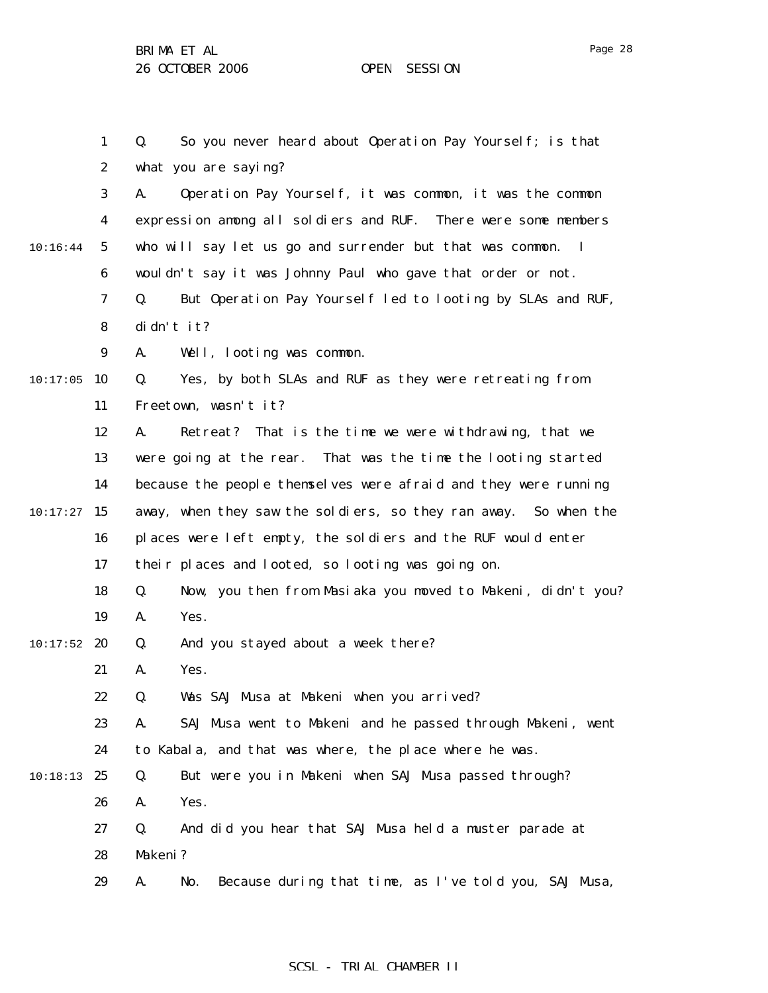1 2 3 4 5 6 7 8 9  $10:17:05$  10 11 12 13 14  $10:17:27$  15 16 17 18 19  $10:17:52$  20 21 22 23 24 10:18:13 25 26 27 28 29 10:16:44 Q. So you never heard about Operation Pay Yourself; is that what you are saying? A. Operation Pay Yourself, it was common, it was the common expression among all soldiers and RUF. There were some members who will say let us go and surrender but that was common. I wouldn't say it was Johnny Paul who gave that order or not. Q. But Operation Pay Yourself led to looting by SLAs and RUF, didn't it? A. Well, looting was common. Q. Yes, by both SLAs and RUF as they were retreating from Freetown, wasn't it? A. Retreat? That is the time we were withdrawing, that we were going at the rear. That was the time the looting started because the people themselves were afraid and they were running away, when they saw the soldiers, so they ran away. So when the places were left empty, the soldiers and the RUF would enter their places and looted, so looting was going on. Q. Now, you then from Masiaka you moved to Makeni, didn't you? A. Yes. Q. And you stayed about a week there? A. Yes. Q. Was SAJ Musa at Makeni when you arrived? A. SAJ Musa went to Makeni and he passed through Makeni, went to Kabala, and that was where, the place where he was. Q. But were you in Makeni when SAJ Musa passed through? A. Yes. Q. And did you hear that SAJ Musa held a muster parade at Makeni? A. No. Because during that time, as I've told you, SAJ Musa,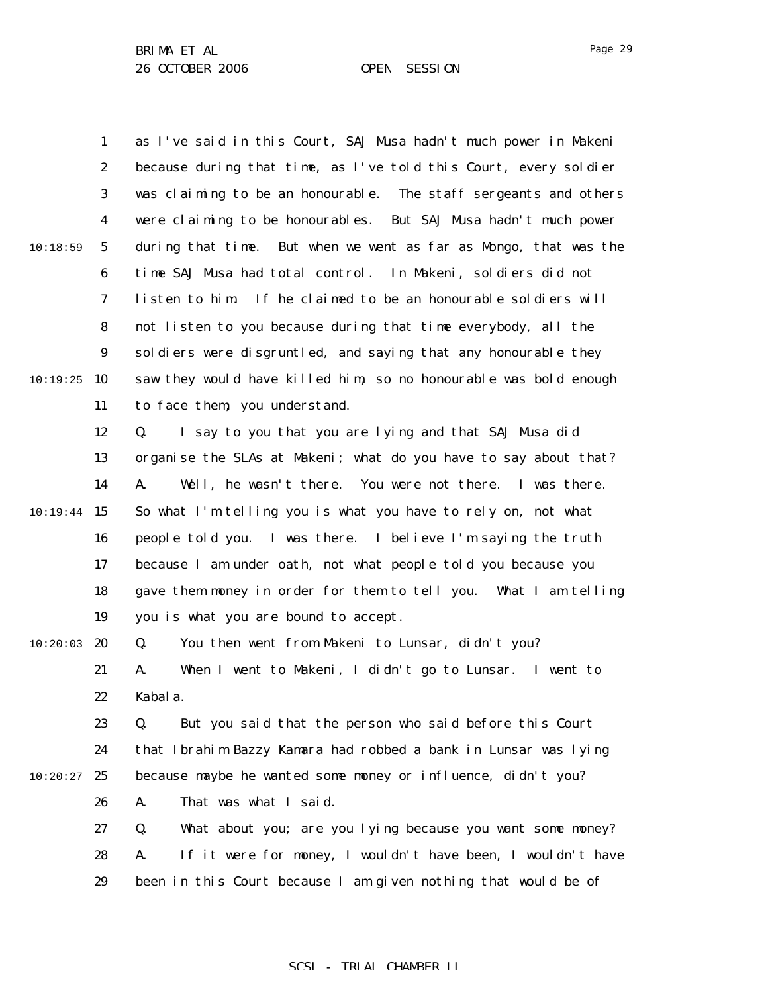1 2 3 4 5 6 7 8 9 10:19:25 10 11 12 13 14  $10:19:44$  15 16 17 18 19  $10:20:03$  20 21 22 23 24  $10:20:27$  25 26 27 28 29 10:18:59 as I've said in this Court, SAJ Musa hadn't much power in Makeni because during that time, as I've told this Court, every soldier was claiming to be an honourable. The staff sergeants and others were claiming to be honourables. But SAJ Musa hadn't much power during that time. But when we went as far as Mongo, that was the time SAJ Musa had total control. In Makeni, soldiers did not listen to him. If he claimed to be an honourable soldiers will not listen to you because during that time everybody, all the soldiers were disgruntled, and saying that any honourable they saw they would have killed him, so no honourable was bold enough to face them; you understand. Q. I say to you that you are lying and that SAJ Musa did organise the SLAs at Makeni; what do you have to say about that? A. Well, he wasn't there. You were not there. I was there. So what I'm telling you is what you have to rely on, not what people told you. I was there. I believe I'm saying the truth because I am under oath, not what people told you because you gave them money in order for them to tell you. What I am telling you is what you are bound to accept. Q. You then went from Makeni to Lunsar, didn't you? A. When I went to Makeni, I didn't go to Lunsar. I went to Kabala. Q. But you said that the person who said before this Court that Ibrahim Bazzy Kamara had robbed a bank in Lunsar was lying because maybe he wanted some money or influence, didn't you? A. That was what I said. Q. What about you; are you lying because you want some money? A. If it were for money, I wouldn't have been, I wouldn't have been in this Court because I am given nothing that would be of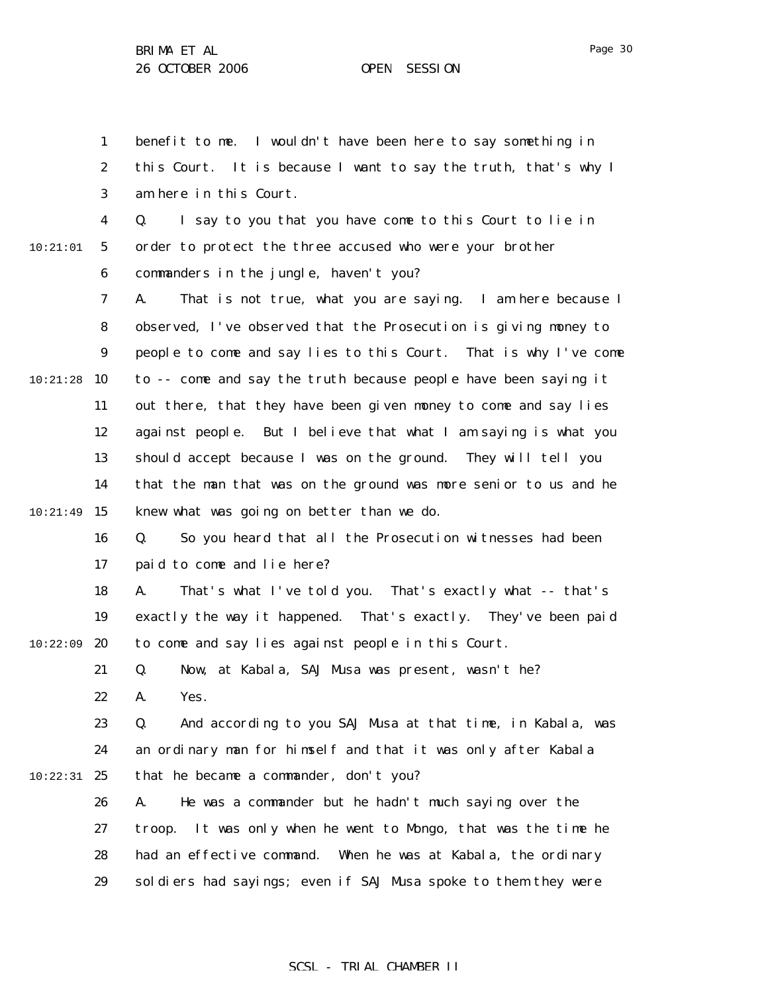Page 30

1 2 3 4 5 6 7 8 9 10:21:28 10 11 12 13 14  $10:21:49$  15 16 17 18 19  $10:22:09$  20 21 22 23 24 10:22:31 25 26 27 28 29 10:21:01 benefit to me. I wouldn't have been here to say something in this Court. It is because I want to say the truth, that's why I am here in this Court. Q. I say to you that you have come to this Court to lie in order to protect the three accused who were your brother commanders in the jungle, haven't you? A. That is not true, what you are saying. I am here because I observed, I've observed that the Prosecution is giving money to people to come and say lies to this Court. That is why I've come to -- come and say the truth because people have been saying it out there, that they have been given money to come and say lies against people. But I believe that what I am saying is what you should accept because I was on the ground. They will tell you that the man that was on the ground was more senior to us and he knew what was going on better than we do. Q. So you heard that all the Prosecution witnesses had been paid to come and lie here? A. That's what I've told you. That's exactly what -- that's exactly the way it happened. That's exactly. They've been paid to come and say lies against people in this Court. Q. Now, at Kabala, SAJ Musa was present, wasn't he? A. Yes. Q. And according to you SAJ Musa at that time, in Kabala, was an ordinary man for himself and that it was only after Kabala that he became a commander, don't you? A. He was a commander but he hadn't much saying over the troop. It was only when he went to Mongo, that was the time he had an effective command. When he was at Kabala, the ordinary soldiers had sayings; even if SAJ Musa spoke to them they were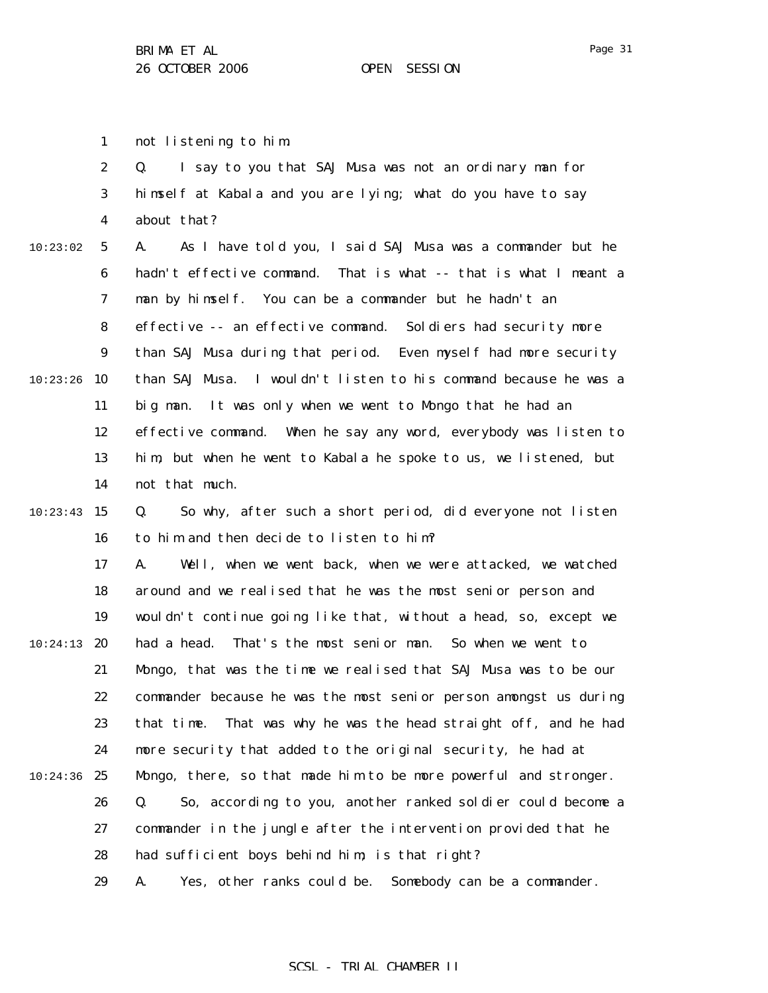1 not listening to him.

2 3 4 5 6 7 8 9 10:23:26 10 11 12 13 14  $10:23:43$  15 16 17 18 19  $10:24:13$  20 21 22 23 24  $10:24:36$  25 26 27 28 29 10:23:02 Q. I say to you that SAJ Musa was not an ordinary man for himself at Kabala and you are lying; what do you have to say about that? A. As I have told you, I said SAJ Musa was a commander but he hadn't effective command. That is what -- that is what I meant a man by himself. You can be a commander but he hadn't an effective -- an effective command. Soldiers had security more than SAJ Musa during that period. Even myself had more security than SAJ Musa. I wouldn't listen to his command because he was a big man. It was only when we went to Mongo that he had an effective command. When he say any word, everybody was listen to him, but when he went to Kabala he spoke to us, we listened, but not that much. Q. So why, after such a short period, did everyone not listen to him and then decide to listen to him? A. Well, when we went back, when we were attacked, we watched around and we realised that he was the most senior person and wouldn't continue going like that, without a head, so, except we had a head. That's the most senior man. So when we went to Mongo, that was the time we realised that SAJ Musa was to be our commander because he was the most senior person amongst us during that time. That was why he was the head straight off, and he had more security that added to the original security, he had at Mongo, there, so that made him to be more powerful and stronger. Q. So, according to you, another ranked soldier could become a commander in the jungle after the intervention provided that he had sufficient boys behind him; is that right? A. Yes, other ranks could be. Somebody can be a commander.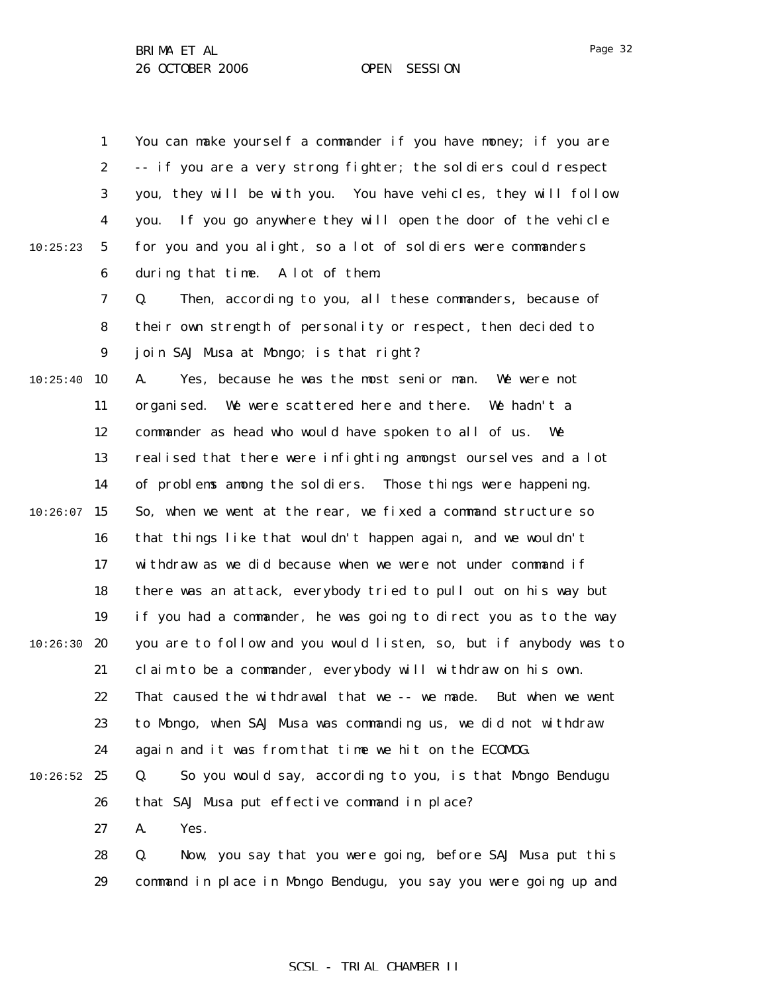1 2 3 4 5 6 7 8 9 10:25:40 10 11 12 13 14  $10:26:07$  15 16 17 18 19  $10:26:30$  20 21 22 23 24  $10:26:52$  25 26 27 28 29 10:25:23 You can make yourself a commander if you have money; if you are -- if you are a very strong fighter; the soldiers could respect you, they will be with you. You have vehicles, they will follow you. If you go anywhere they will open the door of the vehicle for you and you alight, so a lot of soldiers were commanders during that time. A lot of them. Q. Then, according to you, all these commanders, because of their own strength of personality or respect, then decided to join SAJ Musa at Mongo; is that right? A. Yes, because he was the most senior man. We were not organised. We were scattered here and there. We hadn't a commander as head who would have spoken to all of us. We realised that there were infighting amongst ourselves and a lot of problems among the soldiers. Those things were happening. So, when we went at the rear, we fixed a command structure so that things like that wouldn't happen again, and we wouldn't withdraw as we did because when we were not under command if there was an attack, everybody tried to pull out on his way but if you had a commander, he was going to direct you as to the way you are to follow and you would listen, so, but if anybody was to claim to be a commander, everybody will withdraw on his own. That caused the withdrawal that we -- we made. But when we went to Mongo, when SAJ Musa was commanding us, we did not withdraw again and it was from that time we hit on the ECOMOG. Q. So you would say, according to you, is that Mongo Bendugu that SAJ Musa put effective command in place? A. Yes. Q. Now, you say that you were going, before SAJ Musa put this command in place in Mongo Bendugu, you say you were going up and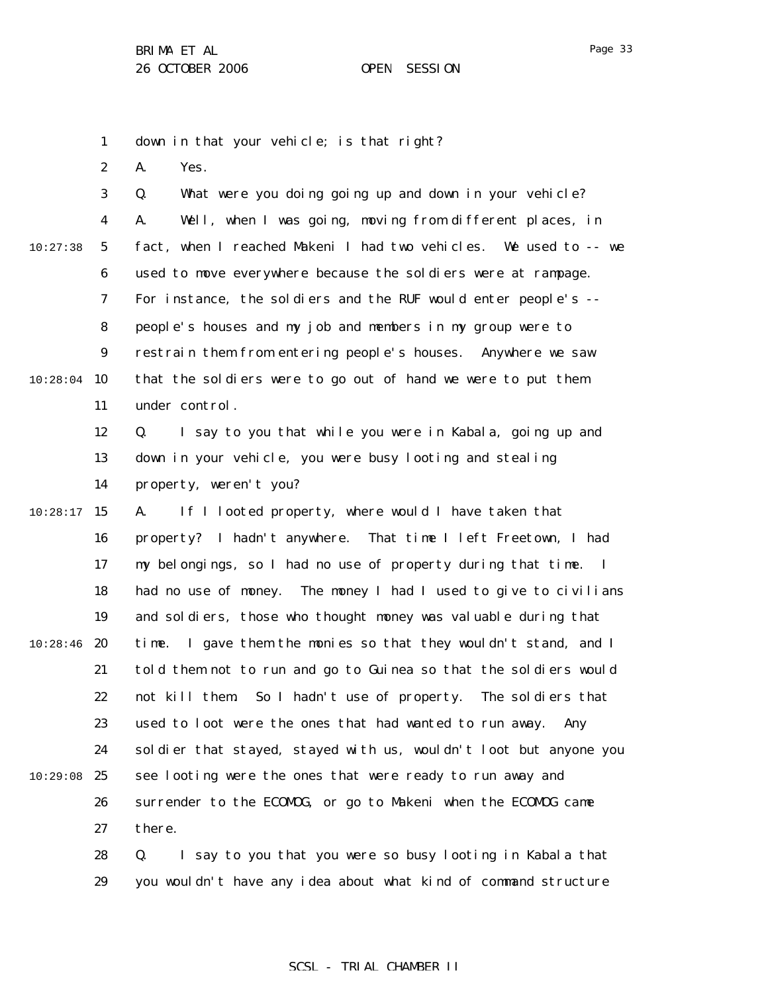1 down in that your vehicle; is that right?

2 A. Yes.

3 4 5 6 7 8 9 10:28:04 10 11 12 13 14  $10:28:17$  15 16 17 18 19  $10:28:46$  20 21 22 23 24 10:29:08 25 26 27 28 10:27:38 Q. What were you doing going up and down in your vehicle? A. Well, when I was going, moving from different places, in fact, when I reached Makeni I had two vehicles. We used to -- we used to move everywhere because the soldiers were at rampage. For instance, the soldiers and the RUF would enter people's - people's houses and my job and members in my group were to restrain them from entering people's houses. Anywhere we saw that the soldiers were to go out of hand we were to put them under control. Q. I say to you that while you were in Kabala, going up and down in your vehicle, you were busy looting and stealing property, weren't you? A. If I looted property, where would I have taken that property? I hadn't anywhere. That time I left Freetown, I had my belongings, so I had no use of property during that time. I had no use of money. The money I had I used to give to civilians and soldiers, those who thought money was valuable during that time. I gave them the monies so that they wouldn't stand, and I told them not to run and go to Guinea so that the soldiers would not kill them. So I hadn't use of property. The soldiers that used to loot were the ones that had wanted to run away. Any soldier that stayed, stayed with us, wouldn't loot but anyone you see looting were the ones that were ready to run away and surrender to the ECOMOG, or go to Makeni when the ECOMOG came there. Q. I say to you that you were so busy looting in Kabala that

29 you wouldn't have any idea about what kind of command structure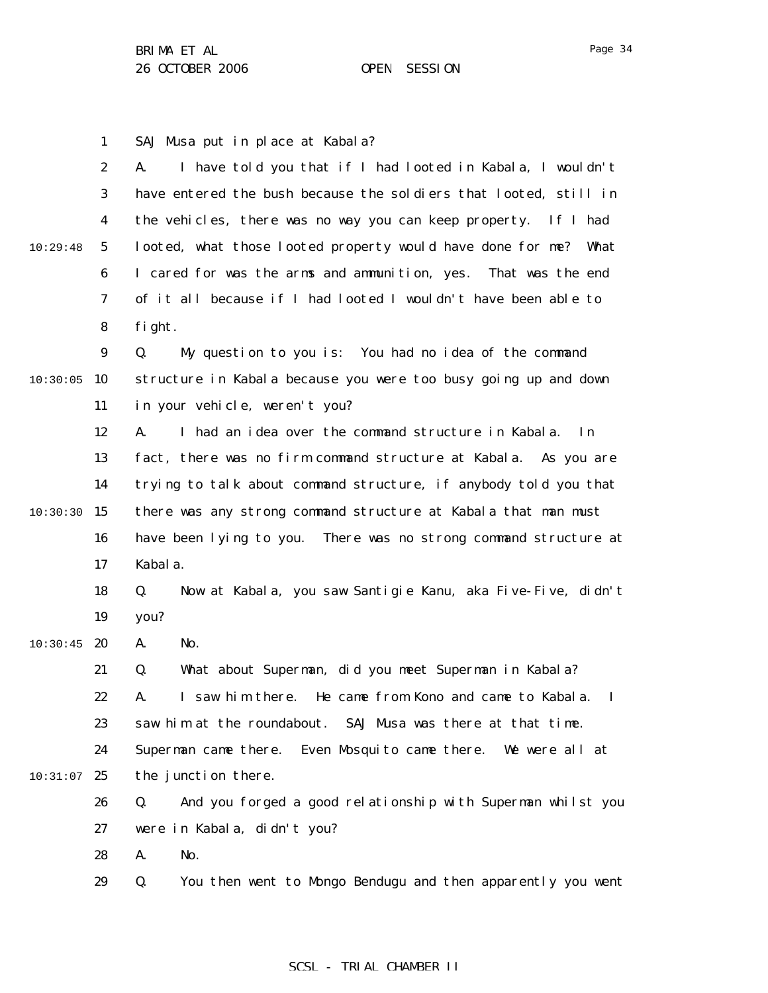SAJ Musa put in place at Kabala?

1

2 3 4 5 6 7 8 9  $10:30:05$  10 11 12 13 14 10:29:48 A. I have told you that if I had looted in Kabala, I wouldn't have entered the bush because the soldiers that looted, still in the vehicles, there was no way you can keep property. If I had looted, what those looted property would have done for me? What I cared for was the arms and ammunition, yes. That was the end of it all because if I had looted I wouldn't have been able to fight. Q. My question to you is: You had no idea of the command structure in Kabala because you were too busy going up and down in your vehicle, weren't you? A. I had an idea over the command structure in Kabala. In fact, there was no firm command structure at Kabala. As you are trying to talk about command structure, if anybody told you that

 $10:30:30$  15 16 17 there was any strong command structure at Kabala that man must have been lying to you. There was no strong command structure at Kabala.

18 19 Q. Now at Kabala, you saw Santigie Kanu, aka Five-Five, didn't you?

 $10:30:45$  20 A. No.

> 21 Q. What about Superman, did you meet Superman in Kabala?

- 22 23 A. I saw him there. He came from Kono and came to Kabala. I saw him at the roundabout. SAJ Musa was there at that time.
- 24  $10:31:07$  25 Superman came there. Even Mosquito came there. We were all at the junction there.
	- 26 27 Q. And you forged a good relationship with Superman whilst you were in Kabala, didn't you?

28 A. No.

29 Q. You then went to Mongo Bendugu and then apparently you went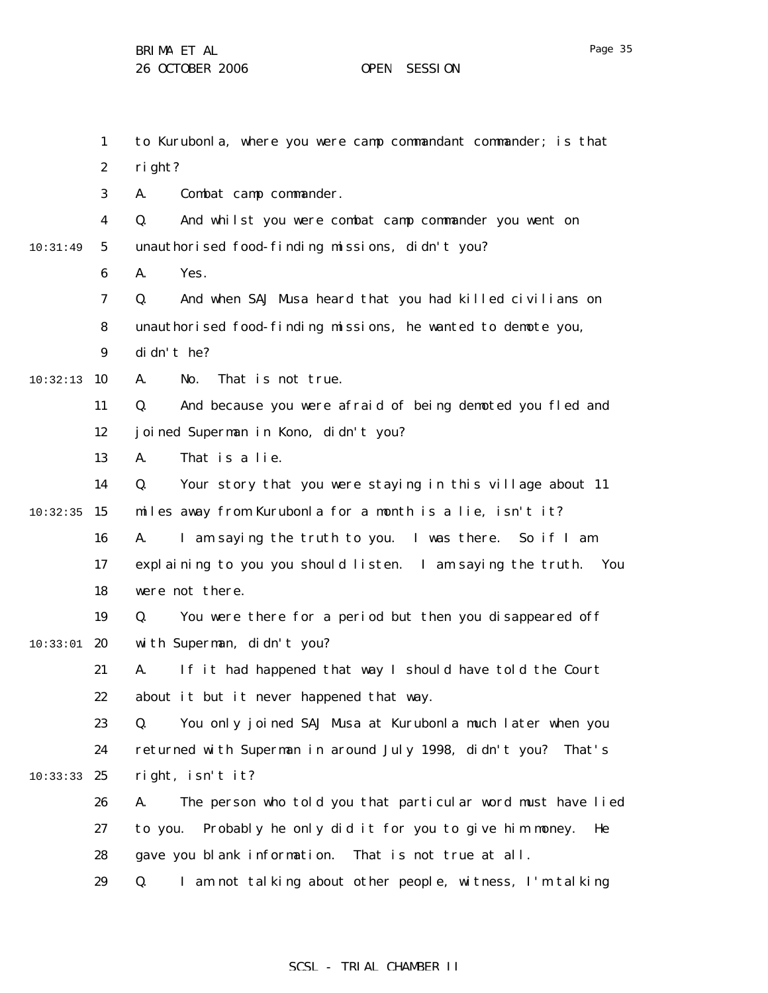Page 35

|          | $\mathbf{1}$     | to Kurubonla, where you were camp commandant commander; is that     |
|----------|------------------|---------------------------------------------------------------------|
|          | $\boldsymbol{2}$ | right?                                                              |
|          | 3                | Combat camp commander.<br>A.                                        |
|          | 4                | And whilst you were combat camp commander you went on<br>Q.         |
| 10:31:49 | $5\phantom{.0}$  | unauthorised food-finding missions, didn't you?                     |
|          | 6                | Yes.<br>A.                                                          |
|          | 7                | And when SAJ Musa heard that you had killed civilians on<br>Q.      |
|          | 8                | unauthorised food-finding missions, he wanted to demote you,        |
|          | $\boldsymbol{9}$ | di dn't he?                                                         |
| 10:32:13 | 10               | That is not true.<br>A.<br>No.                                      |
|          | 11               | And because you were afraid of being demoted you fled and<br>Q.     |
|          | 12               | joined Superman in Kono, didn't you?                                |
|          | 13               | That is a lie.<br>A.                                                |
|          | 14               | Your story that you were staying in this village about 11<br>Q.     |
| 10:32:35 | 15               | miles away from Kurubonla for a month is a lie, isn't it?           |
|          | 16               | I am saying the truth to you. I was there. So if I am<br>A.         |
|          | 17               | explaining to you you should listen. I am saying the truth. You     |
|          | 18               | were not there.                                                     |
|          | 19               | You were there for a period but then you disappeared off<br>Q.      |
| 10:33:01 | 20               | with Superman, didn't you?                                          |
|          | 21               | If it had happened that way I should have told the Court<br>A.      |
|          | 22               | about it but it never happened that way.                            |
|          | 23               | You only joined SAJ Musa at Kurubonla much later when you<br>Q.     |
|          | 24               | returned with Superman in around July 1998, didn't you? That's      |
| 10:33:33 | 25               | right, isn't it?                                                    |
|          | 26               | The person who told you that particular word must have lied<br>A.   |
|          | 27               | Probably he only did it for you to give him money.<br>to you.<br>He |
|          | 28               | gave you blank information. That is not true at all.                |
|          | 29               | I am not talking about other people, witness, I'm talking<br>Q.     |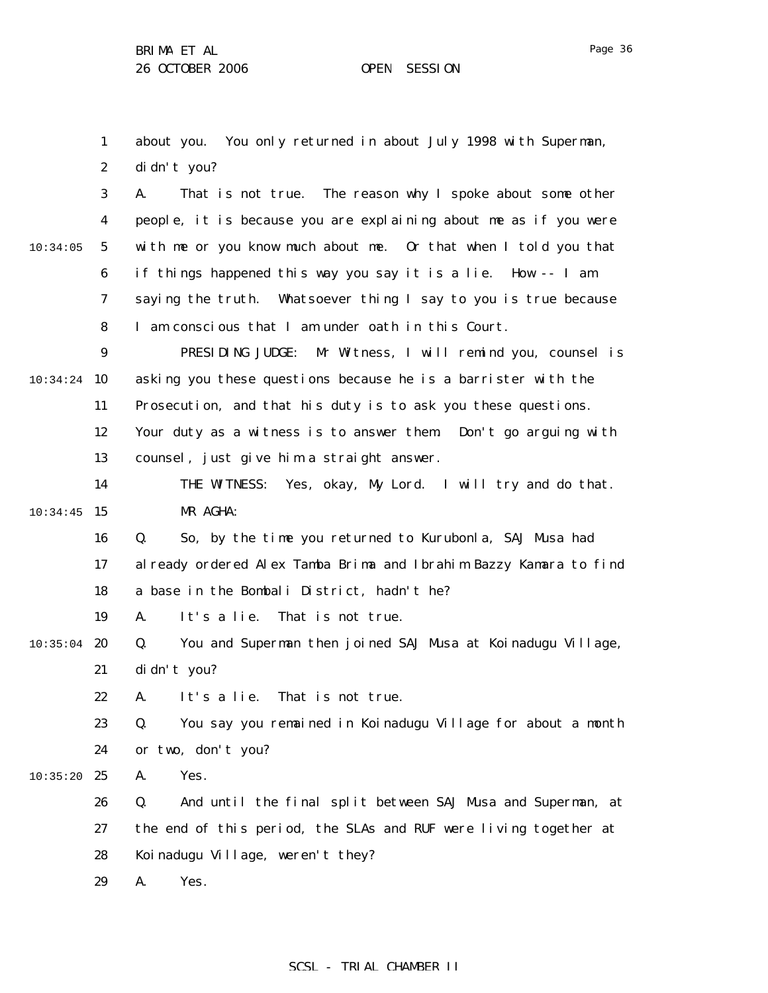1

2

3

4

5

6

7

8

9

11

12

13

14

16

17

18

19

21

22

23

24

26

27

28

29

10:34:24 10

10:34:05

 $10:34:45$  15

 $10:35:04$  20

 $10:35:20$  25

about you. You only returned in about July 1998 with Superman,

didn't you? A. That is not true. The reason why I spoke about some other people, it is because you are explaining about me as if you were with me or you know much about me. Or that when I told you that if things happened this way you say it is a lie. How -- I am saying the truth. Whatsoever thing I say to you is true because I am conscious that I am under oath in this Court. PRESIDING JUDGE: Mr Witness, I will remind you, counsel is asking you these questions because he is a barrister with the Prosecution, and that his duty is to ask you these questions. Your duty as a witness is to answer them. Don't go arguing with counsel, just give him a straight answer. THE WITNESS: Yes, okay, My Lord. I will try and do that. MR AGHA: Q. So, by the time you returned to Kurubonla, SAJ Musa had already ordered Alex Tamba Brima and Ibrahim Bazzy Kamara to find a base in the Bombali District, hadn't he? A. It's a lie. That is not true. Q. You and Superman then joined SAJ Musa at Koinadugu Village, didn't you? A. It's a lie. That is not true. Q. You say you remained in Koinadugu Village for about a month or two, don't you? A. Yes. Q. And until the final split between SAJ Musa and Superman, at the end of this period, the SLAs and RUF were living together at Koinadugu Village, weren't they? A. Yes.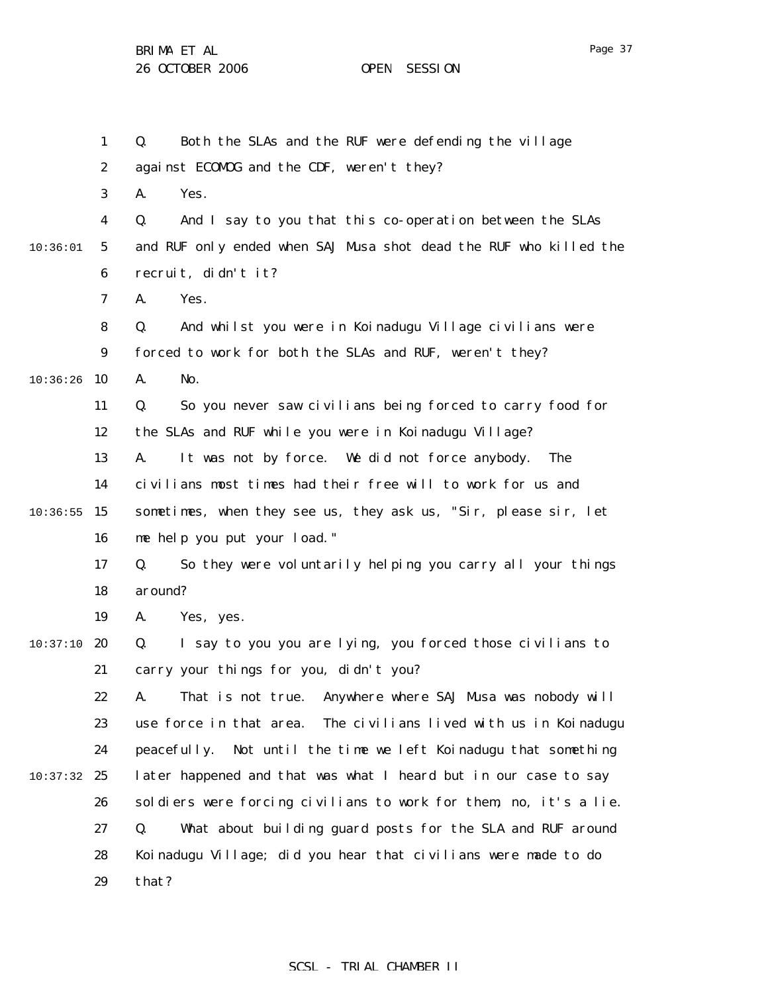1

2

3

4

5

6

7

8

9

11

12

13

14

16

17

18

19

21

22

23

24

26

 $10:36:26$  10

10:36:01

 $10:36:55$  15

 $10:37:10$  20

10:37:32 25

Q. Both the SLAs and the RUF were defending the village against ECOMOG and the CDF, weren't they? A. Yes. Q. And I say to you that this co-operation between the SLAs and RUF only ended when SAJ Musa shot dead the RUF who killed the recruit, didn't it? A. Yes. Q. And whilst you were in Koinadugu Village civilians were forced to work for both the SLAs and RUF, weren't they? A. No. Q. So you never saw civilians being forced to carry food for the SLAs and RUF while you were in Koinadugu Village? A. It was not by force. We did not force anybody. The civilians most times had their free will to work for us and sometimes, when they see us, they ask us, "Sir, please sir, let me help you put your load." Q. So they were voluntarily helping you carry all your things around? A. Yes, yes. Q. I say to you you are lying, you forced those civilians to carry your things for you, didn't you? A. That is not true. Anywhere where SAJ Musa was nobody will use force in that area. The civilians lived with us in Koinadugu peacefully. Not until the time we left Koinadugu that something later happened and that was what I heard but in our case to say soldiers were forcing civilians to work for them, no, it's a lie. Q. What about building guard posts for the SLA and RUF around

27 28 29 Koinadugu Village; did you hear that civilians were made to do that?

#### SCSL - TRIAL CHAMBER II

Page 37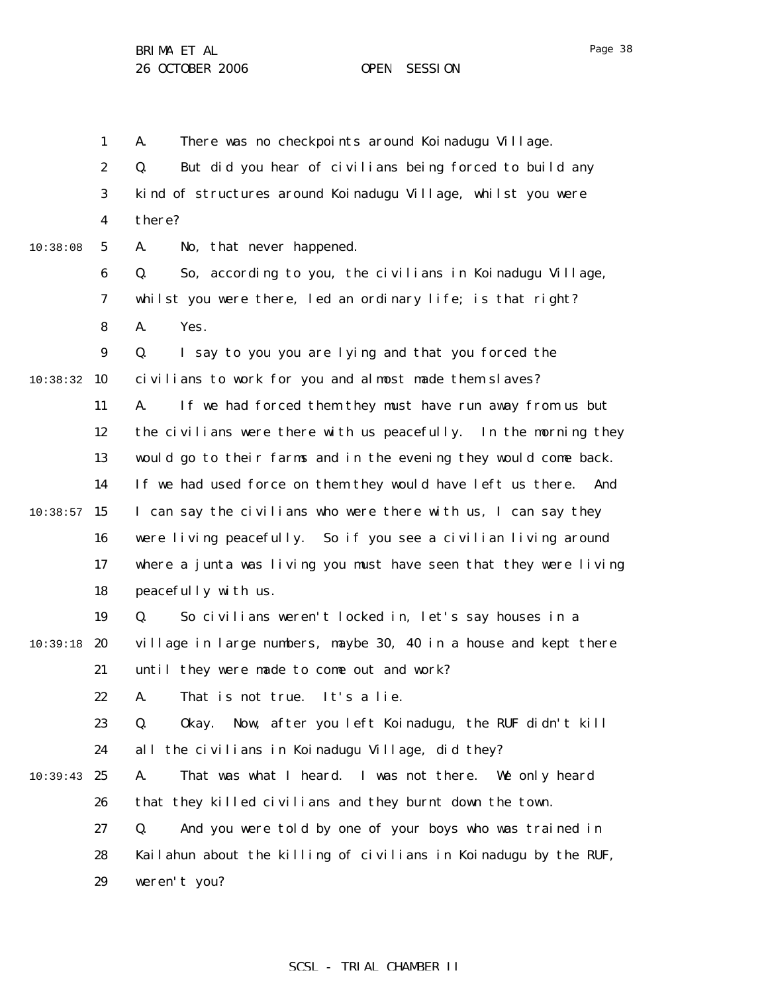1 2 3 4 5 6 7 8 9 10:38:32 10 11 12 13 14  $10:38:57$  15 16 17 18 19 10:39:18 20 21 22 23 24  $10:39:43$  25 26 27 28 29 10:38:08 A. There was no checkpoints around Koinadugu Village. Q. But did you hear of civilians being forced to build any kind of structures around Koinadugu Village, whilst you were there? A. No, that never happened. Q. So, according to you, the civilians in Koinadugu Village, whilst you were there, led an ordinary life; is that right? A. Yes. Q. I say to you you are lying and that you forced the civilians to work for you and almost made them slaves? A. If we had forced them they must have run away from us but the civilians were there with us peacefully. In the morning they would go to their farms and in the evening they would come back. If we had used force on them they would have left us there. And I can say the civilians who were there with us, I can say they were living peacefully. So if you see a civilian living around where a junta was living you must have seen that they were living peacefully with us. Q. So civilians weren't locked in, let's say houses in a village in large numbers, maybe 30, 40 in a house and kept there until they were made to come out and work? A. That is not true. It's a lie. Q. Okay. Now, after you left Koinadugu, the RUF didn't kill all the civilians in Koinadugu Village, did they? A. That was what I heard. I was not there. We only heard that they killed civilians and they burnt down the town. Q. And you were told by one of your boys who was trained in Kailahun about the killing of civilians in Koinadugu by the RUF, weren't you?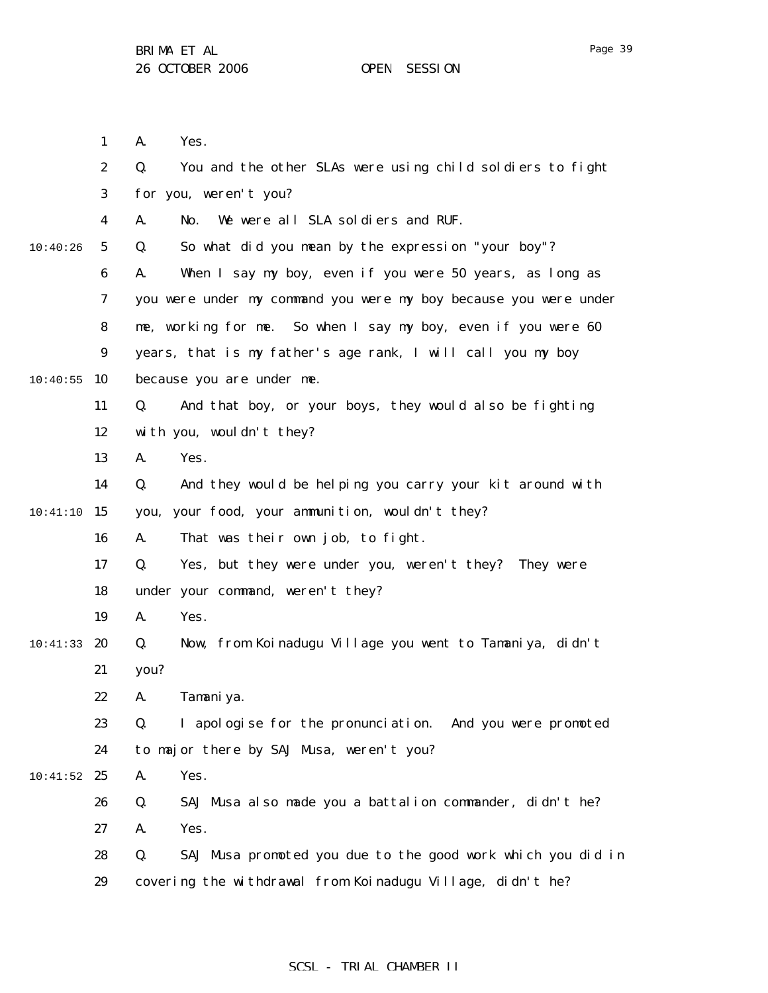|          | $\mathbf{1}$     | A.<br>Yes.                                                        |
|----------|------------------|-------------------------------------------------------------------|
|          | $\boldsymbol{2}$ | You and the other SLAs were using child soldiers to fight<br>Q.   |
|          | 3                | for you, weren't you?                                             |
|          | 4                | We were all SLA soldiers and RUF.<br>A.<br>No.                    |
| 10:40:26 | $5\phantom{.0}$  | So what did you mean by the expression "your boy"?<br>Q.          |
|          | $\boldsymbol{6}$ | When I say my boy, even if you were 50 years, as long as<br>A.    |
|          | $\boldsymbol{7}$ | you were under my command you were my boy because you were under  |
|          | 8                | me, working for me. So when I say my boy, even if you were 60     |
|          | $\boldsymbol{9}$ | years, that is my father's age rank, I will call you my boy       |
| 10:40:55 | 10               | because you are under me.                                         |
|          | 11               | And that boy, or your boys, they would also be fighting<br>Q.     |
|          | 12               | with you, wouldn't they?                                          |
|          | 13               | A.<br>Yes.                                                        |
|          | 14               | And they would be helping you carry your kit around with<br>Q.    |
| 10:41:10 | 15               | your food, your ammunition, wouldn't they?<br>you,                |
|          | 16               | That was their own job, to fight.<br>A.                           |
|          | 17               | Yes, but they were under you, weren't they? They were<br>Q.       |
|          | 18               | under your command, weren't they?                                 |
|          | 19               | A.<br>Yes.                                                        |
| 10:41:33 | 20               | Now, from Koinadugu Village you went to Tamaniya, didn't<br>Q.    |
|          | 21               | you?                                                              |
|          | 22               | Tamani ya.<br>A.                                                  |
|          | 23               | I apologise for the pronunciation. And you were promoted<br>Q.    |
|          | 24               | to major there by SAJ Musa, weren't you?                          |
| 10:41:52 | 25               | Yes.<br>A.                                                        |
|          | 26               | SAJ Musa also made you a battalion commander, didn't he?<br>Q.    |
|          | 27               | Yes.<br>A.                                                        |
|          | 28               | Q.<br>SAJ Musa promoted you due to the good work which you did in |
|          | 29               | covering the withdrawal from Koinadugu Village, didn't he?        |
|          |                  |                                                                   |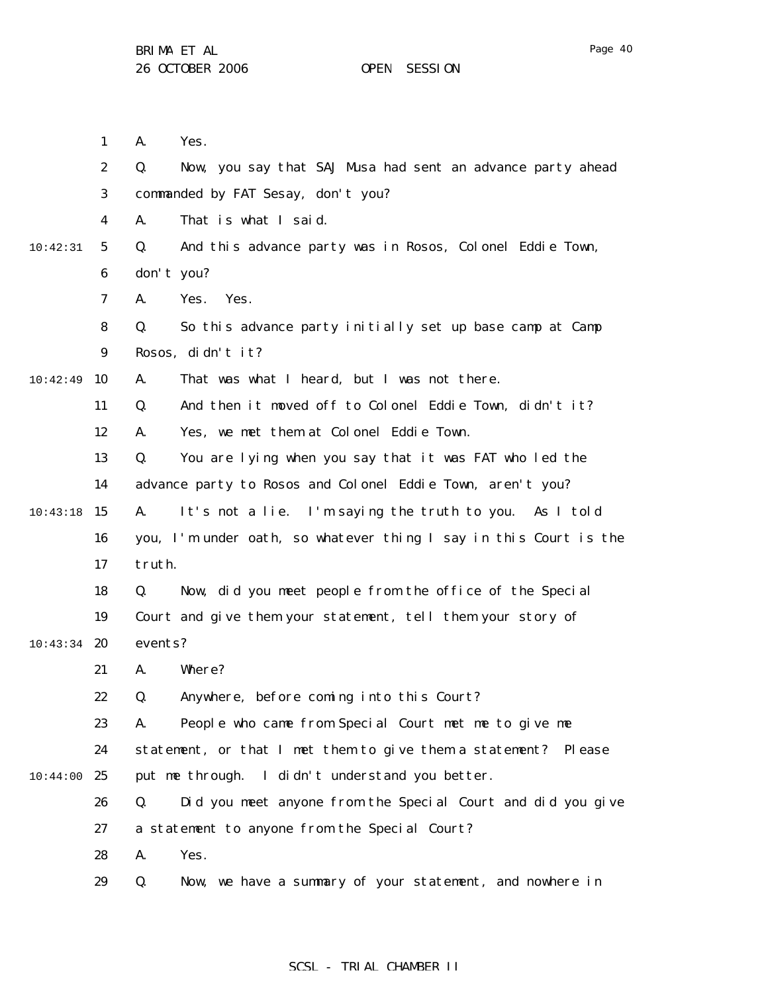1 2 3 4 5 6 7 8 9 10:42:49 10 11 12 13 14  $10:43:18$  15 16 17 18 19  $10:43:34$  20 21 22 23 24 10:44:00 25 26 27 28 29 10:42:31 A. Yes. Q. Now, you say that SAJ Musa had sent an advance party ahead commanded by FAT Sesay, don't you? A. That is what I said. Q. And this advance party was in Rosos, Colonel Eddie Town, don't you? A. Yes. Yes. Q. So this advance party initially set up base camp at Camp Rosos, didn't it? A. That was what I heard, but I was not there. Q. And then it moved off to Colonel Eddie Town, didn't it? A. Yes, we met them at Colonel Eddie Town. Q. You are lying when you say that it was FAT who led the advance party to Rosos and Colonel Eddie Town, aren't you? A. It's not a lie. I'm saying the truth to you. As I told you, I'm under oath, so whatever thing I say in this Court is the truth. Q. Now, did you meet people from the office of the Special Court and give them your statement, tell them your story of events? A. Where? Q. Anywhere, before coming into this Court? A. People who came from Special Court met me to give me statement, or that I met them to give them a statement? Please put me through. I didn't understand you better. Q. Did you meet anyone from the Special Court and did you give a statement to anyone from the Special Court? A. Yes. Q. Now, we have a summary of your statement, and nowhere in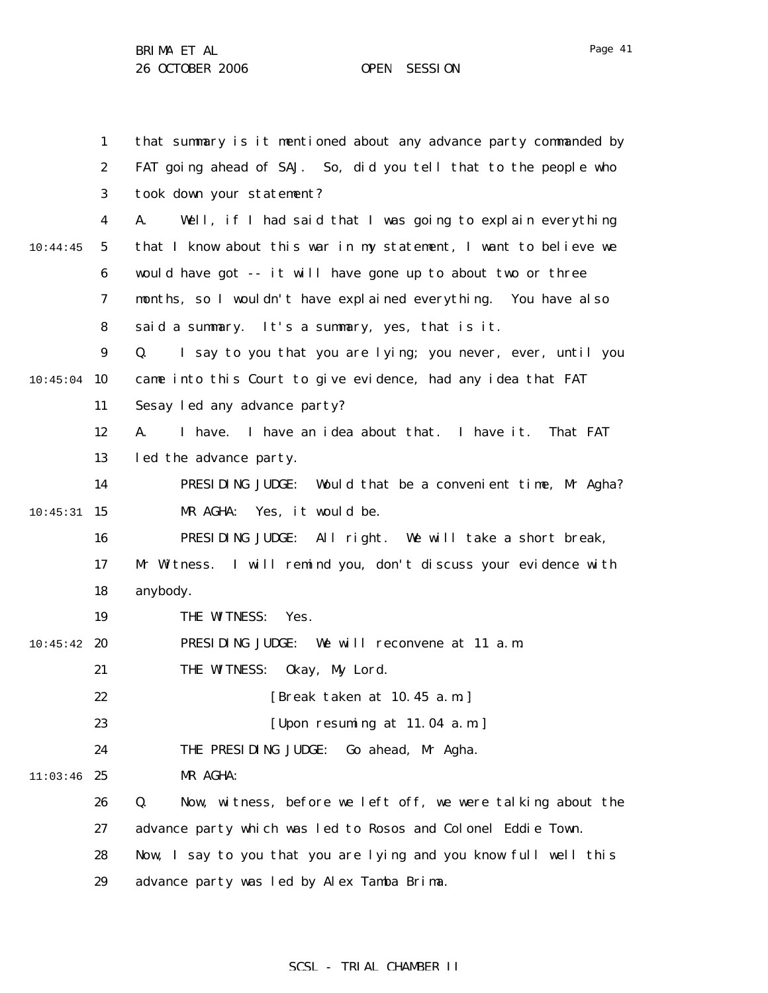1 2 3 4 5 6 7 8 9  $10:45:04$  10 11 12 13 14  $10:45:31$  15 16 17 18 19  $10:45:42$  20 21 22 23 24 11:03:46 25 26 27 28 10:44:45 that summary is it mentioned about any advance party commanded by FAT going ahead of SAJ. So, did you tell that to the people who took down your statement? A. Well, if I had said that I was going to explain everything that I know about this war in my statement, I want to believe we would have got -- it will have gone up to about two or three months, so I wouldn't have explained everything. You have also said a summary. It's a summary, yes, that is it. Q. I say to you that you are lying; you never, ever, until you came into this Court to give evidence, had any idea that FAT Sesay led any advance party? A. I have. I have an idea about that. I have it. That FAT led the advance party. PRESIDING JUDGE: Would that be a convenient time, Mr Agha? MR AGHA: Yes, it would be. PRESIDING JUDGE: All right. We will take a short break, Mr Witness. I will remind you, don't discuss your evidence with anybody. THE WITNESS: Yes. PRESIDING JUDGE: We will reconvene at 11 a.m. THE WITNESS: Okay, My Lord. [Break taken at 10.45 a.m.] [Upon resuming at 11.04 a.m.] THE PRESIDING JUDGE: Go ahead, Mr Agha. MR AGHA: Q. Now, witness, before we left off, we were talking about the advance party which was led to Rosos and Colonel Eddie Town. Now, I say to you that you are lying and you know full well this

29 advance party was led by Alex Tamba Brima.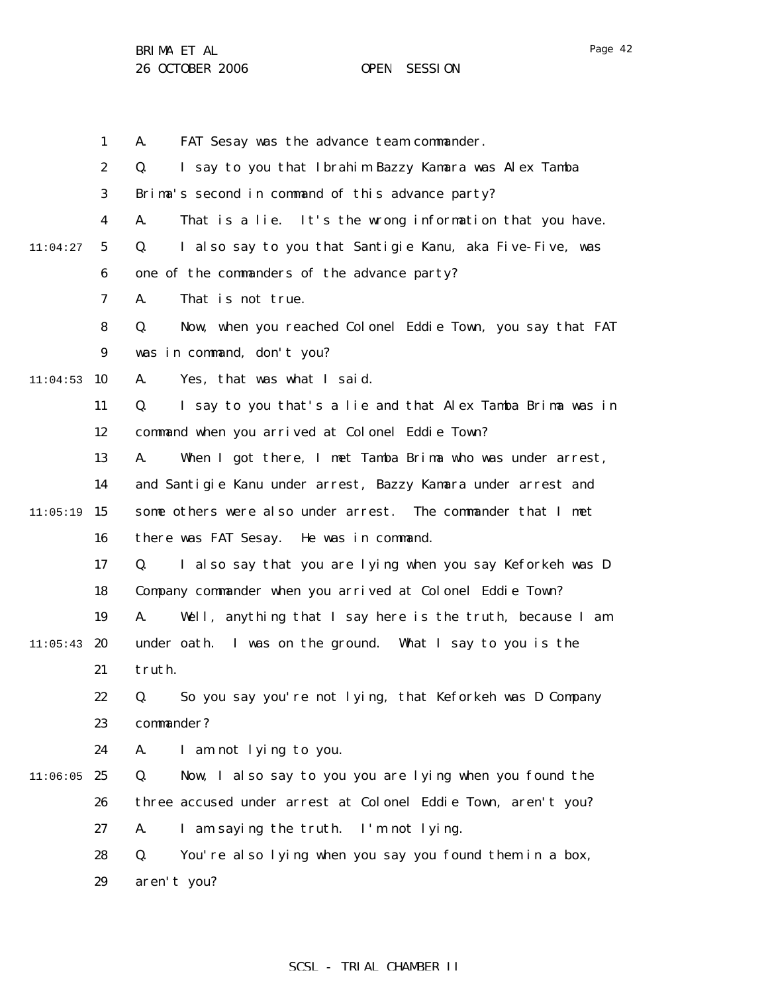1 2 3 4 5 6 7 8 9  $11:04:53$  10 11 12 13 14  $11:05:19$  15 16 17 18 19  $11:05:43$  20 21 22 23 24  $11:06:05$  25 26 27 28 29 11:04:27 A. FAT Sesay was the advance team commander. Q. I say to you that Ibrahim Bazzy Kamara was Alex Tamba Brima's second in command of this advance party? A. That is a lie. It's the wrong information that you have. Q. I also say to you that Santigie Kanu, aka Five-Five, was one of the commanders of the advance party? A. That is not true. Q. Now, when you reached Colonel Eddie Town, you say that FAT was in command, don't you? A. Yes, that was what I said. Q. I say to you that's a lie and that Alex Tamba Brima was in command when you arrived at Colonel Eddie Town? A. When I got there, I met Tamba Brima who was under arrest, and Santigie Kanu under arrest, Bazzy Kamara under arrest and some others were also under arrest. The commander that I met there was FAT Sesay. He was in command. Q. I also say that you are lying when you say Keforkeh was D Company commander when you arrived at Colonel Eddie Town? A. Well, anything that I say here is the truth, because I am under oath. I was on the ground. What I say to you is the truth. Q. So you say you're not lying, that Keforkeh was D Company commander? A. I am not lying to you. Q. Now, I also say to you you are lying when you found the three accused under arrest at Colonel Eddie Town, aren't you? A. I am saying the truth. I'm not lying. Q. You're also lying when you say you found them in a box, aren't you?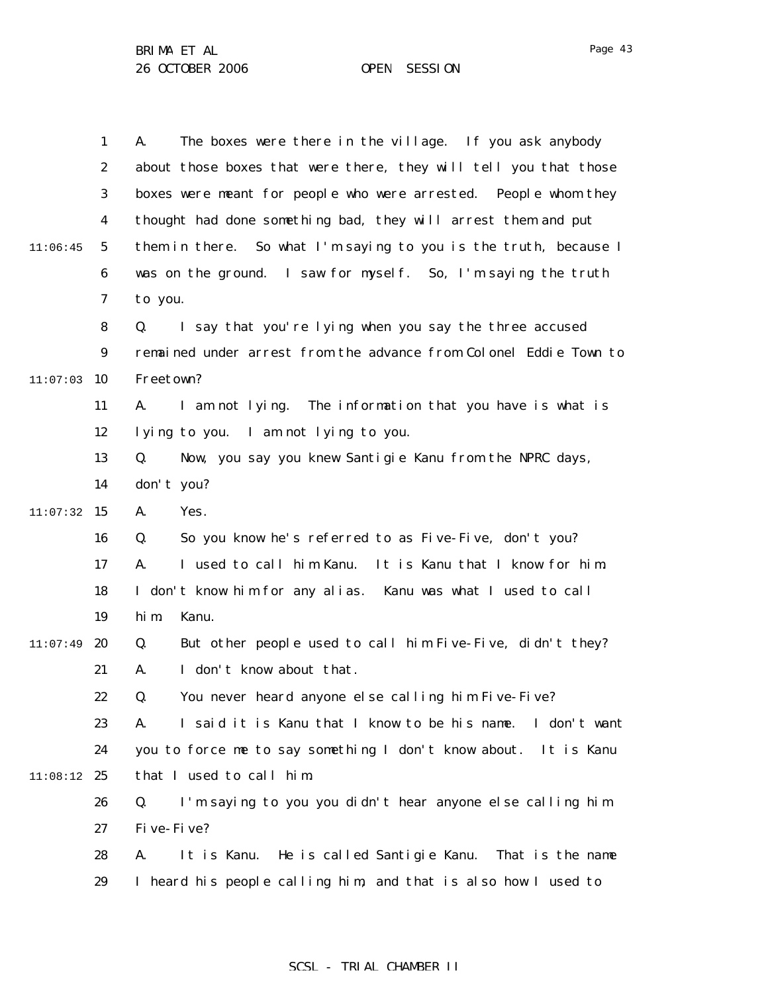|          | $\mathbf{1}$     | The boxes were there in the village. If you ask anybody<br>A.       |
|----------|------------------|---------------------------------------------------------------------|
|          | $\boldsymbol{2}$ | about those boxes that were there, they will tell you that those    |
|          | 3                | boxes were meant for people who were arrested. People whom they     |
|          |                  | thought had done something bad, they will arrest them and put       |
|          | $\boldsymbol{4}$ |                                                                     |
| 11:06:45 | $\mathbf{5}$     | them in there. So what I'm saying to you is the truth, because I    |
|          | 6                | was on the ground. I saw for myself. So, I'm saying the truth       |
|          | 7                | to you.                                                             |
|          | 8                | I say that you're lying when you say the three accused<br>Q.        |
|          | $\boldsymbol{9}$ | remained under arrest from the advance from Colonel Eddie Town to   |
| 11:07:03 | 10               | Freetown?                                                           |
|          | 11               | I am not lying. The information that you have is what is<br>A.      |
|          | 12               | lying to you. I am not lying to you.                                |
|          | 13               | Q.<br>Now, you say you knew Santigie Kanu from the NPRC days,       |
|          | 14               | don't you?                                                          |
| 11:07:32 | 15               | Yes.<br>A.                                                          |
|          | 16               | So you know he's referred to as Five-Five, don't you?<br>Q.         |
|          | 17               | I used to call him Kanu. It is Kanu that I know for him.<br>A.      |
|          | 18               | I don't know him for any alias. Kanu was what I used to call        |
|          | 19               | hi m<br>Kanu.                                                       |
| 11:07:49 | 20               | But other people used to call him Five-Five, didn't they?<br>Q.     |
|          | 21               | I don't know about that.<br>A.                                      |
|          | 22               | You never heard anyone else calling him Five-Five?<br>Q.            |
|          | 23               | I said it is Kanu that I know to be his name.<br>I don't want<br>A. |
|          | 24               | you to force me to say something I don't know about. It is Kanu     |
| 11:08:12 | 25               | that I used to call him.                                            |
|          | 26               | I'm saying to you you didn't hear anyone else calling him<br>Q.     |
|          | 27               | Five-Five?                                                          |
|          | 28               | He is called Santigie Kanu. That is the name<br>It is Kanu.<br>A.   |
|          | 29               | I heard his people calling him, and that is also how I used to      |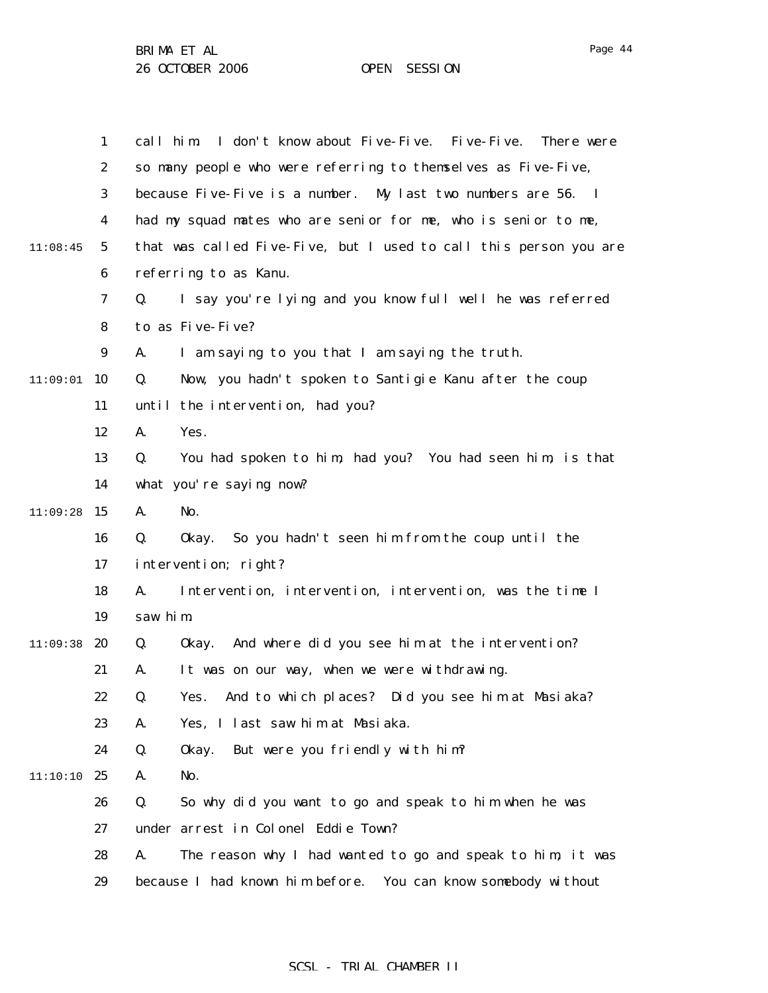1 2 3 4 5 6 7 8 9  $11:09:01$  10 11 12 13 14  $11:09:28$  15 16 17 18 19  $11:09:38$  20 21 22 23 24 11:10:10 25 26 27 28 29 11:08:45 call him. I don't know about Five-Five. Five-Five. There were so many people who were referring to themselves as Five-Five, because Five-Five is a number. My last two numbers are 56. I had my squad mates who are senior for me, who is senior to me, that was called Five-Five, but I used to call this person you are referring to as Kanu. Q. I say you're lying and you know full well he was referred to as Five-Five? A. I am saying to you that I am saying the truth. Q. Now, you hadn't spoken to Santigie Kanu after the coup until the intervention, had you? A. Yes. Q. You had spoken to him, had you? You had seen him, is that what you're saying now? A. No. Q. Okay. So you hadn't seen him from the coup until the intervention; right? A. Intervention, intervention, intervention, was the time I saw him. Q. Okay. And where did you see him at the intervention? A. It was on our way, when we were withdrawing. Q. Yes. And to which places? Did you see him at Masiaka? A. Yes, I last saw him at Masiaka. Q. Okay. But were you friendly with him? A. No. Q. So why did you want to go and speak to him when he was under arrest in Colonel Eddie Town? A. The reason why I had wanted to go and speak to him, it was because I had known him before. You can know somebody without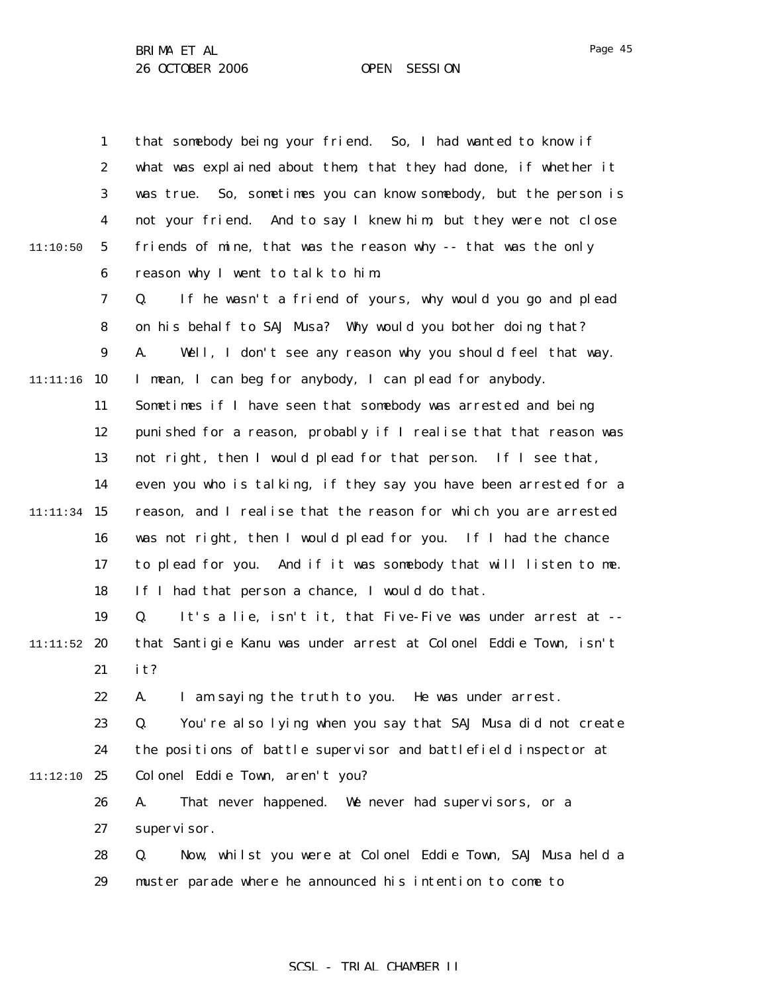|          | $\mathbf{1}$     | that somebody being your friend. So, I had wanted to know if        |
|----------|------------------|---------------------------------------------------------------------|
|          | $\boldsymbol{2}$ | what was explained about them, that they had done, if whether it    |
|          | 3                | So, sometimes you can know somebody, but the person is<br>was true. |
|          | 4                | not your friend. And to say I knew him, but they were not close     |
| 11:10:50 | $\mathbf{5}$     | friends of mine, that was the reason why -- that was the only       |
|          | 6                | reason why I went to talk to him.                                   |
|          | 7                | If he wasn't a friend of yours, why would you go and plead<br>Q.    |
|          | 8                | on his behalf to SAJ Musa? Why would you bother doing that?         |
|          | $\boldsymbol{9}$ | Well, I don't see any reason why you should feel that way.<br>A.    |
| 11:11:16 | 10               | I mean, I can beg for anybody, I can plead for anybody.             |
|          | 11               | Sometimes if I have seen that somebody was arrested and being       |
|          | 12               | punished for a reason, probably if I realise that that reason was   |
|          | 13               | not right, then I would plead for that person. If I see that,       |
|          | 14               | even you who is talking, if they say you have been arrested for a   |
| 11:11:34 | 15               | reason, and I realise that the reason for which you are arrested    |
|          | 16               | was not right, then I would plead for you. If I had the chance      |
|          | 17               | to plead for you. And if it was somebody that will listen to me.    |
|          | 18               | If I had that person a chance, I would do that.                     |
|          | 19               | It's a lie, isn't it, that Five-Five was under arrest at --<br>Q.   |
| 11:11:52 | 20               | that Santigie Kanu was under arrest at Colonel Eddie Town, isn't    |
|          | 21               | it?                                                                 |
|          | 22               | I am saying the truth to you. He was under arrest.<br>A.            |
|          | 23               | Q.<br>You're also lying when you say that SAJ Musa did not create   |
|          | 24               | the positions of battle supervisor and battlefield inspector at     |
| 11:12:10 | - 25             | Colonel Eddie Town, aren't you?                                     |
|          | 26               | That never happened. We never had supervisors, or a<br>A.           |
|          | 27               | supervi sor.                                                        |
|          | 28               | Now, whilst you were at Colonel Eddie Town, SAJ Musa held a<br>Q.   |
|          | 29               | muster parade where he announced his intention to come to           |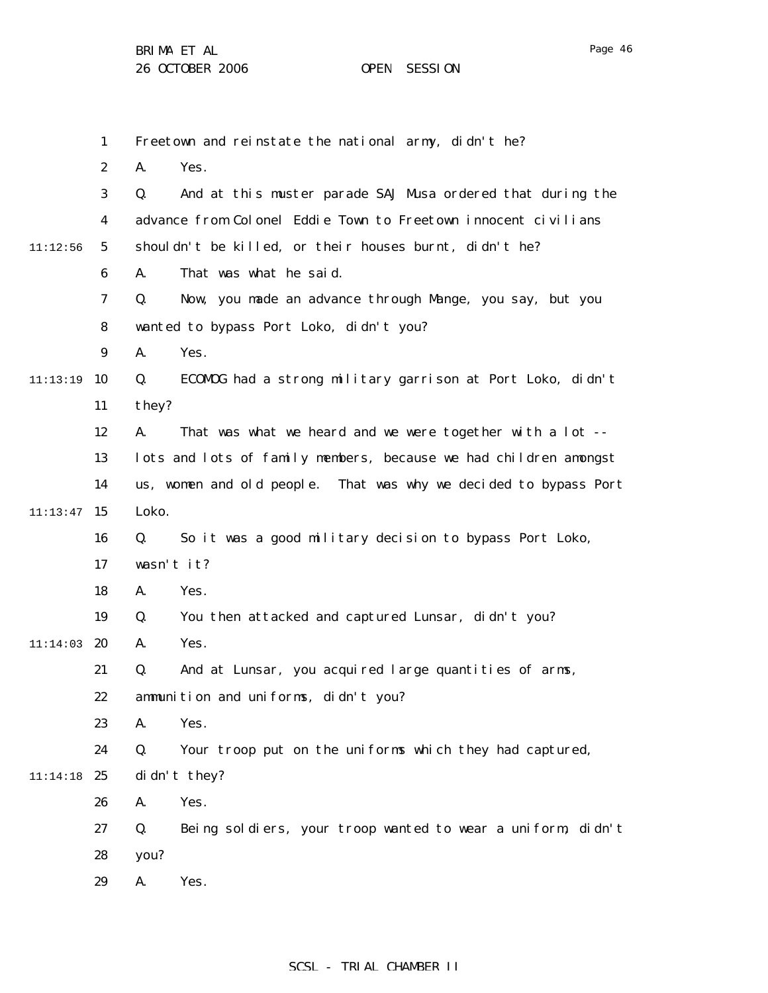|          | $\mathbf{1}$     | Freetown and reinstate the national army, didn't he?              |
|----------|------------------|-------------------------------------------------------------------|
|          | $\boldsymbol{2}$ | A.<br>Yes.                                                        |
|          | 3                | And at this muster parade SAJ Musa ordered that during the<br>Q.  |
|          | 4                | advance from Colonel Eddie Town to Freetown innocent civilians    |
| 11:12:56 | $5\overline{)}$  | shouldn't be killed, or their houses burnt, didn't he?            |
|          | 6                | That was what he said.<br>A.                                      |
|          | $\mathbf 7$      | Now, you made an advance through Mange, you say, but you<br>Q.    |
|          | 8                | wanted to bypass Port Loko, didn't you?                           |
|          | $\boldsymbol{9}$ | A.<br>Yes.                                                        |
| 11:13:19 | 10               | ECOMOG had a strong military garrison at Port Loko, didn't<br>Q.  |
|          | 11               | they?                                                             |
|          | 12               | That was what we heard and we were together with a lot --<br>A.   |
|          | 13               | lots and lots of family members, because we had children amongst  |
|          | 14               | us, women and old people. That was why we decided to bypass Port  |
| 11:13:47 | 15               | Loko.                                                             |
|          | 16               | So it was a good military decision to bypass Port Loko,<br>Q.     |
|          | 17               | wasn't it?                                                        |
|          | 18               | Yes.<br>A.                                                        |
|          | 19               | You then attacked and captured Lunsar, didn't you?<br>Q.          |
| 11:14:03 | 20               | Yes.<br>A.                                                        |
|          | 21               | And at Lunsar, you acquired large quantities of arms,<br>Q.       |
|          | 22               | ammunition and uniforms, didn't you?                              |
|          | 23               | Yes.<br>A.                                                        |
|          | 24               | Your troop put on the uniforms which they had captured,<br>Q.     |
| 11:14:18 | 25               | didn't they?                                                      |
|          | 26               | Yes.<br>A.                                                        |
|          | 27               | Q.<br>Being soldiers, your troop wanted to wear a uniform, didn't |
|          | 28               | you?                                                              |
|          | 29               | A.<br>Yes.                                                        |
|          |                  |                                                                   |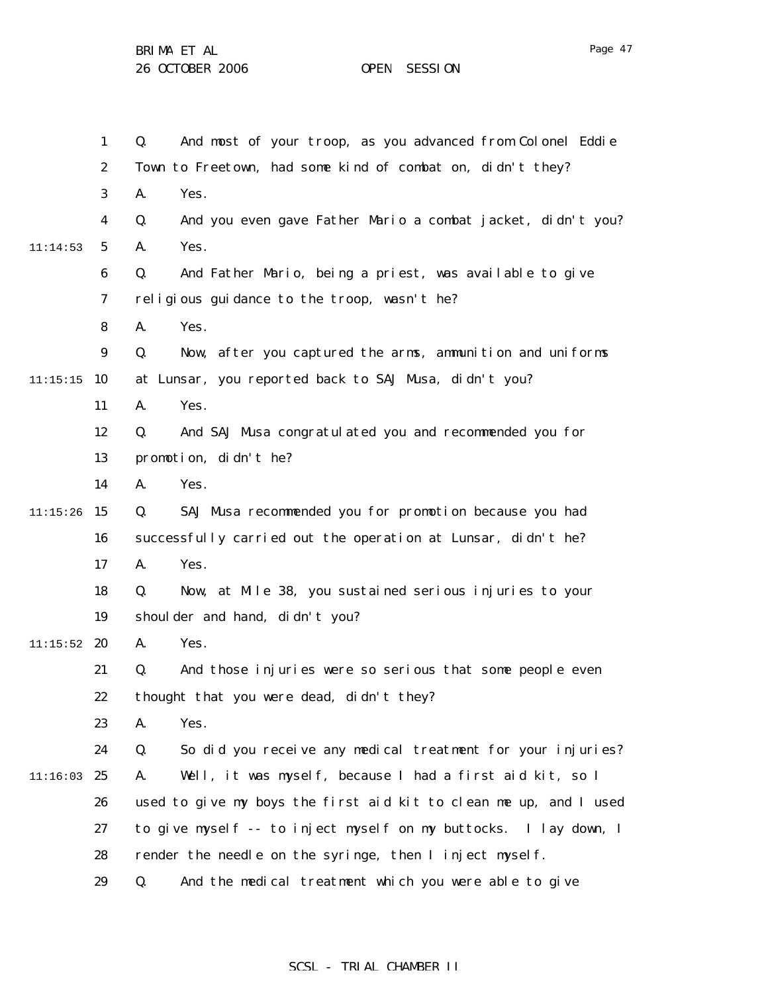1 2 3 4 5 6 7 8 9  $11:15:15$  10 11 12 13 14  $11:15:26$  15 16 17 18 19  $11:15:52$  20 21 22 23 24 11:16:03 25 26 27 28 29 11:14:53 Q. And most of your troop, as you advanced from Colonel Eddie Town to Freetown, had some kind of combat on, didn't they? A. Yes. Q. And you even gave Father Mario a combat jacket, didn't you? A. Yes. Q. And Father Mario, being a priest, was available to give religious guidance to the troop, wasn't he? A. Yes. Q. Now, after you captured the arms, ammunition and uniforms at Lunsar, you reported back to SAJ Musa, didn't you? A. Yes. Q. And SAJ Musa congratulated you and recommended you for promotion, didn't he? A. Yes. Q. SAJ Musa recommended you for promotion because you had successfully carried out the operation at Lunsar, didn't he? A. Yes. Q. Now, at Mile 38, you sustained serious injuries to your shoulder and hand, didn't you? A. Yes. Q. And those injuries were so serious that some people even thought that you were dead, didn't they? A. Yes. Q. So did you receive any medical treatment for your injuries? A. Well, it was myself, because I had a first aid kit, so I used to give my boys the first aid kit to clean me up, and I used to give myself -- to inject myself on my buttocks. I lay down, I render the needle on the syringe, then I inject myself. Q. And the medical treatment which you were able to give

#### SCSL - TRIAL CHAMBER II

Page 47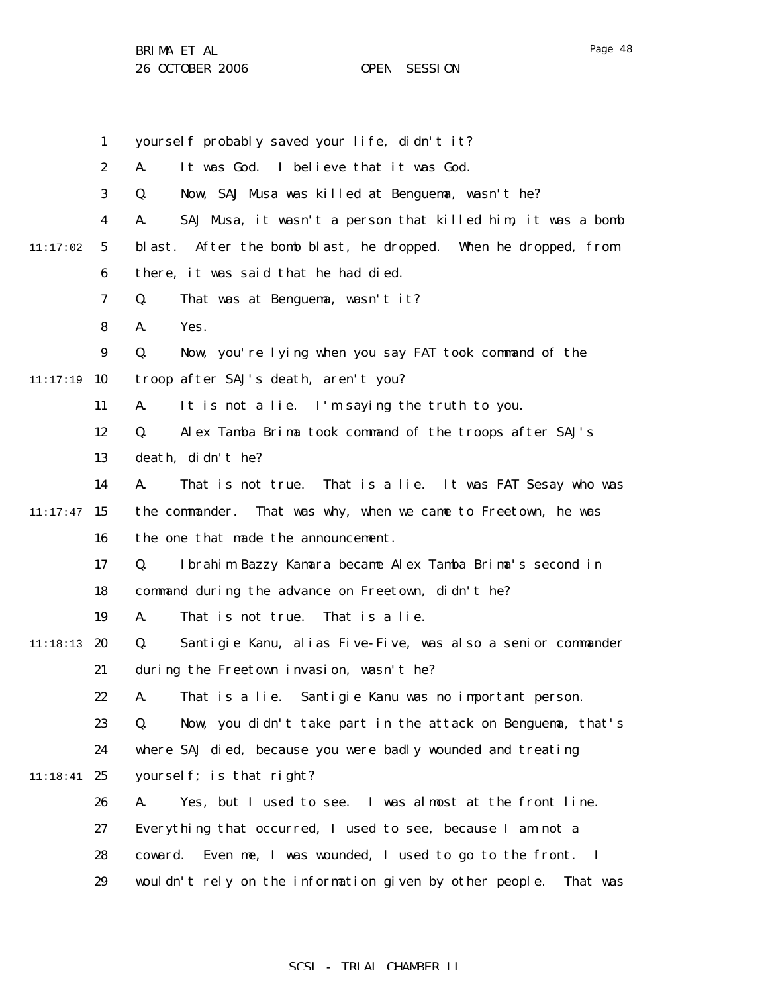|          | $\mathbf{1}$     | yourself probably saved your life, didn't it?                       |
|----------|------------------|---------------------------------------------------------------------|
|          | $\boldsymbol{2}$ | It was God. I believe that it was God.<br>A.                        |
|          | 3                | Q.<br>Now, SAJ Musa was killed at Benguema, wasn't he?              |
|          | 4                | SAJ Musa, it wasn't a person that killed him, it was a bomb<br>A.   |
| 11:17:02 | $5\phantom{.0}$  | After the bomb blast, he dropped. When he dropped, from<br>bl ast.  |
|          | 6                | there, it was said that he had died.                                |
|          | 7                | That was at Benguema, wasn't it?<br>Q.                              |
|          | 8                | A.<br>Yes.                                                          |
|          | 9                | Now, you're lying when you say FAT took command of the<br>Q.        |
| 11:17:19 | 10               | troop after SAJ's death, aren't you?                                |
|          | 11               | A.<br>It is not a lie. I'm saying the truth to you.                 |
|          | 12               | Alex Tamba Brima took command of the troops after SAJ's<br>Q.       |
|          | 13               | death, didn't he?                                                   |
|          | 14               | A.<br>That is not true. That is a lie. It was FAT Sesay who was     |
| 11:17:47 | 15               | That was why, when we came to Freetown, he was<br>the commander.    |
|          | 16               | the one that made the announcement.                                 |
|          | 17               | Ibrahim Bazzy Kamara became Alex Tamba Brima's second in<br>Q.      |
|          | 18               | command during the advance on Freetown, didn't he?                  |
|          | 19               | That is not true.<br>That is a lie.<br>A.                           |
| 11:18:13 | 20               | Santigie Kanu, alias Five-Five, was also a senior commander<br>Q.   |
|          | 21               | during the Freetown invasion, wasn't he?                            |
|          | 22               | That is a lie. Santigie Kanu was no important person.<br>А.         |
|          | 23               | Q.<br>Now, you didn't take part in the attack on Benguema, that's   |
|          | 24               | where SAJ died, because you were badly wounded and treating         |
| 11:18:41 | 25               | yourself; is that right?                                            |
|          | 26               | Yes, but I used to see. I was almost at the front line.<br>A.       |
|          | 27               | Everything that occurred, I used to see, because I am not a         |
|          | 28               | coward. Even me, I was wounded, I used to go to the front. I        |
|          | 29               | wouldn't rely on the information given by other people.<br>That was |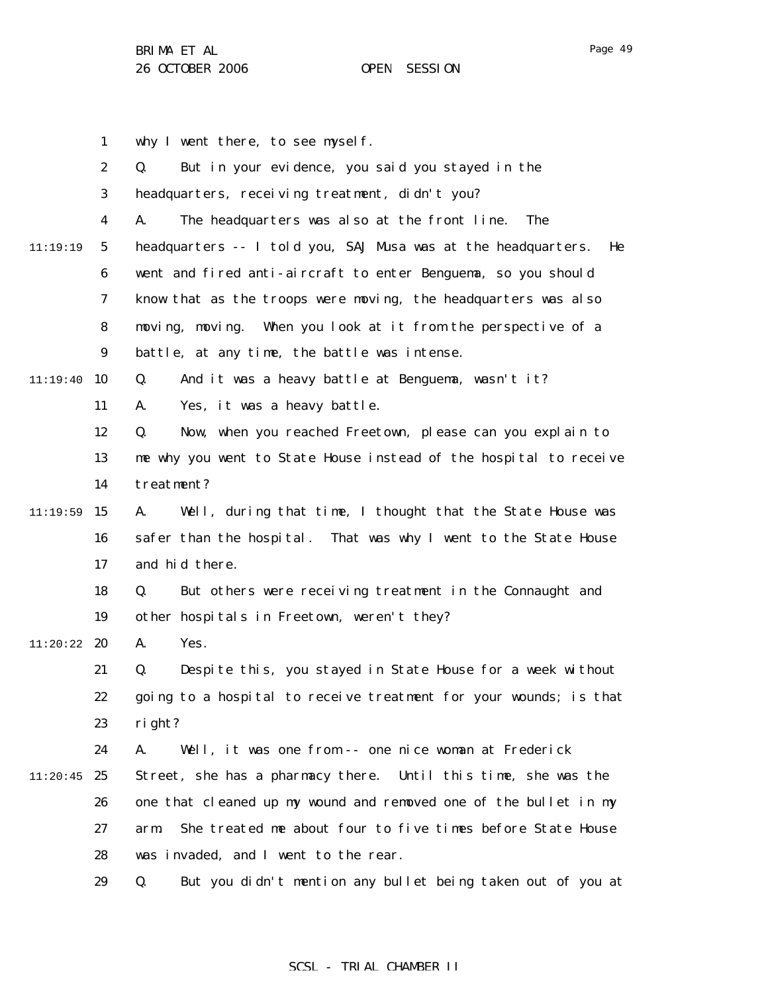why I went there, to see myself.

1

Page 49

|          | $\boldsymbol{2}$ | But in your evidence, you said you stayed in the<br>Q.              |
|----------|------------------|---------------------------------------------------------------------|
|          | 3                | headquarters, receiving treatment, didn't you?                      |
|          | 4                | The headquarters was also at the front line.<br>The<br>A.           |
| 11:19:19 | $\mathbf 5$      | headquarters -- I told you, SAJ Musa was at the headquarters.<br>He |
|          | $\boldsymbol{6}$ | went and fired anti-aircraft to enter Benguema, so you should       |
|          | 7                | know that as the troops were moving, the headquarters was also      |
|          | 8                | moving, moving. When you look at it from the perspective of a       |
|          | $\boldsymbol{9}$ | battle, at any time, the battle was intense.                        |
| 11:19:40 | 10               | And it was a heavy battle at Benguema, wasn't it?<br>Q.             |
|          | 11               | Yes, it was a heavy battle.<br>A.                                   |
|          | 12               | Now, when you reached Freetown, please can you explain to<br>Q.     |
|          | 13               | me why you went to State House instead of the hospital to receive   |
|          | 14               | treatment?                                                          |
| 11:19:59 | 15               | A.<br>Well, during that time, I thought that the State House was    |
|          | 16               | safer than the hospital. That was why I went to the State House     |
|          | 17               | and hid there.                                                      |
|          | 18               | But others were receiving treatment in the Connaught and<br>Q.      |
|          | 19               | other hospitals in Freetown, weren't they?                          |
| 11:20:22 | 20               | Yes.<br>A.                                                          |
|          | 21               | Despite this, you stayed in State House for a week without<br>Q.    |
|          | 22               | going to a hospital to receive treatment for your wounds; is that   |
|          | 23               | right?                                                              |
|          | 24               | Well, it was one from -- one nice woman at Frederick<br>A.          |
| 11:20:45 | 25               | Street, she has a pharmacy there. Until this time, she was the      |
|          | 26               | one that cleaned up my wound and removed one of the bullet in my    |
|          | 27               | She treated me about four to five times before State House<br>arm.  |
|          | 28               | was invaded, and I went to the rear.                                |
|          | 29               | But you didn't mention any bullet being taken out of you at<br>Q.   |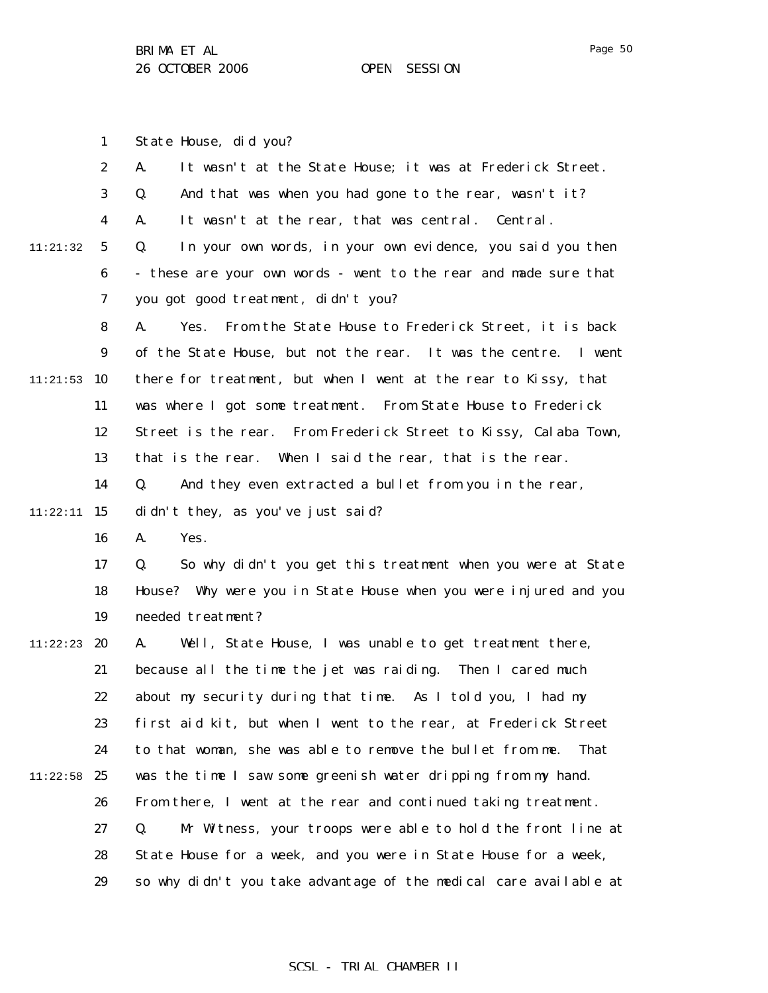1

7

Page 50

2 3 4 5 6 11:21:32 A. It wasn't at the State House; it was at Frederick Street. Q. And that was when you had gone to the rear, wasn't it? A. It wasn't at the rear, that was central. Central. Q. In your own words, in your own evidence, you said you then - these are your own words - went to the rear and made sure that

you got good treatment, didn't you?

State House, did you?

8 9  $11:21:53$  10 11 12 13 14 A. Yes. From the State House to Frederick Street, it is back of the State House, but not the rear. It was the centre. I went there for treatment, but when I went at the rear to Kissy, that was where I got some treatment. From State House to Frederick Street is the rear. From Frederick Street to Kissy, Calaba Town, that is the rear. When I said the rear, that is the rear. Q. And they even extracted a bullet from you in the rear,

 $11:22:11$  15 didn't they, as you've just said?

> 16 A. Yes.

17 18 19 Q. So why didn't you get this treatment when you were at State House? Why were you in State House when you were injured and you needed treatment?

11:22:23 **20** 21 22 23 24  $11:22:58$  25 26 27 28 29 A. Well, State House, I was unable to get treatment there, because all the time the jet was raiding. Then I cared much about my security during that time. As I told you, I had my first aid kit, but when I went to the rear, at Frederick Street to that woman, she was able to remove the bullet from me. That was the time I saw some greenish water dripping from my hand. From there, I went at the rear and continued taking treatment. Q. Mr Witness, your troops were able to hold the front line at State House for a week, and you were in State House for a week, so why didn't you take advantage of the medical care available at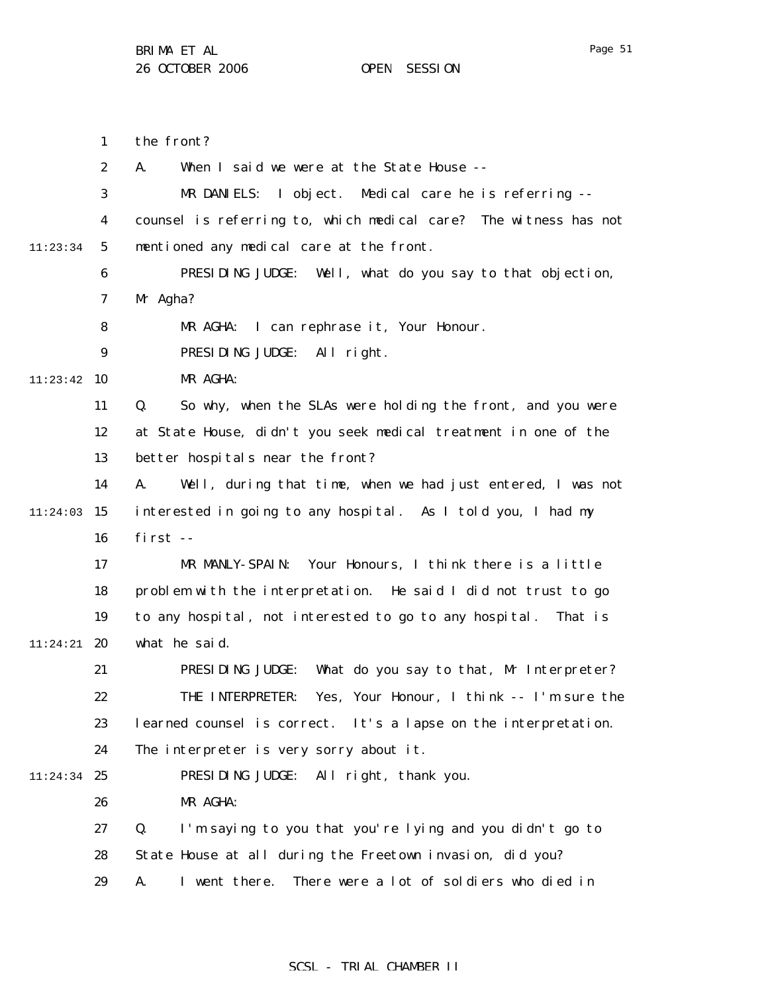1 2 3 4 5 6 7 8 9  $11:23:42$  10 11 12 13 14  $11:24:03$  15 16 17 18 19 11:24:21 **20** 21 22 23 24 11:24:34 25 26 27 28 29 11:23:34 the front? A. When I said we were at the State House -- MR DANIELS: I object. Medical care he is referring - counsel is referring to, which medical care? The witness has not mentioned any medical care at the front. PRESIDING JUDGE: Well, what do you say to that objection, Mr Agha? MR AGHA: I can rephrase it, Your Honour. PRESIDING JUDGE: All right. MR AGHA: Q. So why, when the SLAs were holding the front, and you were at State House, didn't you seek medical treatment in one of the better hospitals near the front? A. Well, during that time, when we had just entered, I was not interested in going to any hospital. As I told you, I had my first -- MR MANLY-SPAIN: Your Honours, I think there is a little problem with the interpretation. He said I did not trust to go to any hospital, not interested to go to any hospital. That is what he said. PRESIDING JUDGE: What do you say to that, Mr Interpreter? THE INTERPRETER: Yes, Your Honour, I think -- I'm sure the learned counsel is correct. It's a lapse on the interpretation. The interpreter is very sorry about it. PRESIDING JUDGE: All right, thank you. MR AGHA: Q. I'm saying to you that you're lying and you didn't go to State House at all during the Freetown invasion, did you? A. I went there. There were a lot of soldiers who died in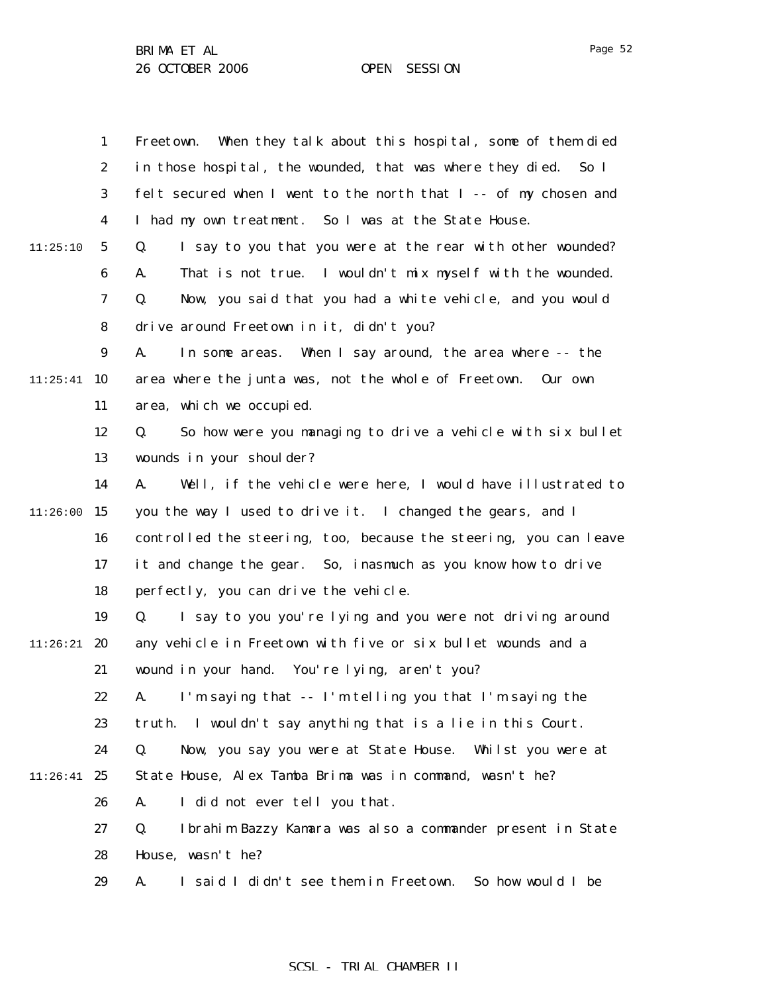1 2 3 4 5 6 7 8 9  $11:25:41$  10 11 12 13 14  $11:26:00$  15 16 17 18 19  $11:26:21$  20 21 22 23 24  $11:26:41$  25 26 27 28 29 11:25:10 Freetown. When they talk about this hospital, some of them died in those hospital, the wounded, that was where they died. So I felt secured when I went to the north that I -- of my chosen and I had my own treatment. So I was at the State House. Q. I say to you that you were at the rear with other wounded? A. That is not true. I wouldn't mix myself with the wounded. Q. Now, you said that you had a white vehicle, and you would drive around Freetown in it, didn't you? A. In some areas. When I say around, the area where -- the area where the junta was, not the whole of Freetown. Our own area, which we occupied. Q. So how were you managing to drive a vehicle with six bullet wounds in your shoulder? A. Well, if the vehicle were here, I would have illustrated to you the way I used to drive it. I changed the gears, and I controlled the steering, too, because the steering, you can leave it and change the gear. So, inasmuch as you know how to drive perfectly, you can drive the vehicle. Q. I say to you you're lying and you were not driving around any vehicle in Freetown with five or six bullet wounds and a wound in your hand. You're lying, aren't you? A. I'm saying that -- I'm telling you that I'm saying the truth. I wouldn't say anything that is a lie in this Court. Q. Now, you say you were at State House. Whilst you were at State House, Alex Tamba Brima was in command, wasn't he? A. I did not ever tell you that. Q. Ibrahim Bazzy Kamara was also a commander present in State House, wasn't he? A. I said I didn't see them in Freetown. So how would I be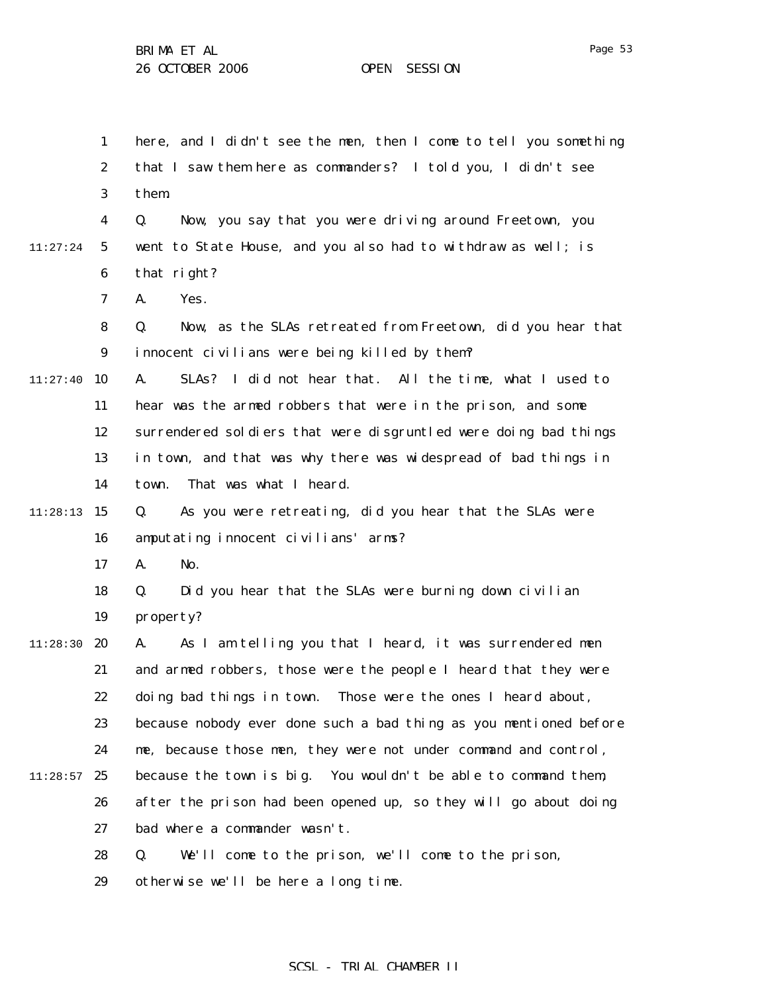1 2 3 4 5 6 7 8 9  $11:27:40$  10 11 12 13 14  $11:28:13$  15 16 17 18 19 11:28:30 **20** 21 22 23 24  $11:28:57$  25 26 27 28 29 11:27:24 here, and I didn't see the men, then I come to tell you something that I saw them here as commanders? I told you, I didn't see them. Q. Now, you say that you were driving around Freetown, you went to State House, and you also had to withdraw as well; is that right? A. Yes. Q. Now, as the SLAs retreated from Freetown, did you hear that innocent civilians were being killed by them? A. SLAs? I did not hear that. All the time, what I used to hear was the armed robbers that were in the prison, and some surrendered soldiers that were disgruntled were doing bad things in town, and that was why there was widespread of bad things in town. That was what I heard. Q. As you were retreating, did you hear that the SLAs were amputating innocent civilians' arms? A. No. Q. Did you hear that the SLAs were burning down civilian property? A. As I am telling you that I heard, it was surrendered men and armed robbers, those were the people I heard that they were doing bad things in town. Those were the ones I heard about, because nobody ever done such a bad thing as you mentioned before me, because those men, they were not under command and control, because the town is big. You wouldn't be able to command them, after the prison had been opened up, so they will go about doing bad where a commander wasn't. Q. We'll come to the prison, we'll come to the prison, otherwise we'll be here a long time.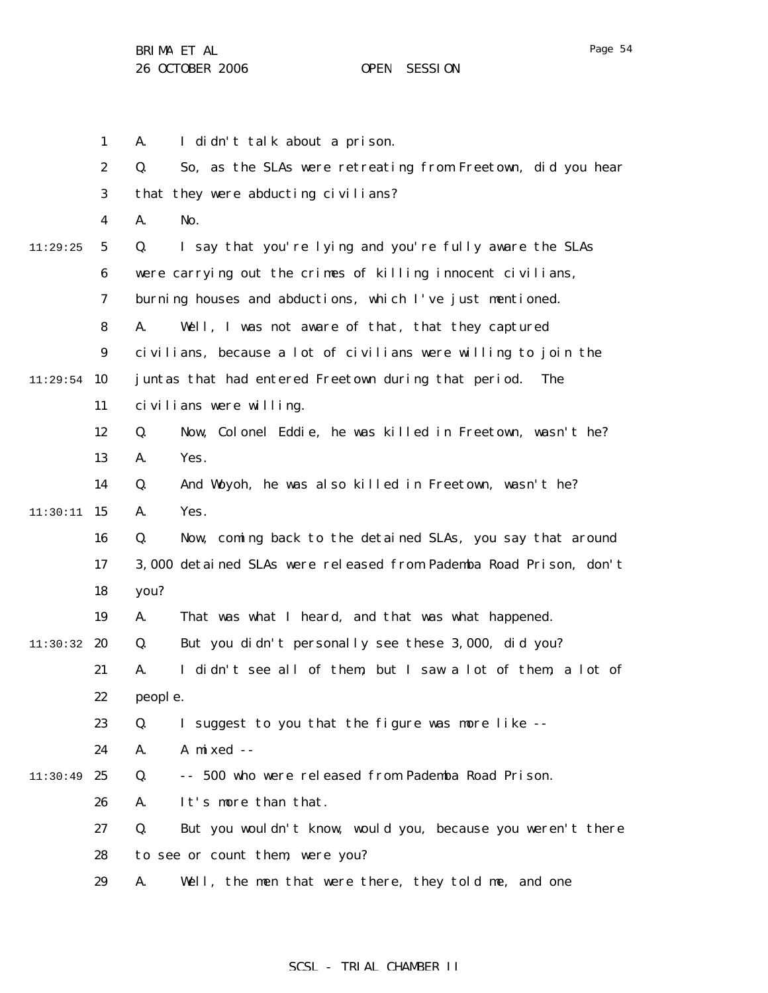|          | $\mathbf{1}$     | I didn't talk about a prison.<br>A.                               |
|----------|------------------|-------------------------------------------------------------------|
|          | 2                | So, as the SLAs were retreating from Freetown, did you hear<br>Q. |
|          | 3                | that they were abducting civilians?                               |
|          | 4                | No.<br>A.                                                         |
| 11:29:25 | $\mathbf{5}$     | I say that you're lying and you're fully aware the SLAs<br>Q.     |
|          | 6                | were carrying out the crimes of killing innocent civilians,       |
|          | 7                | burning houses and abductions, which I've just mentioned.         |
|          | 8                | Well, I was not aware of that, that they captured<br>A.           |
|          | $\boldsymbol{9}$ | civilians, because a lot of civilians were willing to join the    |
| 11:29:54 | 10               | juntas that had entered Freetown during that period.<br>The       |
|          | 11               | civilians were willing.                                           |
|          | 12               | Now, Colonel Eddie, he was killed in Freetown, wasn't he?<br>Q.   |
|          | 13               | Yes.<br>A.                                                        |
|          | 14               | And Woyoh, he was also killed in Freetown, wasn't he?<br>Q.       |
| 11:30:11 | 15               | Yes.<br>A.                                                        |
|          | 16               | Now, coming back to the detained SLAs, you say that around<br>Q.  |
|          | 17               | 3,000 detained SLAs were released from Pademba Road Prison, don't |
|          | 18               | you?                                                              |
|          | 19               | That was what I heard, and that was what happened.<br>A.          |
| 11:30:32 | 20               | But you didn't personally see these 3,000, did you?<br>Q.         |
|          | 21               | I didn't see all of them, but I saw a lot of them, a lot of<br>A. |
|          | 22               | people.                                                           |
|          | 23               | I suggest to you that the figure was more like --<br>Q.           |
|          | 24               | A mixed --<br>A.                                                  |
| 11:30:49 | 25               | Q.<br>-- 500 who were released from Pademba Road Prison.          |
|          | 26               | It's more than that.<br>A.                                        |
|          | 27               | But you wouldn't know, would you, because you weren't there<br>Q. |
|          | 28               | to see or count them, were you?                                   |
|          | 29               | Well, the men that were there, they told me, and one<br>A.        |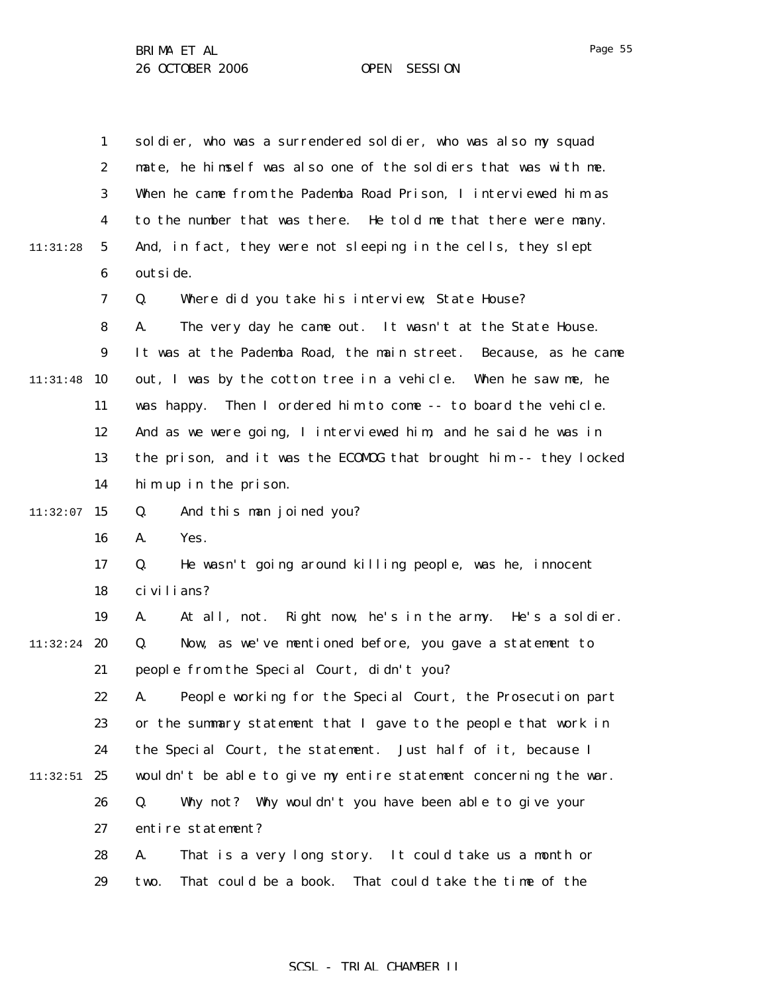|          | $\mathbf{1}$     | soldier, who was a surrendered soldier, who was also my squad     |
|----------|------------------|-------------------------------------------------------------------|
|          | $\boldsymbol{2}$ | mate, he himself was also one of the soldiers that was with me.   |
|          | 3                | When he came from the Pademba Road Prison, I interviewed him as   |
|          | 4                | to the number that was there. He told me that there were many.    |
| 11:31:28 | $5\phantom{.0}$  | And, in fact, they were not sleeping in the cells, they slept     |
|          | 6                | outsi de.                                                         |
|          | 7                | Where did you take his interview; State House?<br>Q.              |
|          | 8                | The very day he came out. It wasn't at the State House.<br>A.     |
|          | $\boldsymbol{9}$ | It was at the Pademba Road, the main street. Because, as he came  |
| 11:31:48 | 10               | out, I was by the cotton tree in a vehicle. When he saw me, he    |
|          | 11               | Then I ordered him to come -- to board the vehicle.<br>was happy. |
|          | 12               | And as we were going, I interviewed him, and he said he was in    |
|          | 13               | the prison, and it was the ECOMOG that brought him -- they locked |
|          | 14               | him up in the prison.                                             |
| 11:32:07 | 15               | And this man joined you?<br>Q.                                    |
|          | 16               | Yes.<br>A.                                                        |
|          | 17               | He wasn't going around killing people, was he, innocent<br>Q.     |
|          | 18               | ci vi li ans?                                                     |
|          | 19               | At all, not. Right now, he's in the army. He's a soldier.<br>A.   |
| 11:32:24 | 20               | Now, as we've mentioned before, you gave a statement to<br>Q.     |
|          | 21               | people from the Special Court, didn't you?                        |
|          | 22               | People working for the Special Court, the Prosecution part<br>A.  |
|          | 23               | or the summary statement that I gave to the people that work in   |
|          | 24               | the Special Court, the statement. Just half of it, because I      |
| 11:32:51 | 25               | wouldn't be able to give my entire statement concerning the war.  |
|          | 26               | Why not? Why wouldn't you have been able to give your<br>Q.       |
|          | 27               | entire statement?                                                 |
|          | 28               | That is a very long story. It could take us a month or<br>A.      |
|          | 29               | That could be a book. That could take the time of the<br>two.     |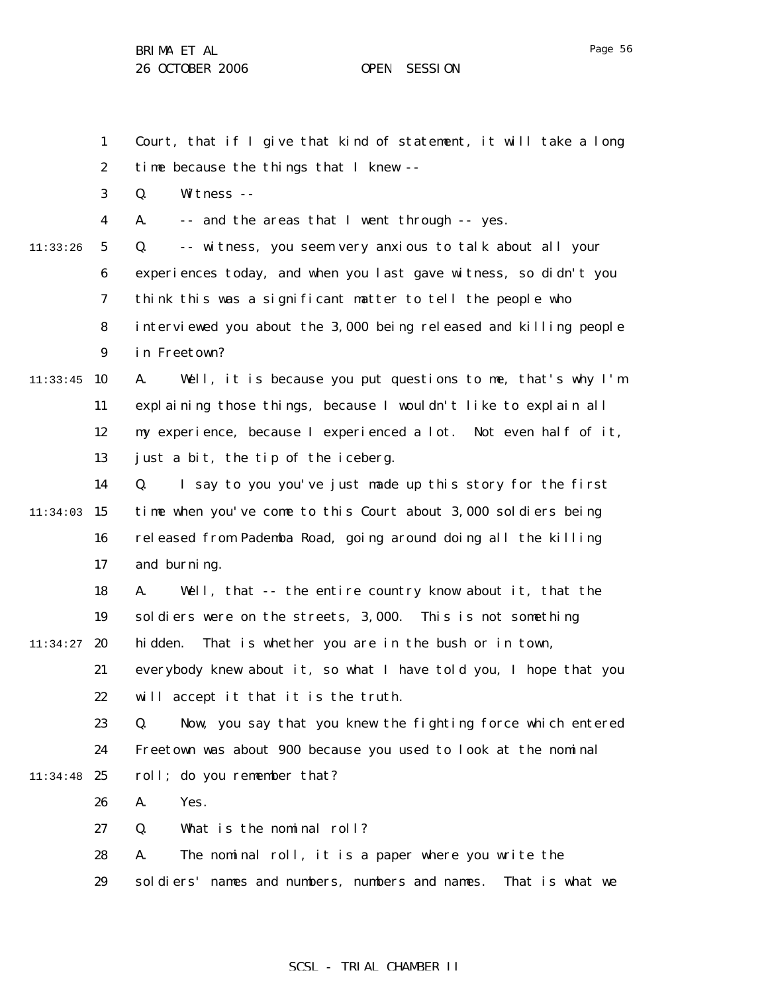Q. Witness --

1

2

3

Court, that if I give that kind of statement, it will take a long

time because the things that I knew --

4 5 6 7 8 9  $11:33:45$  10 11 12 13 14  $11:34:03$  15 16 17 18 19  $11:34:27$  20 21 22 23 24 11:34:48 25 26 27 28 29 11:33:26 SCSL - TRIAL CHAMBER II A. -- and the areas that I went through -- yes. Q. -- witness, you seem very anxious to talk about all your experiences today, and when you last gave witness, so didn't you think this was a significant matter to tell the people who interviewed you about the 3,000 being released and killing people in Freetown? A. Well, it is because you put questions to me, that's why I'm explaining those things, because I wouldn't like to explain all my experience, because I experienced a lot. Not even half of it, just a bit, the tip of the iceberg. Q. I say to you you've just made up this story for the first time when you've come to this Court about 3,000 soldiers being released from Pademba Road, going around doing all the killing and burning. A. Well, that -- the entire country know about it, that the soldiers were on the streets, 3,000. This is not something hidden. That is whether you are in the bush or in town, everybody knew about it, so what I have told you, I hope that you will accept it that it is the truth. Q. Now, you say that you knew the fighting force which entered Freetown was about 900 because you used to look at the nominal roll; do you remember that? A. Yes. Q. What is the nominal roll? A. The nominal roll, it is a paper where you write the soldiers' names and numbers, numbers and names. That is what we

Page 56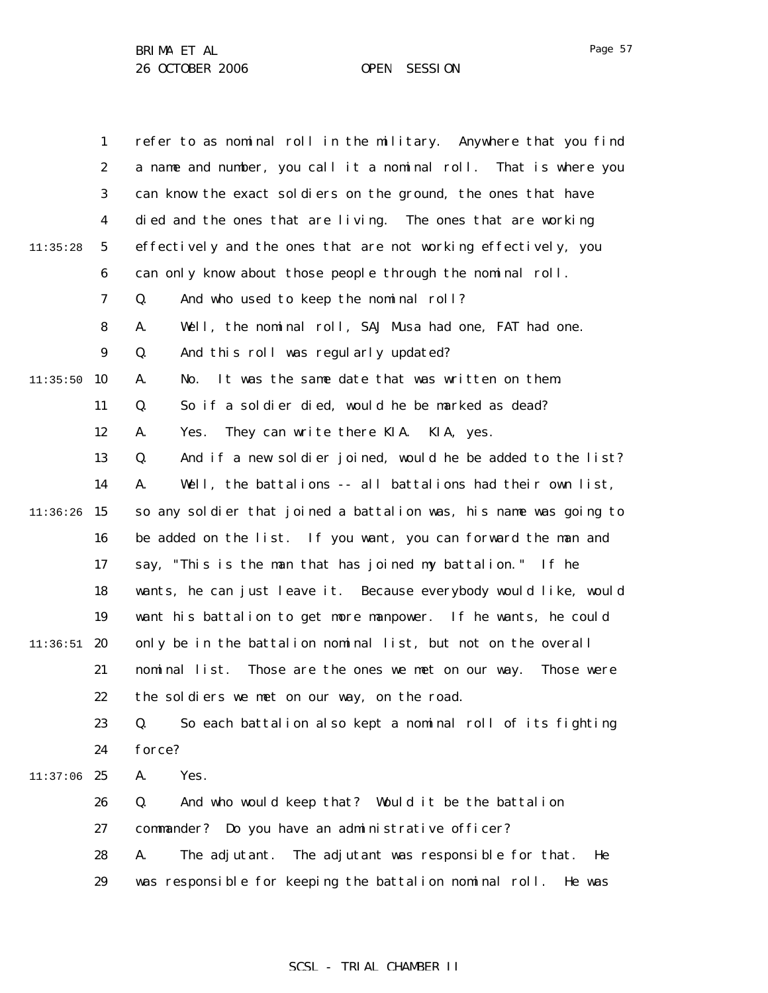Page 57

|          | $\mathbf{1}$     | refer to as nominal roll in the military. Anywhere that you find  |
|----------|------------------|-------------------------------------------------------------------|
|          | $\boldsymbol{2}$ | a name and number, you call it a nominal roll. That is where you  |
|          | 3                | can know the exact soldiers on the ground, the ones that have     |
|          | 4                | died and the ones that are living. The ones that are working      |
| 11:35:28 | $\mathbf 5$      | effectively and the ones that are not working effectively, you    |
|          | 6                | can only know about those people through the nominal roll.        |
|          | 7                | And who used to keep the nominal roll?<br>Q.                      |
|          | 8                | Well, the nominal roll, SAJ Musa had one, FAT had one.<br>A.      |
|          | 9                | And this roll was regularly updated?<br>Q.                        |
| 11:35:50 | 10               | It was the same date that was written on them.<br>A.<br>No.       |
|          | 11               | So if a soldier died, would he be marked as dead?<br>Q.           |
|          | 12               | They can write there KIA. KIA, yes.<br>A.<br>Yes.                 |
|          | 13               | And if a new soldier joined, would he be added to the list?<br>Q. |
|          | 14               | Well, the battalions -- all battalions had their own list,<br>A.  |
| 11:36:26 | 15               | so any soldier that joined a battalion was, his name was going to |
|          | 16               | be added on the list. If you want, you can forward the man and    |
|          | 17               | say, "This is the man that has joined my battalion." If he        |
|          | 18               | wants, he can just leave it. Because everybody would like, would  |
|          | 19               | want his battalion to get more manpower. If he wants, he could    |
| 11:36:51 | 20               | only be in the battalion nominal list, but not on the overall     |
|          | 21               | nominal list. Those are the ones we met on our way.<br>Those were |
|          | 22               | the soldiers we met on our way, on the road.                      |
|          | 23               | So each battalion also kept a nominal roll of its fighting<br>Q.  |
|          | 24               | force?                                                            |
| 11:37:06 | 25               | Yes.<br>A.                                                        |
|          | 26               | Q.<br>And who would keep that? Would it be the battalion          |
|          | 27               | commander? Do you have an administrative officer?                 |
|          | 28               | The adjutant. The adjutant was responsible for that.<br>A.<br>He  |
|          | 29               | was responsible for keeping the battalion nominal roll.<br>He was |
|          |                  |                                                                   |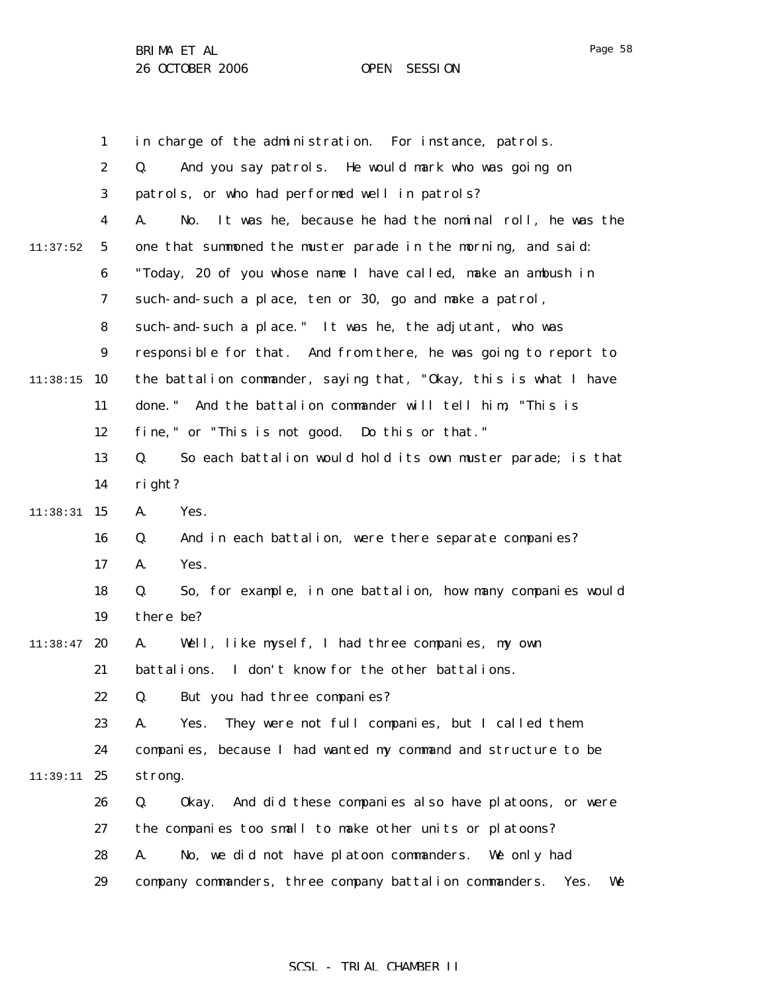1 2 3 4 5 6 7 8 9  $11:38:15$  10 11 12 13 14 11:38:31 15 16 17 18 19  $11:38:47$  20 21 22 23 24 11:39:11 25 26 27 28 29 11:37:52 in charge of the administration. For instance, patrols. Q. And you say patrols. He would mark who was going on patrols, or who had performed well in patrols? A. No. It was he, because he had the nominal roll, he was the one that summoned the muster parade in the morning, and said: "Today, 20 of you whose name I have called, make an ambush in such-and-such a place, ten or 30, go and make a patrol, such-and-such a place." It was he, the adjutant, who was responsible for that. And from there, he was going to report to the battalion commander, saying that, "Okay, this is what I have done." And the battalion commander will tell him, "This is fine," or "This is not good. Do this or that." Q. So each battalion would hold its own muster parade; is that right? A. Yes. Q. And in each battalion, were there separate companies? A. Yes. Q. So, for example, in one battalion, how many companies would there be? A. Well, like myself, I had three companies, my own battalions. I don't know for the other battalions. Q. But you had three companies? A. Yes. They were not full companies, but I called them companies, because I had wanted my command and structure to be strong. Q. Okay. And did these companies also have platoons, or were the companies too small to make other units or platoons? A. No, we did not have platoon commanders. We only had company commanders, three company battalion commanders. Yes. We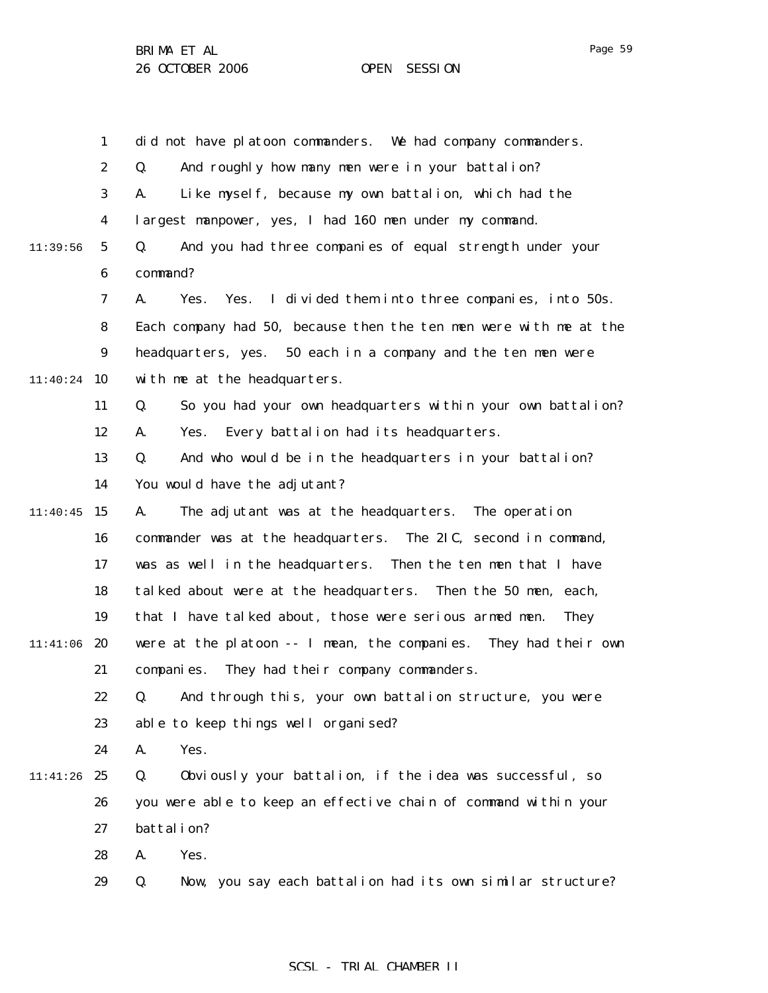1 2 3 4 5 6 7 8 9  $11:40:24$  10 11 12 13 14  $11:40:45$  15 16 17 18 19 11:41:06 20 21 22 23 24 11:41:26 25 26 27 28 29 11:39:56 did not have platoon commanders. We had company commanders. Q. And roughly how many men were in your battalion? A. Like myself, because my own battalion, which had the largest manpower, yes, I had 160 men under my command. Q. And you had three companies of equal strength under your command? A. Yes. Yes. I divided them into three companies, into 50s. Each company had 50, because then the ten men were with me at the headquarters, yes. 50 each in a company and the ten men were with me at the headquarters. Q. So you had your own headquarters within your own battalion? A. Yes. Every battalion had its headquarters. Q. And who would be in the headquarters in your battalion? You would have the adjutant? A. The adjutant was at the headquarters. The operation commander was at the headquarters. The 2IC, second in command, was as well in the headquarters. Then the ten men that I have talked about were at the headquarters. Then the 50 men, each, that I have talked about, those were serious armed men. They were at the platoon -- I mean, the companies. They had their own companies. They had their company commanders. Q. And through this, your own battalion structure, you were able to keep things well organised? A. Yes. Q. Obviously your battalion, if the idea was successful, so you were able to keep an effective chain of command within your battalion? A. Yes. Q. Now, you say each battalion had its own similar structure?

### SCSL - TRIAL CHAMBER II

Page 59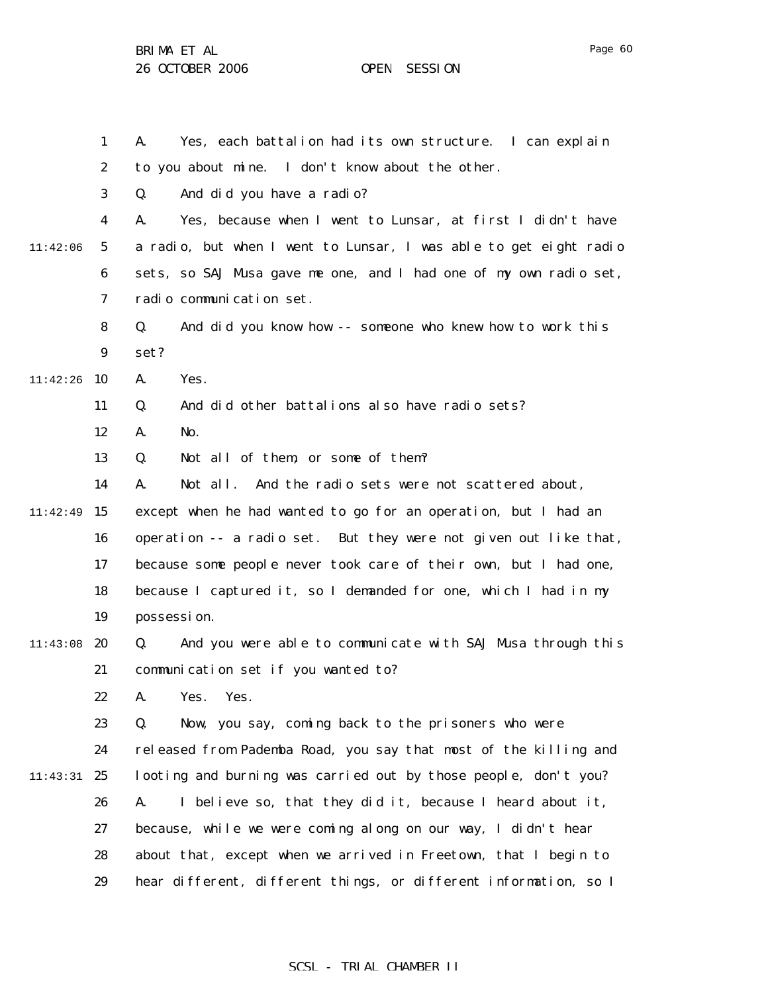Page 60

1 2 3 4 5 6 7 8 9 11:42:26 10 11 12 13 14 11:42:49 15 16 17 18 19 11:43:08 20 21 22 23 24 11:43:31 25 26 27 28 29 11:42:06 A. Yes, each battalion had its own structure. I can explain to you about mine. I don't know about the other. Q. And did you have a radio? A. Yes, because when I went to Lunsar, at first I didn't have a radio, but when I went to Lunsar, I was able to get eight radio sets, so SAJ Musa gave me one, and I had one of my own radio set, radio communication set. Q. And did you know how -- someone who knew how to work this set? A. Yes. Q. And did other battalions also have radio sets? A. No. Q. Not all of them, or some of them? A. Not all. And the radio sets were not scattered about, except when he had wanted to go for an operation, but I had an operation -- a radio set. But they were not given out like that, because some people never took care of their own, but I had one, because I captured it, so I demanded for one, which I had in my possession. Q. And you were able to communicate with SAJ Musa through this communication set if you wanted to? A. Yes. Yes. Q. Now, you say, coming back to the prisoners who were released from Pademba Road, you say that most of the killing and looting and burning was carried out by those people, don't you? A. I believe so, that they did it, because I heard about it, because, while we were coming along on our way, I didn't hear about that, except when we arrived in Freetown, that I begin to hear different, different things, or different information, so I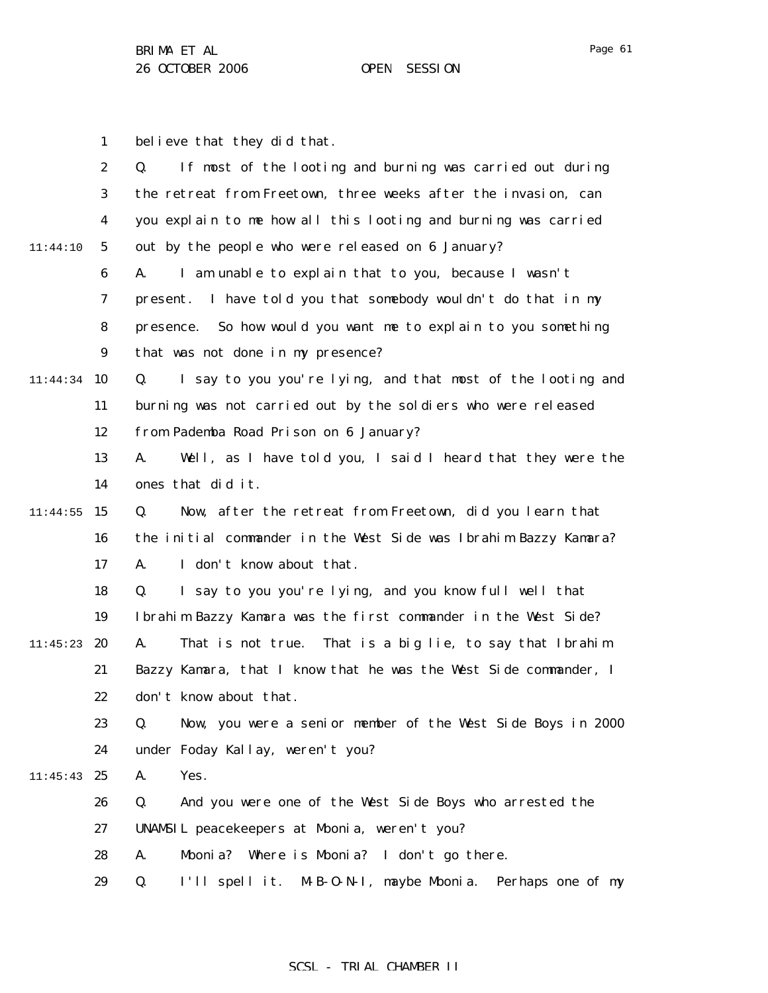Page 61

1 believe that they did that.

|          | $\boldsymbol{2}$ | If most of the looting and burning was carried out during<br>Q.   |
|----------|------------------|-------------------------------------------------------------------|
|          | 3                | the retreat from Freetown, three weeks after the invasion, can    |
|          | 4                | you explain to me how all this looting and burning was carried    |
| 11:44:10 | $\mathbf{5}$     | out by the people who were released on 6 January?                 |
|          | $\boldsymbol{6}$ | I am unable to explain that to you, because I wasn't<br>A.        |
|          | 7                | I have told you that somebody wouldn't do that in my<br>present.  |
|          | 8                | So how would you want me to explain to you something<br>presence. |
|          | $\boldsymbol{9}$ | that was not done in my presence?                                 |
| 11:44:34 | 10               | I say to you you're lying, and that most of the looting and<br>Q. |
|          | 11               | burning was not carried out by the soldiers who were released     |
|          |                  |                                                                   |
|          | 12               | from Pademba Road Prison on 6 January?                            |
|          | 13               | Well, as I have told you, I said I heard that they were the<br>A. |
|          | 14               | ones that did it.                                                 |
| 11:44:55 | 15               | Now, after the retreat from Freetown, did you learn that<br>Q.    |
|          | 16               | the initial commander in the West Side was Ibrahim Bazzy Kamara?  |
|          | 17               | I don't know about that.<br>A.                                    |
|          | 18               | I say to you you're lying, and you know full well that<br>Q.      |
|          | 19               | Ibrahim Bazzy Kamara was the first commander in the West Side?    |
| 11:45:23 | 20               | That is a big lie, to say that Ibrahim<br>A.<br>That is not true. |
|          | 21               | Bazzy Kamara, that I know that he was the West Side commander, I  |
|          | 22               | don't know about that.                                            |
|          | 23               | Now, you were a senior member of the West Side Boys in 2000<br>Q. |
|          | 24               | under Foday Kallay, weren't you?                                  |
| 11:45:43 | 25               | A.<br>Yes.                                                        |
|          | 26               | And you were one of the West Side Boys who arrested the<br>Q.     |
|          | 27               | UNAMSIL peacekeepers at Mbonia, weren't you?                      |
|          | 28               | Mbonia? Where is Mbonia? I don't go there.<br>A.                  |
|          | 29               | I'll spell it. M-B-O-N-I, maybe Mbonia. Perhaps one of my<br>Q.   |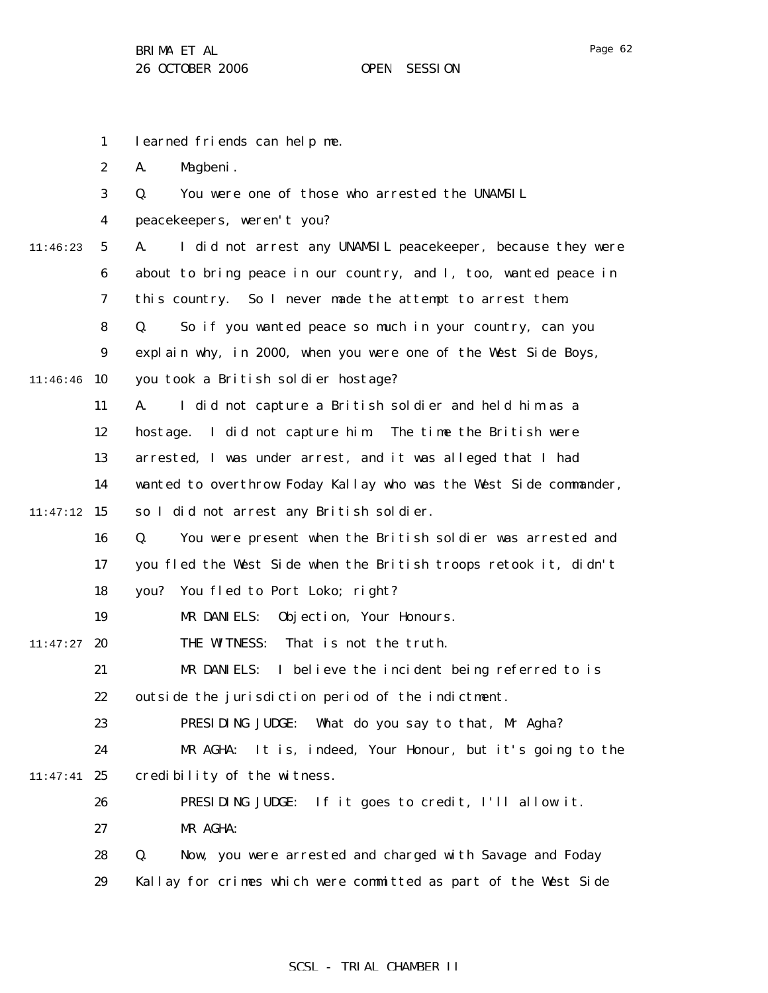Page 62

|          | $\mathbf{1}$     | learned friends can help me.                                      |
|----------|------------------|-------------------------------------------------------------------|
|          | $\boldsymbol{2}$ | Magbeni.<br>A.                                                    |
|          | 3                | You were one of those who arrested the UNAMSIL<br>Q.              |
|          | 4                | peacekeepers, weren't you?                                        |
| 11:46:23 | $5\phantom{.0}$  | A.<br>I did not arrest any UNAMSIL peacekeeper, because they were |
|          | 6                | about to bring peace in our country, and I, too, wanted peace in  |
|          | 7                | So I never made the attempt to arrest them.<br>this country.      |
|          | 8                | So if you wanted peace so much in your country, can you<br>Q.     |
|          | 9                | explain why, in 2000, when you were one of the West Side Boys,    |
| 11:46:46 | 10               | you took a British soldier hostage?                               |
|          | 11               | I did not capture a British soldier and held him as a<br>A.       |
|          | 12               | hostage. I did not capture him. The time the British were         |
|          | 13               | arrested, I was under arrest, and it was alleged that I had       |
|          | 14               | wanted to overthrow Foday Kallay who was the West Side commander, |
| 11:47:12 | 15               | so I did not arrest any British soldier.                          |
|          | 16               | Q.<br>You were present when the British soldier was arrested and  |
|          | 17               | you fled the West Side when the British troops retook it, didn't  |
|          | 18               | you? You fled to Port Loko; right?                                |
|          | 19               | MR DANIELS:<br>Objection, Your Honours.                           |
| 11:47:27 | 20               | THE WITNESS:<br>That is not the truth.                            |
|          | 21               | MR DANIELS: I believe the incident being referred to is           |
|          | 22               | outside the jurisdiction period of the indictment.                |
|          | 23               | PRESIDING JUDGE: What do you say to that, Mr Agha?                |
|          | 24               | MR AGHA:<br>It is, indeed, Your Honour, but it's going to the     |
| 11:47:41 | 25               | credibility of the witness.                                       |
|          | 26               | PRESIDING JUDGE:<br>If it goes to credit, I'll allow it.          |
|          | 27               | MR AGHA:                                                          |
|          | 28               | Q.<br>Now, you were arrested and charged with Savage and Foday    |
|          | 29               | Kallay for crimes which were committed as part of the West Side   |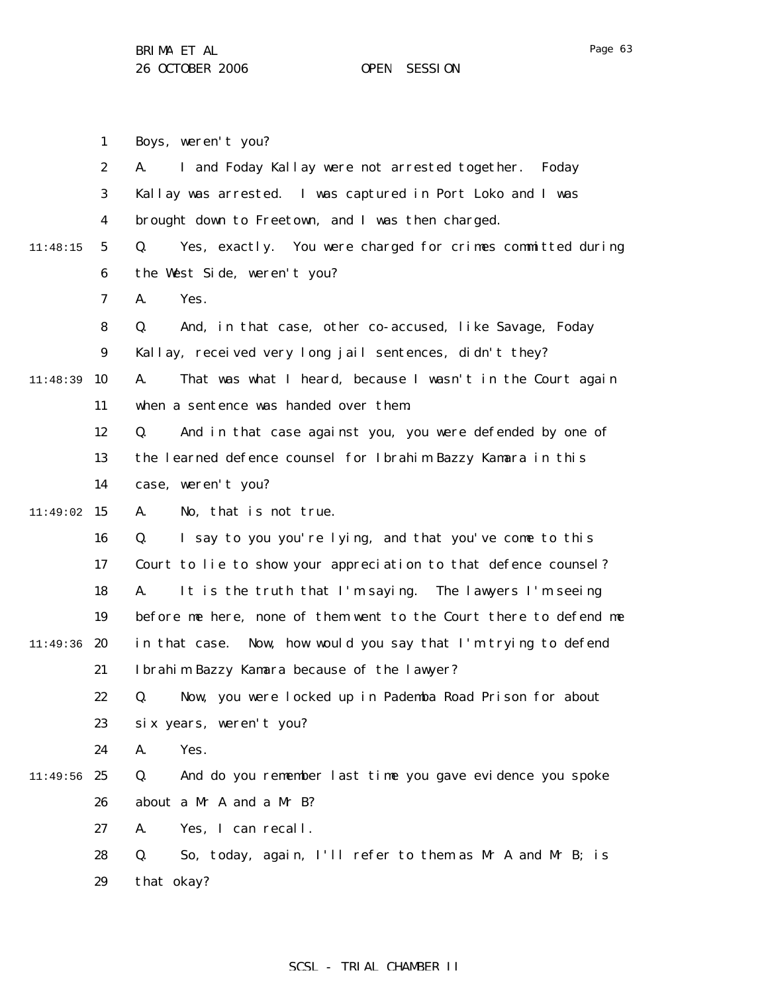Page 63

|          | $\mathbf{1}$     | Boys, weren't you?                                                |
|----------|------------------|-------------------------------------------------------------------|
|          | $\boldsymbol{2}$ | I and Foday Kallay were not arrested together.<br>A.<br>Foday     |
|          | 3                | Kallay was arrested. I was captured in Port Loko and I was        |
|          | 4                | brought down to Freetown, and I was then charged.                 |
| 11:48:15 | $5\phantom{.0}$  | Yes, exactly. You were charged for crimes committed during<br>Q.  |
|          | 6                | the West Side, weren't you?                                       |
|          | 7                | Yes.<br>A.                                                        |
|          | 8                | And, in that case, other co-accused, like Savage, Foday<br>Q.     |
|          | $\boldsymbol{9}$ | Kallay, received very long jail sentences, didn't they?           |
| 11:48:39 | 10               | That was what I heard, because I wasn't in the Court again<br>A.  |
|          | 11               | when a sentence was handed over them.                             |
|          | 12               | And in that case against you, you were defended by one of<br>Q.   |
|          | 13               | the learned defence counsel for Ibrahim Bazzy Kamara in this      |
|          | 14               | case, weren't you?                                                |
| 11:49:02 | 15               | No, that is not true.<br>A.                                       |
|          | 16               | I say to you you're lying, and that you've come to this<br>Q.     |
|          | 17               | Court to lie to show your appreciation to that defence counsel?   |
|          | 18               | It is the truth that I'm saying. The lawyers I'm seeing<br>A.     |
|          | 19               | before me here, none of them went to the Court there to defend me |
| 11:49:36 | 20               | Now, how would you say that I'm trying to defend<br>in that case. |
|          | 21               | Ibrahim Bazzy Kamara because of the lawyer?                       |
|          | 22               | Q. Now, you were locked up in Pademba Road Prison for about       |
|          | 23               | six years, weren't you?                                           |
|          | 24               | Yes.<br>A.                                                        |
| 11:49:56 | 25               | And do you remember last time you gave evidence you spoke<br>Q.   |
|          | 26               | about a Mr A and a Mr B?                                          |
|          | 27               | Yes, I can recall.<br>A.                                          |
|          | 28               | Q.<br>So, today, again, I'll refer to them as Mr A and Mr B; is   |
|          | 29               | that okay?                                                        |
|          |                  |                                                                   |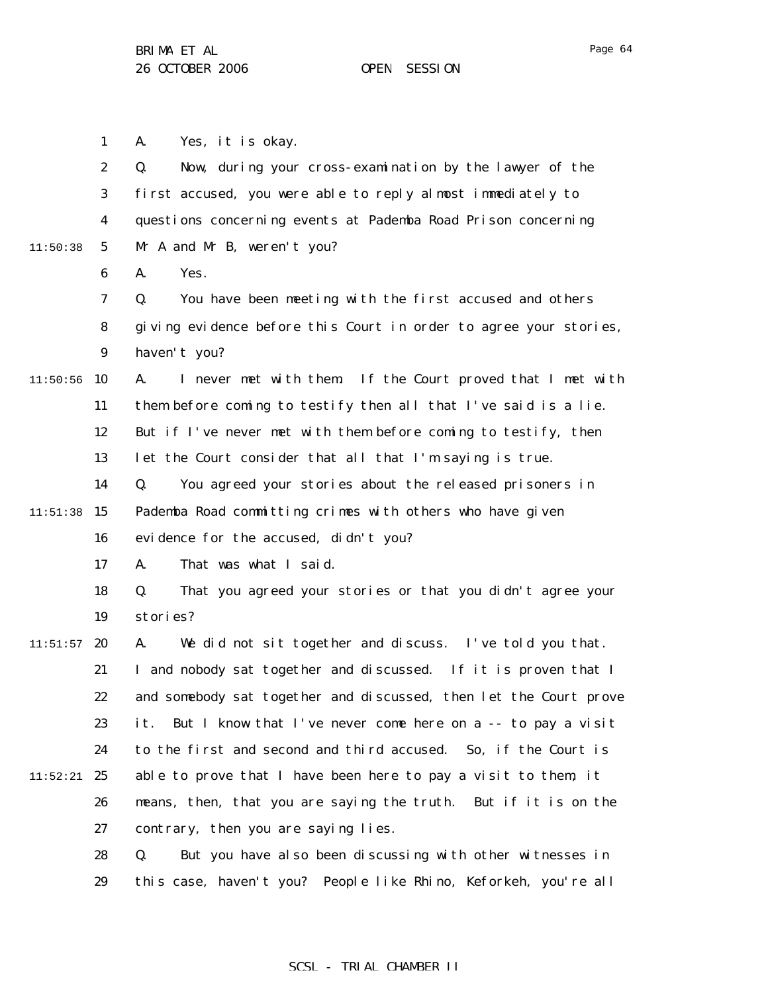Page 64

1 A. Yes, it is okay.

|          | $\boldsymbol{2}$ | Now, during your cross-examination by the lawyer of the<br>Q.      |
|----------|------------------|--------------------------------------------------------------------|
|          | $\bf{3}$         | first accused, you were able to reply almost immediately to        |
|          | 4                | questions concerning events at Pademba Road Prison concerning      |
| 11:50:38 | $\mathbf 5$      | Mr A and Mr B, weren't you?                                        |
|          | 6                | Yes.<br>A.                                                         |
|          | 7                | Q.<br>You have been meeting with the first accused and others      |
|          | 8                | giving evidence before this Court in order to agree your stories,  |
|          | $\boldsymbol{9}$ | haven't you?                                                       |
| 11:50:56 | 10               | I never met with them. If the Court proved that I met with<br>A.   |
|          | 11               | them before coming to testify then all that I've said is a lie.    |
|          | 12               | But if I've never met with them before coming to testify, then     |
|          | 13               | let the Court consider that all that I'm saying is true.           |
|          | 14               | You agreed your stories about the released prisoners in<br>Q.      |
| 11:51:38 | 15               | Pademba Road committing crimes with others who have given          |
|          | 16               | evidence for the accused, didn't you?                              |
|          | 17               | That was what I said.<br>A.                                        |
|          | 18               | That you agreed your stories or that you didn't agree your<br>Q.   |
|          | 19               | stories?                                                           |
| 11:51:57 | 20               | We did not sit together and discuss. I've told you that.<br>A.     |
|          | 21               | I and nobody sat together and discussed. If it is proven that I    |
|          | 22               | and somebody sat together and discussed, then let the Court prove  |
|          | 23               | But I know that I've never come here on a -- to pay a visit<br>it. |
|          | 24               | to the first and second and third accused. So, if the Court is     |
| 11:52:21 | 25               | able to prove that I have been here to pay a visit to them, it     |
|          | 26               | means, then, that you are saying the truth. But if it is on the    |
|          | 27               | contrary, then you are saying lies.                                |
|          | 28               | But you have also been discussing with other witnesses in<br>Q.    |
|          | 29               | this case, haven't you? People like Rhino, Keforkeh, you're all    |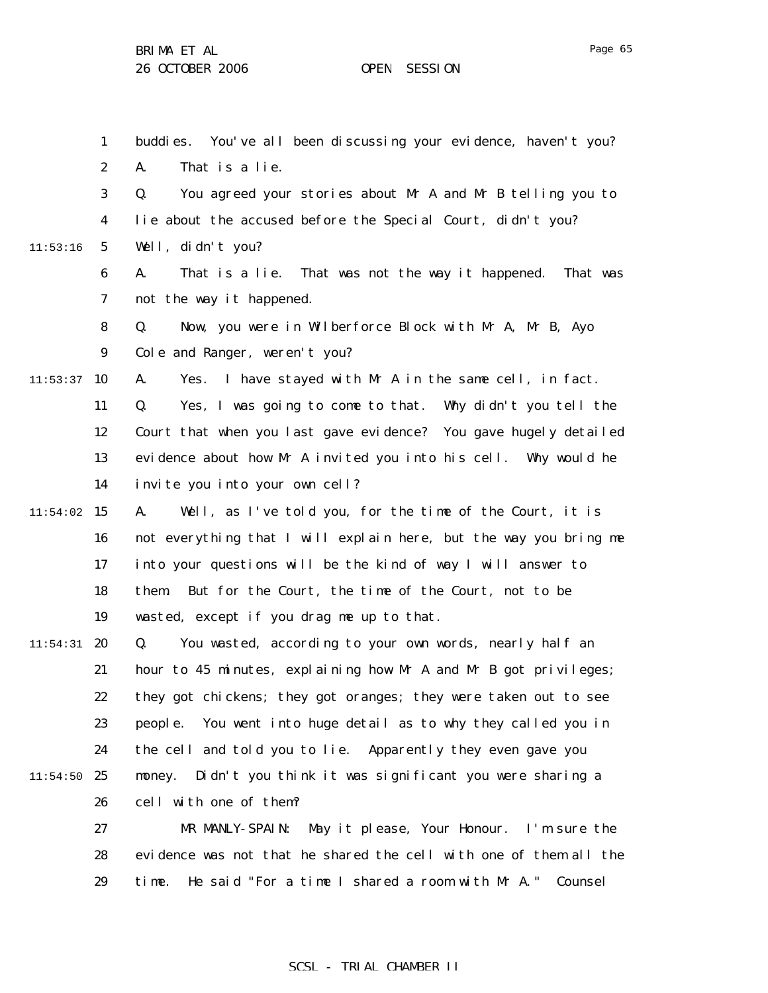Page 65

|          | $\mathbf{1}$     | You've all been discussing your evidence, haven't you?<br>buddi es. |
|----------|------------------|---------------------------------------------------------------------|
|          | $\boldsymbol{2}$ | That is a lie.<br>A.                                                |
|          | $\bf{3}$         | Q.<br>You agreed your stories about Mr A and Mr B telling you to    |
|          | $\boldsymbol{4}$ | lie about the accused before the Special Court, didn't you?         |
| 11:53:16 | $\mathbf{5}$     | Well, didn't you?                                                   |
|          | 6                | That is a lie. That was not the way it happened. That was<br>A.     |
|          | 7                | not the way it happened.                                            |
|          | 8                | Now, you were in Wilberforce Block with Mr A, Mr B, Ayo<br>Q.       |
|          | $\boldsymbol{9}$ | Cole and Ranger, weren't you?                                       |
| 11:53:37 | 10               | I have stayed with Mr A in the same cell, in fact.<br>A.<br>Yes.    |
|          | 11               | Yes, I was going to come to that. Why didn't you tell the<br>Q.     |
|          | 12               | Court that when you last gave evidence? You gave hugely detailed    |
|          | 13               | evidence about how Mr A invited you into his cell. Why would he     |
|          | 14               | invite you into your own cell?                                      |
| 11:54:02 | 15               | Well, as I've told you, for the time of the Court, it is<br>A.      |
|          | 16               | not everything that I will explain here, but the way you bring me   |
|          | 17               | into your questions will be the kind of way I will answer to        |
|          | 18               | But for the Court, the time of the Court, not to be<br>them.        |
|          | 19               | wasted, except if you drag me up to that.                           |
| 11:54:31 | 20               | You wasted, according to your own words, nearly half an<br>Q.       |
|          | 21               | hour to 45 minutes, explaining how Mr A and Mr B got privileges;    |
|          | 22               | they got chickens; they got oranges; they were taken out to see     |
|          | 23               | people. You went into huge detail as to why they called you in      |
|          | 24               | the cell and told you to lie. Apparently they even gave you         |
| 11:54:50 | 25               | Didn't you think it was significant you were sharing a<br>money.    |
|          | 26               | cell with one of them?                                              |
|          | 27               | May it please, Your Honour. I'm sure the<br>MR MANLY-SPAIN:         |
|          | 28               | evidence was not that he shared the cell with one of them all the   |
|          | 29               | He said "For a time I shared a room with Mr A."<br>time.<br>Counsel |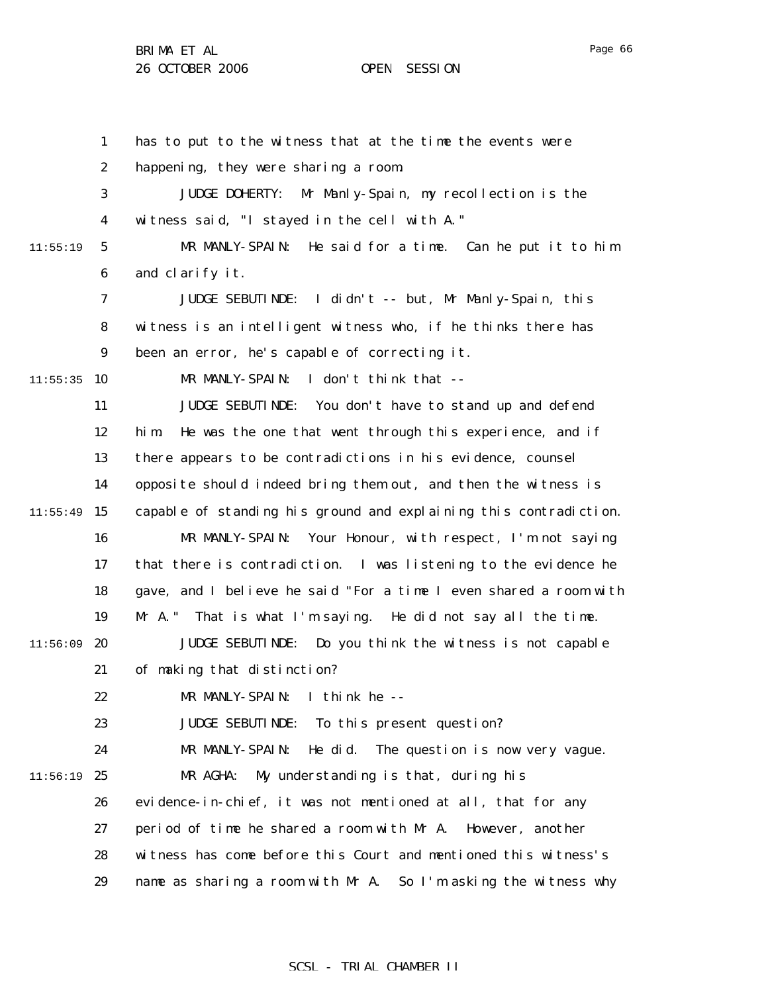1 2 3 4 5 6 7 8 9  $11:55:35$  10 11 12 13 14  $11:55:49$  15 16 17 18 19  $11:56:09$  20 21 22 23 24  $11:56:19$  25 26 27 28 29 11:55:19 has to put to the witness that at the time the events were happening, they were sharing a room. JUDGE DOHERTY: Mr Manly-Spain, my recollection is the witness said, "I stayed in the cell with A." MR MANLY-SPAIN: He said for a time. Can he put it to him and clarify it. JUDGE SEBUTINDE: I didn't -- but, Mr Manly-Spain, this witness is an intelligent witness who, if he thinks there has been an error, he's capable of correcting it. MR MANLY-SPAIN: I don't think that -- JUDGE SEBUTINDE: You don't have to stand up and defend him. He was the one that went through this experience, and if there appears to be contradictions in his evidence, counsel opposite should indeed bring them out, and then the witness is capable of standing his ground and explaining this contradiction. MR MANLY-SPAIN: Your Honour, with respect, I'm not saying that there is contradiction. I was listening to the evidence he gave, and I believe he said "For a time I even shared a room with Mr A." That is what I'm saying. He did not say all the time. JUDGE SEBUTINDE: Do you think the witness is not capable of making that distinction? MR MANLY-SPAIN: I think he -- JUDGE SEBUTINDE: To this present question? MR MANLY-SPAIN: He did. The question is now very vague. MR AGHA: My understanding is that, during his evidence-in-chief, it was not mentioned at all, that for any period of time he shared a room with Mr A. However, another witness has come before this Court and mentioned this witness's name as sharing a room with Mr A. So I'm asking the witness why

Page 66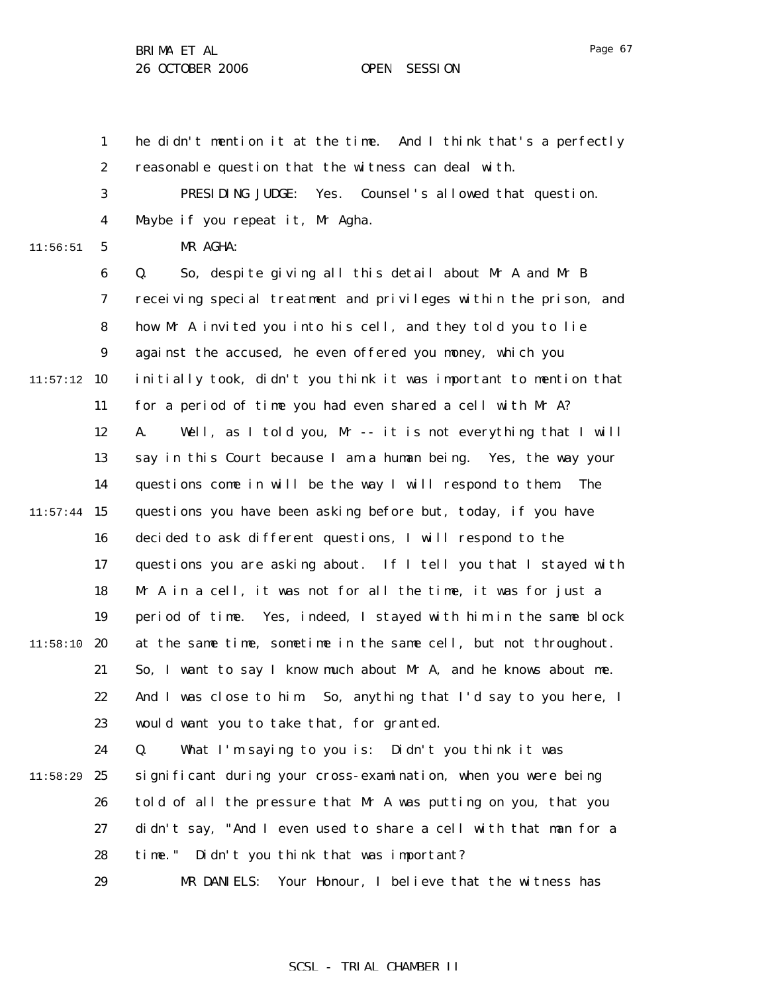1 2 3 4 5 6 7 8 9  $11:57:12$  10 11 12 13 14  $11:57:44$  15 16 17 18 19  $11:58:10$  20 21 22 23 24 25 26 27 28 11:56:51 11:58:29 he didn't mention it at the time. And I think that's a perfectly reasonable question that the witness can deal with. PRESIDING JUDGE: Yes. Counsel's allowed that question. Maybe if you repeat it, Mr Agha. MR AGHA: Q. So, despite giving all this detail about Mr A and Mr B receiving special treatment and privileges within the prison, and how Mr A invited you into his cell, and they told you to lie against the accused, he even offered you money, which you initially took, didn't you think it was important to mention that for a period of time you had even shared a cell with Mr A? A. Well, as I told you, Mr -- it is not everything that I will say in this Court because I am a human being. Yes, the way your questions come in will be the way I will respond to them. The questions you have been asking before but, today, if you have decided to ask different questions, I will respond to the questions you are asking about. If I tell you that I stayed with Mr A in a cell, it was not for all the time, it was for just a period of time. Yes, indeed, I stayed with him in the same block at the same time, sometime in the same cell, but not throughout. So, I want to say I know much about Mr A, and he knows about me. And I was close to him. So, anything that I'd say to you here, I would want you to take that, for granted. Q. What I'm saying to you is: Didn't you think it was significant during your cross-examination, when you were being told of all the pressure that Mr A was putting on you, that you didn't say, "And I even used to share a cell with that man for a time." Didn't you think that was important?

> 29 MR DANIELS: Your Honour, I believe that the witness has

#### Page 67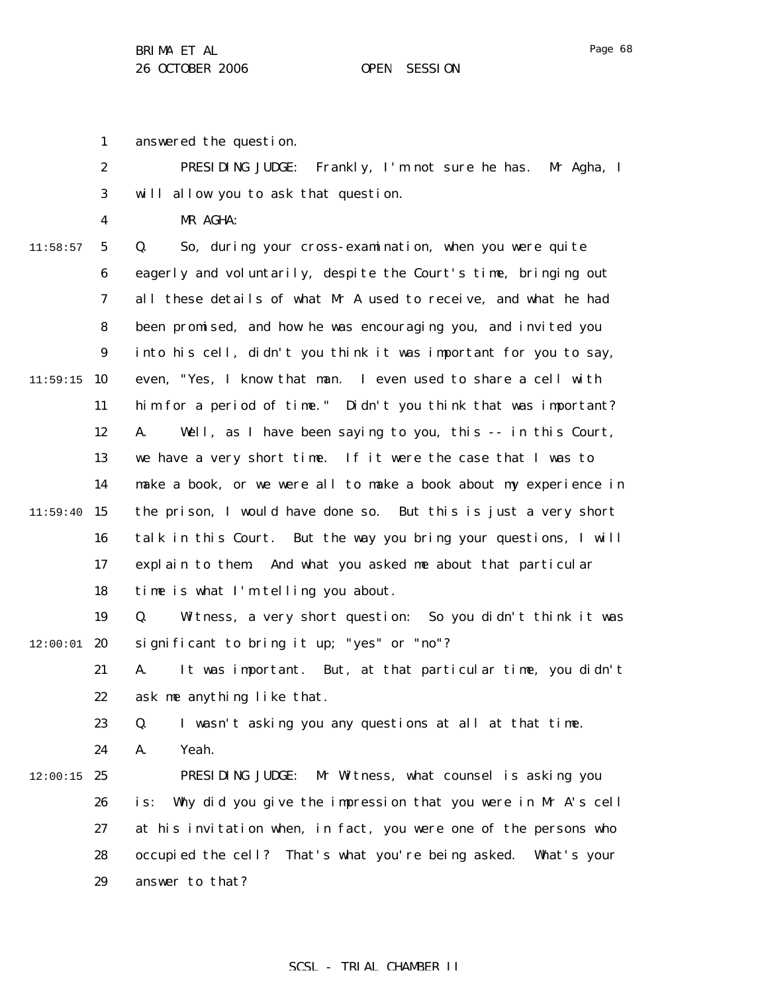Page 68

1 answered the question.

|   | PRESIDING JUDGE: Frankly, I'm not sure he has. Mr Agha, I |  |
|---|-----------------------------------------------------------|--|
|   | will allow you to ask that question.                      |  |
| 4 | MR AGHA:                                                  |  |

11:58:57

5

6 7 8 9  $11:59:15$  10 11 12 13 14  $11:59:40$  15 16 17 18 19  $12:00:01$  20 21 22 23 24  $12:00:15$  25 26 27 28 Q. So, during your cross-examination, when you were quite eagerly and voluntarily, despite the Court's time, bringing out all these details of what Mr A used to receive, and what he had been promised, and how he was encouraging you, and invited you into his cell, didn't you think it was important for you to say, even, "Yes, I know that man. I even used to share a cell with him for a period of time." Didn't you think that was important? A. Well, as I have been saying to you, this -- in this Court, we have a very short time. If it were the case that I was to make a book, or we were all to make a book about my experience in the prison, I would have done so. But this is just a very short talk in this Court. But the way you bring your questions, I will explain to them. And what you asked me about that particular time is what I'm telling you about. Q. Witness, a very short question: So you didn't think it was significant to bring it up; "yes" or "no"? A. It was important. But, at that particular time, you didn't ask me anything like that. Q. I wasn't asking you any questions at all at that time. A. Yeah. PRESIDING JUDGE: Mr Witness, what counsel is asking you is: Why did you give the impression that you were in Mr A's cell at his invitation when, in fact, you were one of the persons who occupied the cell? That's what you're being asked. What's your

> 29 answer to that?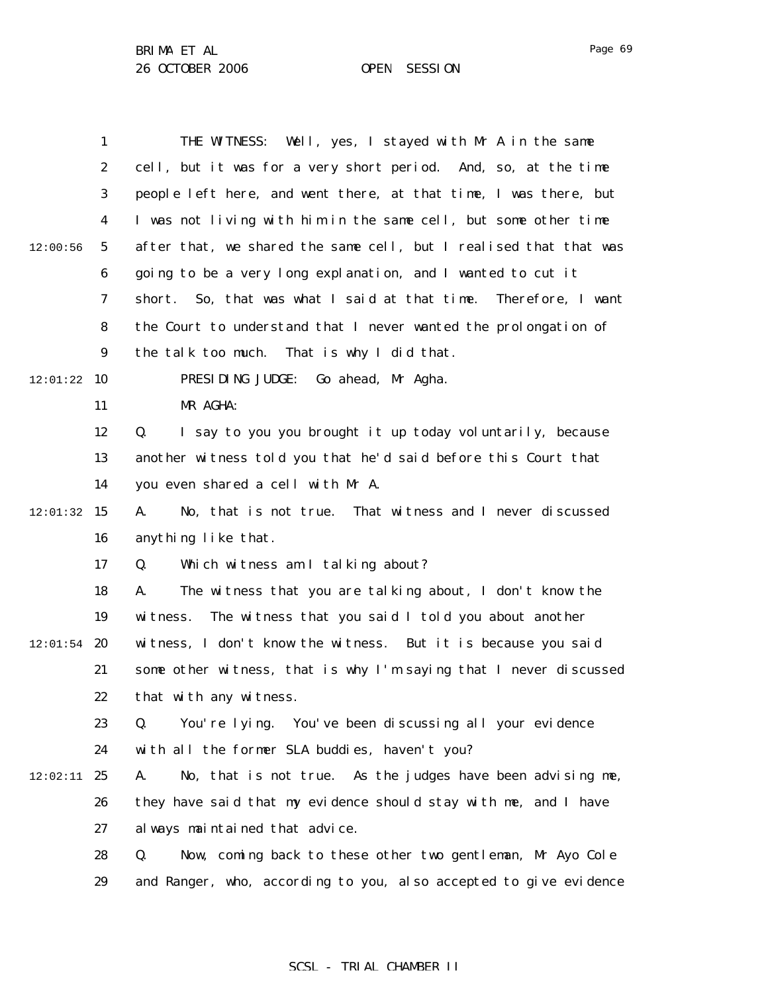1 2 3 4 5 6 7 8 9  $12:01:22$  10 11 12 13 14  $12:01:32$  15 16 17 18 19  $12:01:54$  20 21 22 23 24  $12:02:11$  25 26 27 28 29 12:00:56 THE WITNESS: Well, yes, I stayed with Mr A in the same cell, but it was for a very short period. And, so, at the time people left here, and went there, at that time, I was there, but I was not living with him in the same cell, but some other time after that, we shared the same cell, but I realised that that was going to be a very long explanation, and I wanted to cut it short. So, that was what I said at that time. Therefore, I want the Court to understand that I never wanted the prolongation of the talk too much. That is why I did that. PRESIDING JUDGE: Go ahead, Mr Agha. MR AGHA: Q. I say to you you brought it up today voluntarily, because another witness told you that he'd said before this Court that you even shared a cell with Mr A. A. No, that is not true. That witness and I never discussed anything like that. Q. Which witness am I talking about? A. The witness that you are talking about, I don't know the witness. The witness that you said I told you about another witness, I don't know the witness. But it is because you said some other witness, that is why I'm saying that I never discussed that with any witness. Q. You're lying. You've been discussing all your evidence with all the former SLA buddies, haven't you? A. No, that is not true. As the judges have been advising me, they have said that my evidence should stay with me, and I have always maintained that advice. Q. Now, coming back to these other two gentleman, Mr Ayo Cole and Ranger, who, according to you, also accepted to give evidence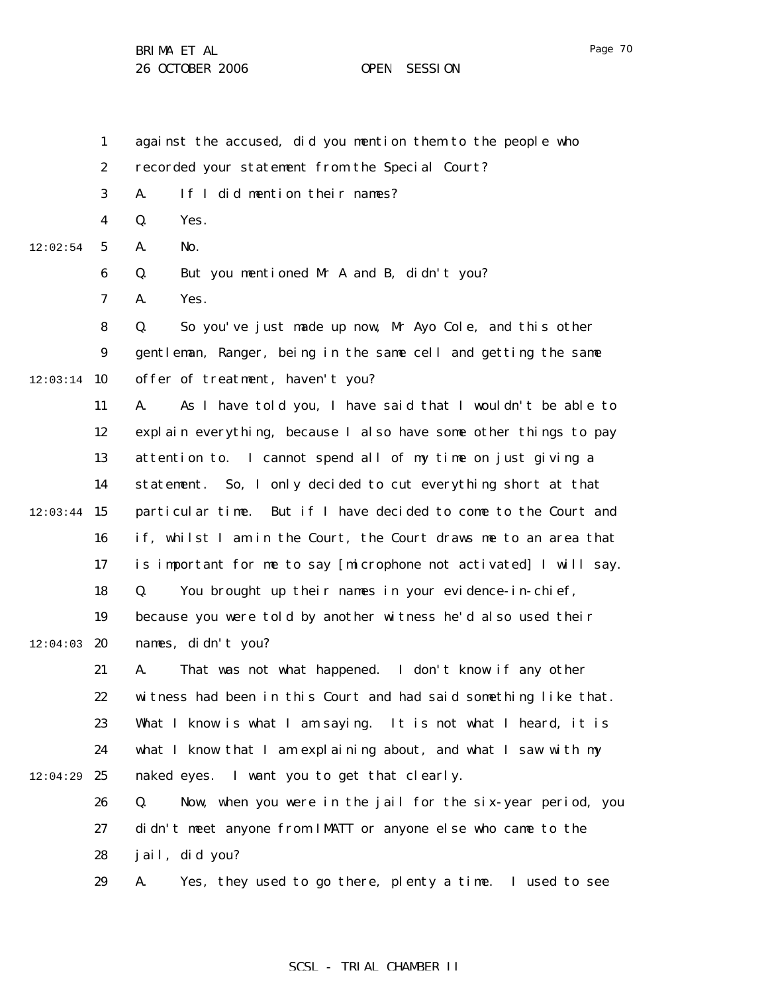1 2 3 4 5 6 7 8 9  $12:03:14$  10 11 12 13 14  $12:03:44$  15 16 17 18 19  $12:04:03$  20 21 22 23 24 25 26 27 28 29 12:02:54 12:04:29 against the accused, did you mention them to the people who recorded your statement from the Special Court? A. If I did mention their names? Q. Yes. A. No. Q. But you mentioned Mr A and B, didn't you? A. Yes. Q. So you've just made up now, Mr Ayo Cole, and this other gentleman, Ranger, being in the same cell and getting the same offer of treatment, haven't you? A. As I have told you, I have said that I wouldn't be able to explain everything, because I also have some other things to pay attention to. I cannot spend all of my time on just giving a statement. So, I only decided to cut everything short at that particular time. But if I have decided to come to the Court and if, whilst I am in the Court, the Court draws me to an area that is important for me to say [microphone not activated] I will say. Q. You brought up their names in your evidence-in-chief, because you were told by another witness he'd also used their names, didn't you? A. That was not what happened. I don't know if any other witness had been in this Court and had said something like that. What I know is what I am saying. It is not what I heard, it is what I know that I am explaining about, and what I saw with my naked eyes. I want you to get that clearly. Q. Now, when you were in the jail for the six-year period, you didn't meet anyone from IMATT or anyone else who came to the jail, did you? A. Yes, they used to go there, plenty a time. I used to see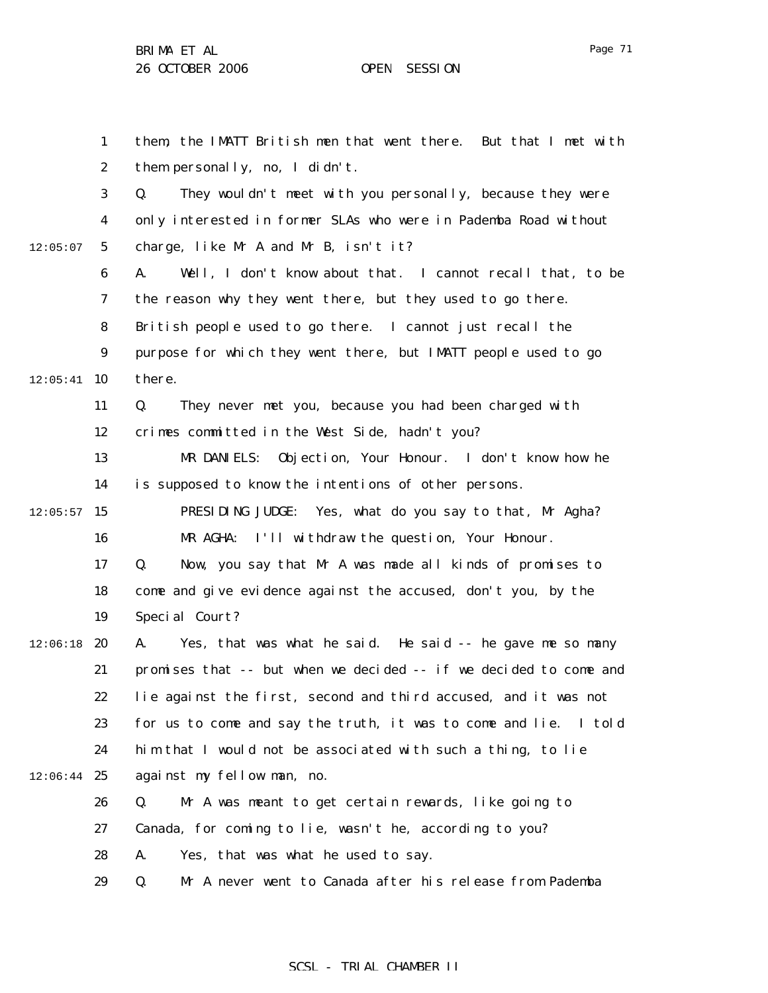Page 71

|          | $\mathbf{1}$     | them, the IMATT British men that went there. But that I met with  |
|----------|------------------|-------------------------------------------------------------------|
|          | $\boldsymbol{2}$ | them personally, no, I didn't.                                    |
|          | 3                | They wouldn't meet with you personally, because they were<br>Q.   |
|          | $\boldsymbol{4}$ | only interested in former SLAs who were in Pademba Road without   |
| 12:05:07 | $5\overline{ }$  | charge, like Mr A and Mr B, isn't it?                             |
|          | 6                | Well, I don't know about that. I cannot recall that, to be<br>A.  |
|          | 7                | the reason why they went there, but they used to go there.        |
|          | 8                | British people used to go there. I cannot just recall the         |
|          | $\boldsymbol{9}$ | purpose for which they went there, but IMATT people used to go    |
| 12:05:41 | 10               | there.                                                            |
|          | 11               | They never met you, because you had been charged with<br>Q.       |
|          | 12               | crimes committed in the West Side, hadn't you?                    |
|          | 13               | Objection, Your Honour. I don't know how he<br>MR DANIELS:        |
|          | 14               | is supposed to know the intentions of other persons.              |
| 12:05:57 | 15               | PRESIDING JUDGE: Yes, what do you say to that, Mr Agha?           |
|          | 16               | MR AGHA: I'll withdraw the question, Your Honour.                 |
|          | 17               | Now, you say that Mr A was made all kinds of promises to<br>Q.    |
|          | 18               | come and give evidence against the accused, don't you, by the     |
|          | 19               | Special Court?                                                    |
| 12:06:18 | 20               | Yes, that was what he said. He said -- he gave me so many<br>A.   |
|          | 21               | promises that -- but when we decided -- if we decided to come and |
|          | 22               | lie against the first, second and third accused, and it was not   |
|          | 23               | for us to come and say the truth, it was to come and lie. I told  |
|          | 24               | him that I would not be associated with such a thing, to lie      |
| 12:06:44 | 25               | against my fellow man, no.                                        |
|          | 26               | Mr A was meant to get certain rewards, like going to<br>Q.        |
|          | 27               | Canada, for coming to lie, wasn't he, according to you?           |
|          | 28               | A.<br>Yes, that was what he used to say.                          |
|          | 29               | Q.<br>Mr A never went to Canada after his release from Pademba    |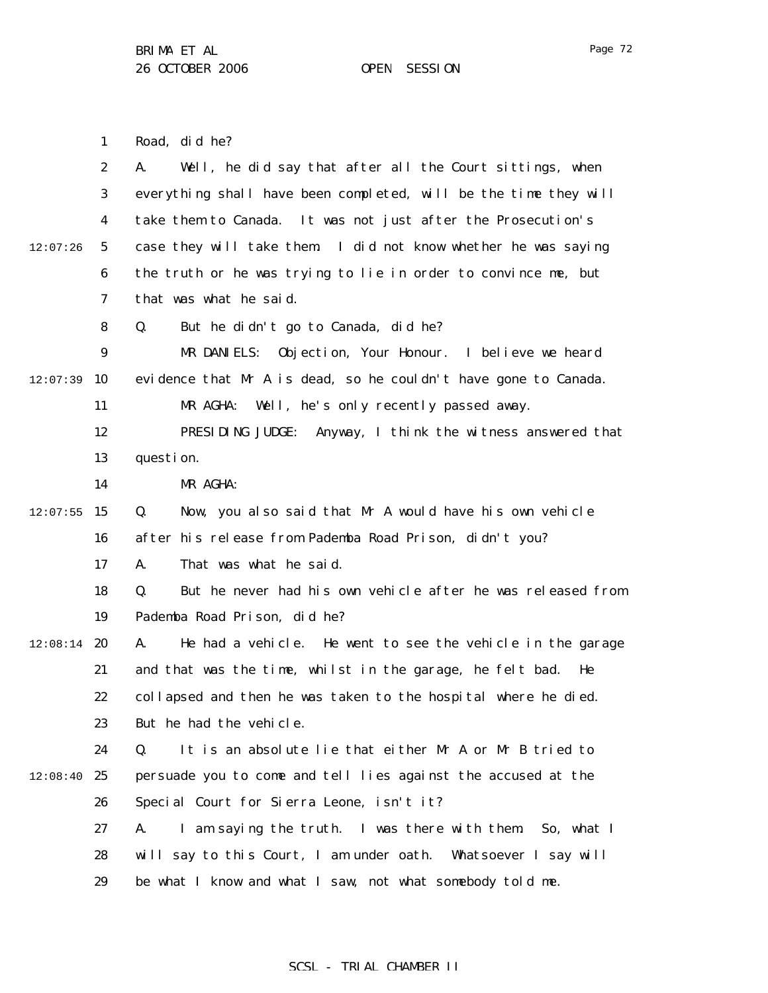1 2 3 4 5 6 7 8 9  $12:07:39$  10 11 12 13 14  $12:07:55$  15 16 17 18 19  $12:08:14$  20 21 22 23 24  $12:08:40$  25 26 27 28 29 12:07:26 Road, did he? A. Well, he did say that after all the Court sittings, when everything shall have been completed, will be the time they will take them to Canada. It was not just after the Prosecution's case they will take them. I did not know whether he was saying the truth or he was trying to lie in order to convince me, but that was what he said. Q. But he didn't go to Canada, did he? MR DANIELS: Objection, Your Honour. I believe we heard evidence that Mr A is dead, so he couldn't have gone to Canada. MR AGHA: Well, he's only recently passed away. PRESIDING JUDGE: Anyway, I think the witness answered that question. MR AGHA: Q. Now, you also said that Mr A would have his own vehicle after his release from Pademba Road Prison, didn't you? A. That was what he said. Q. But he never had his own vehicle after he was released from Pademba Road Prison, did he? A. He had a vehicle. He went to see the vehicle in the garage and that was the time, whilst in the garage, he felt bad. He collapsed and then he was taken to the hospital where he died. But he had the vehicle. Q. It is an absolute lie that either Mr A or Mr B tried to persuade you to come and tell lies against the accused at the Special Court for Sierra Leone, isn't it? A. I am saying the truth. I was there with them. So, what I will say to this Court, I am under oath. Whatsoever I say will be what I know and what I saw, not what somebody told me.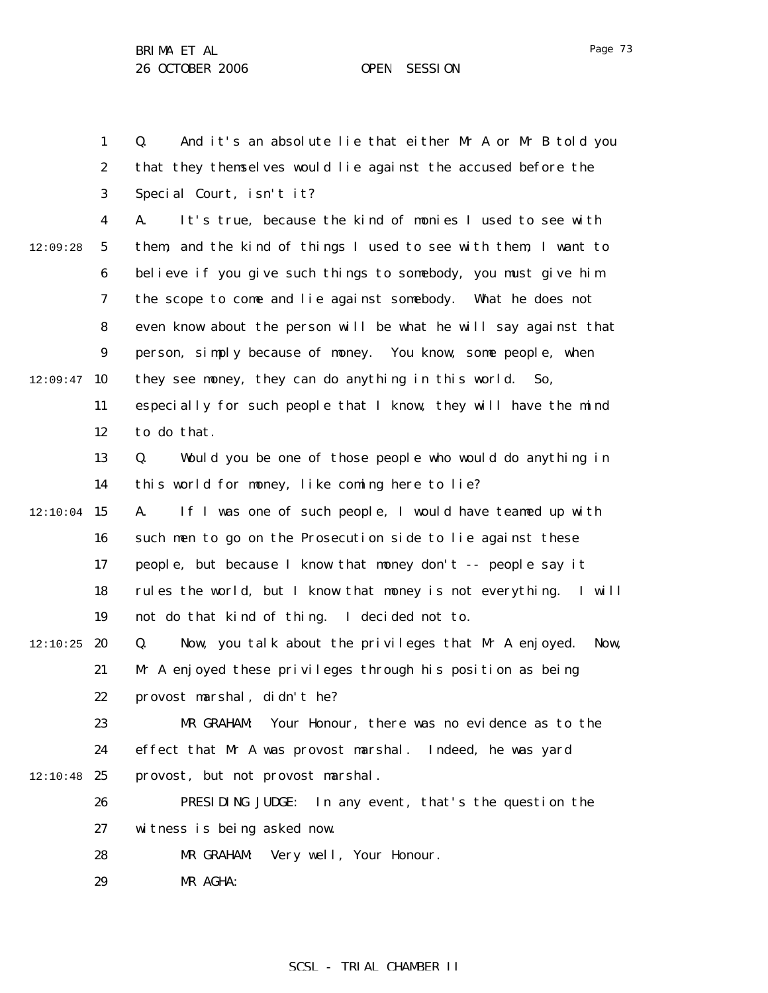Page 73

1 2 3 4 5 6 7 8 9  $12:09:47$  10 11 12 13 14  $12:10:04$  15 16 17 18 19  $12:10:25$  20 21 22 23 24  $12:10:48$  25 26 27 28 29 12:09:28 Q. And it's an absolute lie that either Mr A or Mr B told you that they themselves would lie against the accused before the Special Court, isn't it? A. It's true, because the kind of monies I used to see with them, and the kind of things I used to see with them, I want to believe if you give such things to somebody, you must give him the scope to come and lie against somebody. What he does not even know about the person will be what he will say against that person, simply because of money. You know, some people, when they see money, they can do anything in this world. So, especially for such people that I know, they will have the mind to do that. Q. Would you be one of those people who would do anything in this world for money, like coming here to lie? A. If I was one of such people, I would have teamed up with such men to go on the Prosecution side to lie against these people, but because I know that money don't -- people say it rules the world, but I know that money is not everything. I will not do that kind of thing. I decided not to. Q. Now, you talk about the privileges that Mr A enjoyed. Now, Mr A enjoyed these privileges through his position as being provost marshal, didn't he? MR GRAHAM: Your Honour, there was no evidence as to the effect that Mr A was provost marshal. Indeed, he was yard provost, but not provost marshal. PRESIDING JUDGE: In any event, that's the question the witness is being asked now. MR GRAHAM: Very well, Your Honour. MR AGHA: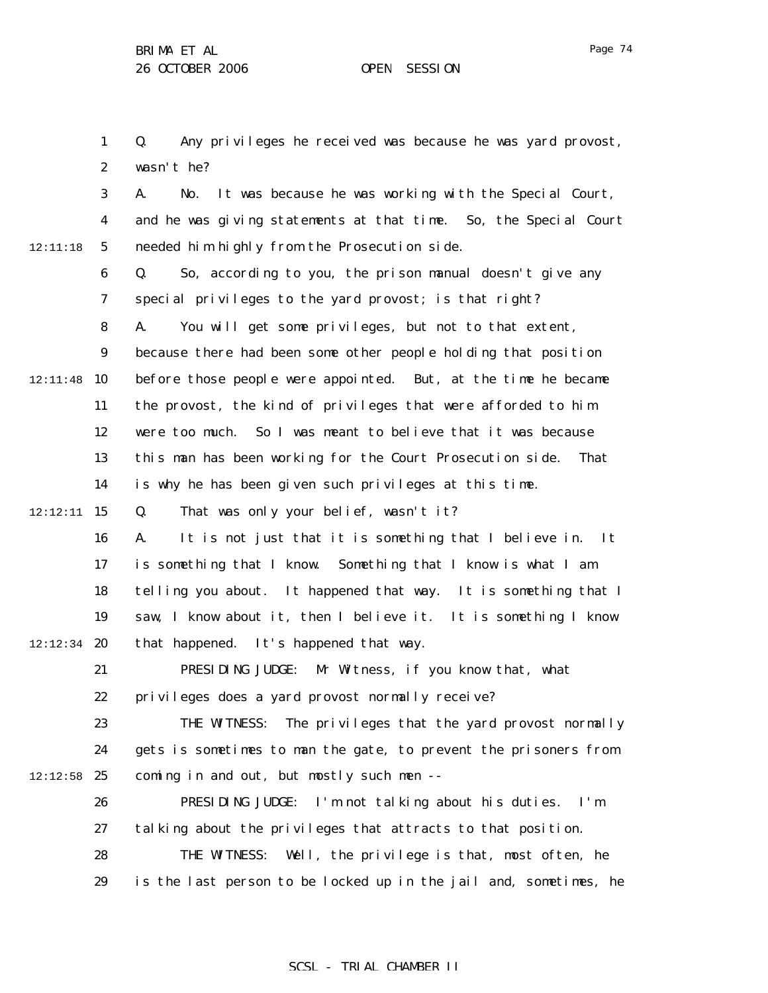1

Q. Any privileges he received was because he was yard provost,

Page 74

2 3 4 5 6 7 8 9 12:11:48 10 11 12 13 14 12:12:11 **15** 16 17 18 19  $12:12:34$  20 21 22 23 24  $12:12:58$  25 26 27 28 29 12:11:18 wasn't he? A. No. It was because he was working with the Special Court, and he was giving statements at that time. So, the Special Court needed him highly from the Prosecution side. Q. So, according to you, the prison manual doesn't give any special privileges to the yard provost; is that right? A. You will get some privileges, but not to that extent, because there had been some other people holding that position before those people were appointed. But, at the time he became the provost, the kind of privileges that were afforded to him were too much. So I was meant to believe that it was because this man has been working for the Court Prosecution side. That is why he has been given such privileges at this time. Q. That was only your belief, wasn't it? A. It is not just that it is something that I believe in. It is something that I know. Something that I know is what I am telling you about. It happened that way. It is something that I saw, I know about it, then I believe it. It is something I know that happened. It's happened that way. PRESIDING JUDGE: Mr Witness, if you know that, what privileges does a yard provost normally receive? THE WITNESS: The privileges that the yard provost normally gets is sometimes to man the gate, to prevent the prisoners from coming in and out, but mostly such men -- PRESIDING JUDGE: I'm not talking about his duties. I'm talking about the privileges that attracts to that position. THE WITNESS: Well, the privilege is that, most often, he is the last person to be locked up in the jail and, sometimes, he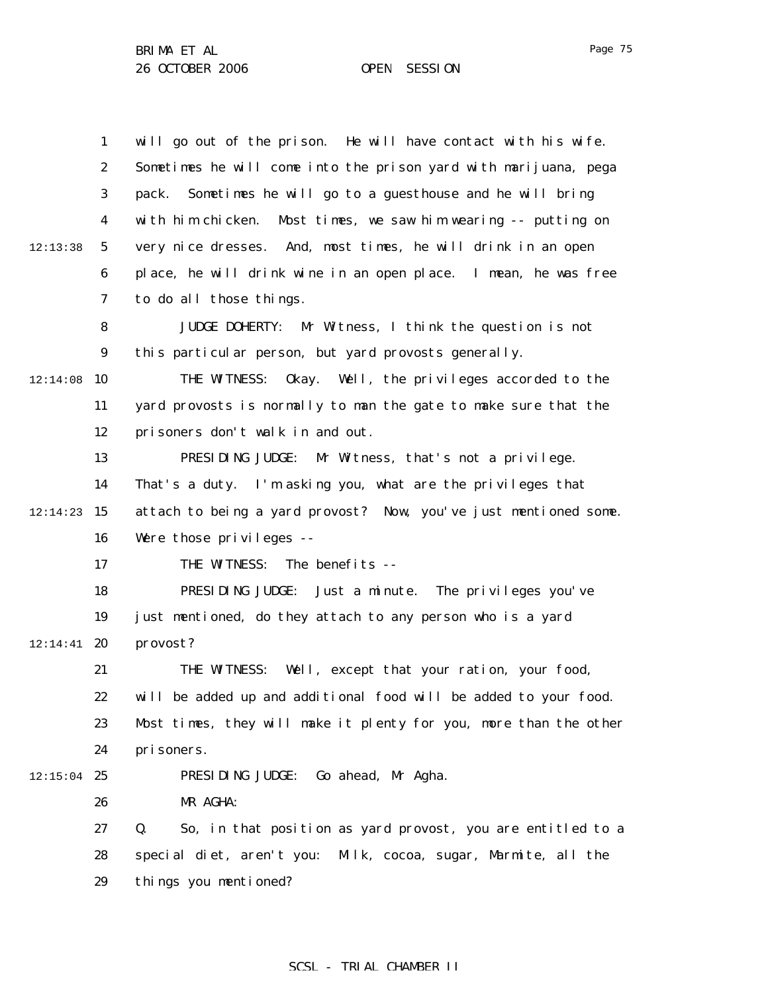1 2 3 4 5 6 7 8 9  $12:14:08$  10 11 12 13 14  $12:14:23$  15 16 17 18 19  $12:14:41$  20 21 22 23 24  $12:15:04$  25 26 27 28 29 12:13:38 will go out of the prison. He will have contact with his wife. Sometimes he will come into the prison yard with marijuana, pega pack. Sometimes he will go to a guesthouse and he will bring with him chicken. Most times, we saw him wearing -- putting on very nice dresses. And, most times, he will drink in an open place, he will drink wine in an open place. I mean, he was free to do all those things. JUDGE DOHERTY: Mr Witness, I think the question is not this particular person, but yard provosts generally. THE WITNESS: Okay. Well, the privileges accorded to the yard provosts is normally to man the gate to make sure that the prisoners don't walk in and out. PRESIDING JUDGE: Mr Witness, that's not a privilege. That's a duty. I'm asking you, what are the privileges that attach to being a yard provost? Now, you've just mentioned some. Were those privileges -- THE WITNESS: The benefits -- PRESIDING JUDGE: Just a minute. The privileges you've just mentioned, do they attach to any person who is a yard provost? THE WITNESS: Well, except that your ration, your food, will be added up and additional food will be added to your food. Most times, they will make it plenty for you, more than the other prisoners. PRESIDING JUDGE: Go ahead, Mr Agha. MR AGHA: Q. So, in that position as yard provost, you are entitled to a special diet, aren't you: Milk, cocoa, sugar, Marmite, all the things you mentioned?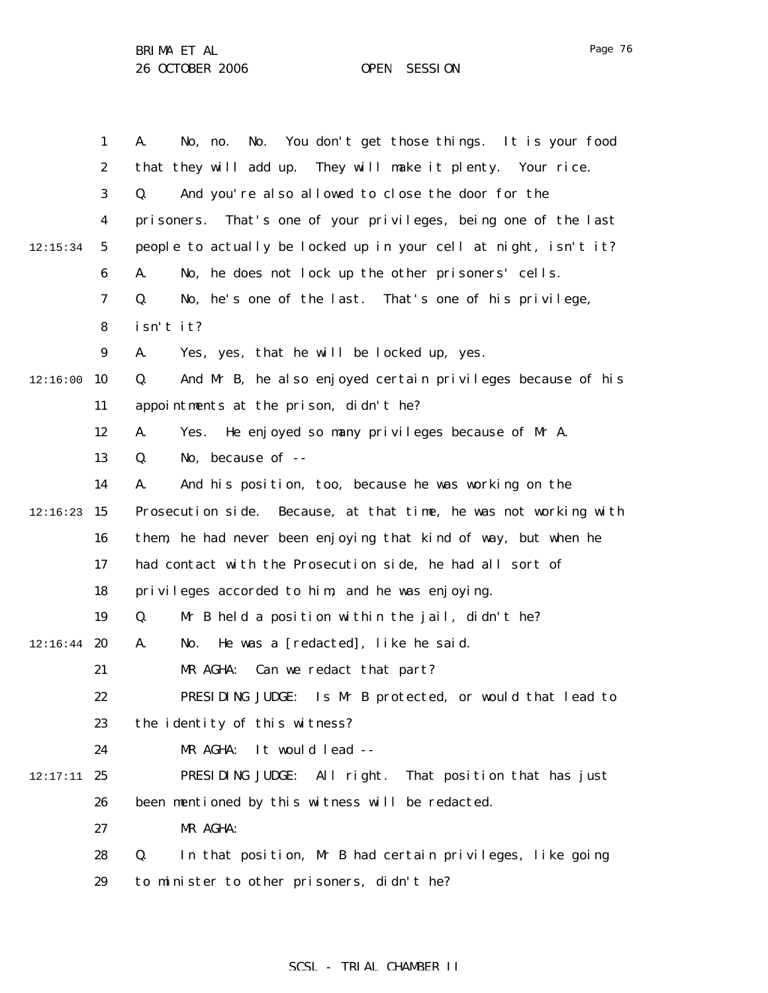Page 76

|          | $\mathbf{1}$     | You don't get those things. It is your food<br>A.<br>No.<br>No, no. |
|----------|------------------|---------------------------------------------------------------------|
|          | $\boldsymbol{2}$ | that they will add up. They will make it plenty. Your rice.         |
|          | 3                | And you're also allowed to close the door for the<br>Q.             |
|          | 4                | That's one of your privileges, being one of the last<br>pri soners. |
| 12:15:34 | $\mathbf{5}$     | people to actually be locked up in your cell at night, isn't it?    |
|          | $\boldsymbol{6}$ | No, he does not lock up the other prisoners' cells.<br>A.           |
|          | 7                | No, he's one of the last. That's one of his privilege,<br>Q.        |
|          | 8                | isn't it?                                                           |
|          | 9                | Yes, yes, that he will be locked up, yes.<br>A.                     |
| 12:16:00 | 10               | And Mr B, he also enjoyed certain privileges because of his<br>Q.   |
|          | 11               | appointments at the prison, didn't he?                              |
|          | 12               | He enjoyed so many privileges because of Mr A.<br>A.<br>Yes.        |
|          | 13               | No, because of --<br>Q.                                             |
|          | 14               | And his position, too, because he was working on the<br>A.          |
| 12:16:23 | 15               | Prosecution side. Because, at that time, he was not working with    |
|          | 16               | them, he had never been enjoying that kind of way, but when he      |
|          | 17               | had contact with the Prosecution side, he had all sort of           |
|          | 18               | privileges accorded to him, and he was enjoying.                    |
|          | 19               | Mr B held a position within the jail, didn't he?<br>Q.              |
| 12:16:44 | 20               | He was a [redacted], like he said.<br>A.<br>No.                     |
|          | 21               | MR AGHA:<br>Can we redact that part?                                |
|          | 22               | PRESIDING JUDGE: Is Mr B protected, or would that lead to           |
|          | 23               | the identity of this witness?                                       |
|          | 24               | It would lead --<br>MR AGHA:                                        |
| 12:17:11 | 25               | PRESIDING JUDGE: All right. That position that has just             |
|          | 26               | been mentioned by this witness will be redacted.                    |
|          | 27               | MR AGHA:                                                            |
|          | 28               | Q.<br>In that position, Mr B had certain privileges, like going     |
|          | 29               | to minister to other prisoners, didn't he?                          |
|          |                  |                                                                     |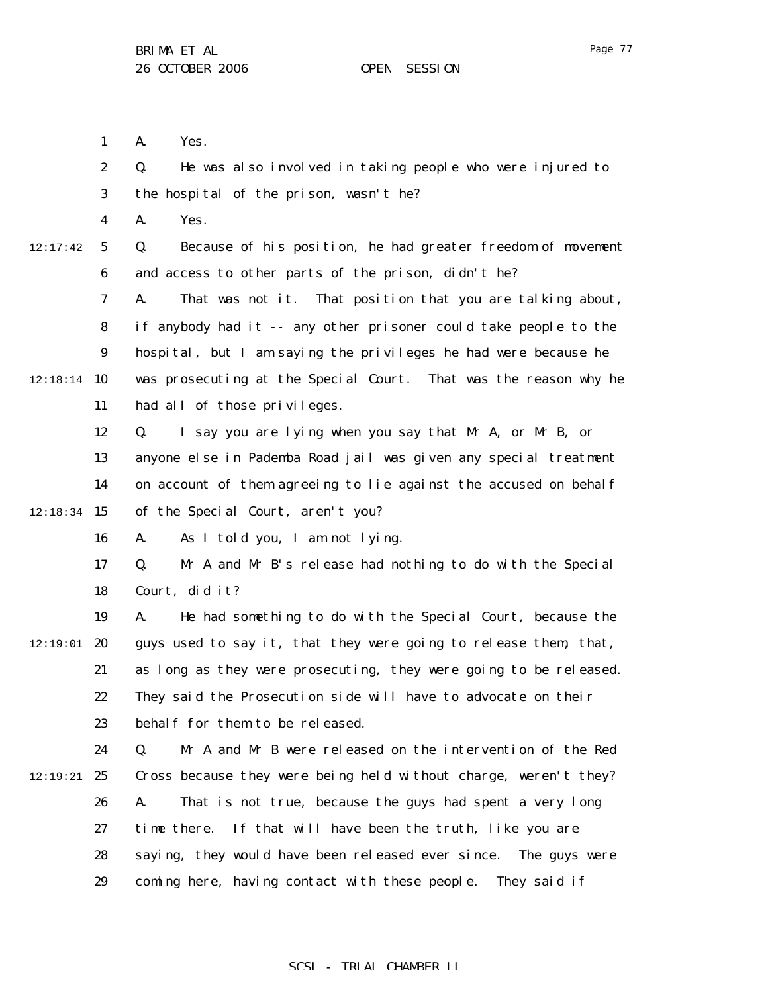1 A. Yes.

2 3 4 5 6 7 8 9 12:18:14 10 11 12 13 14  $12:18:34$  15 16 17 18 19  $12:19:01$  20 21 22 23 24 12:19:21 **25** 26 27 28 29 12:17:42 Q. He was also involved in taking people who were injured to the hospital of the prison, wasn't he? A. Yes. Q. Because of his position, he had greater freedom of movement and access to other parts of the prison, didn't he? A. That was not it. That position that you are talking about, if anybody had it -- any other prisoner could take people to the hospital, but I am saying the privileges he had were because he was prosecuting at the Special Court. That was the reason why he had all of those privileges. Q. I say you are lying when you say that Mr A, or Mr B, or anyone else in Pademba Road jail was given any special treatment on account of them agreeing to lie against the accused on behalf of the Special Court, aren't you? A. As I told you, I am not lying. Q. Mr A and Mr B's release had nothing to do with the Special Court, did it? A. He had something to do with the Special Court, because the guys used to say it, that they were going to release them, that, as long as they were prosecuting, they were going to be released. They said the Prosecution side will have to advocate on their behalf for them to be released. Q. Mr A and Mr B were released on the intervention of the Red Cross because they were being held without charge, weren't they? A. That is not true, because the guys had spent a very long time there. If that will have been the truth, like you are saying, they would have been released ever since. The guys were coming here, having contact with these people. They said if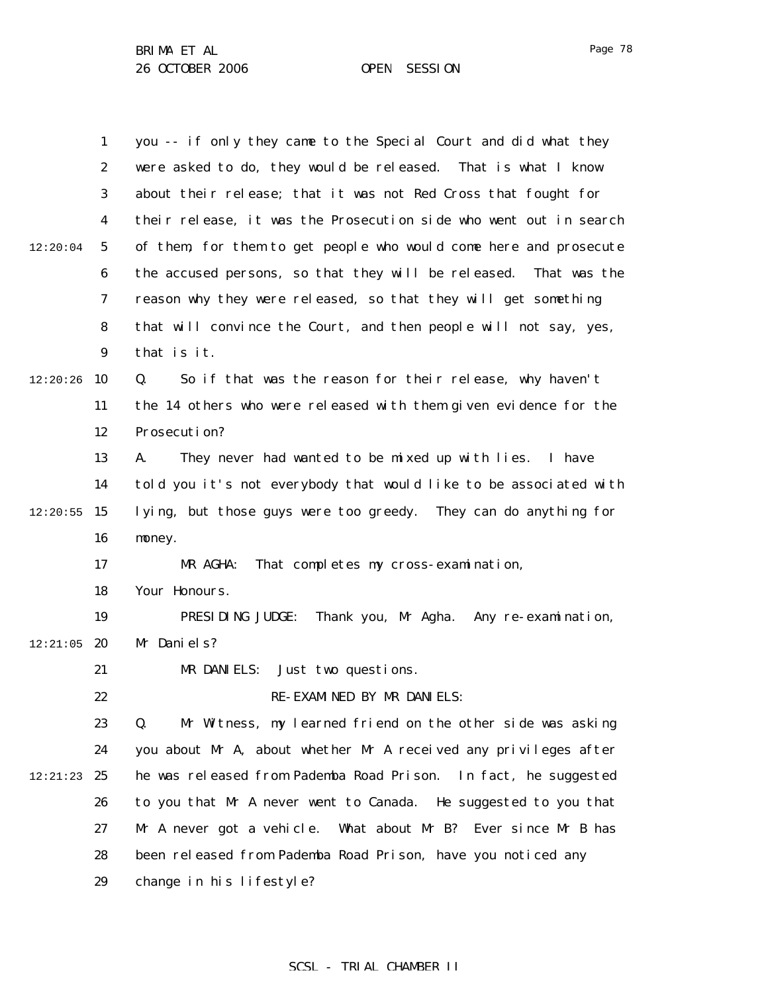|          | $\mathbf{1}$     | you -- if only they came to the Special Court and did what they   |
|----------|------------------|-------------------------------------------------------------------|
|          | $\boldsymbol{2}$ | were asked to do, they would be released. That is what I know     |
|          | 3                | about their release; that it was not Red Cross that fought for    |
|          | $\boldsymbol{4}$ | their release, it was the Prosecution side who went out in search |
| 12:20:04 | 5                | of them, for them to get people who would come here and prosecute |
|          | 6                | the accused persons, so that they will be released. That was the  |
|          | 7                | reason why they were released, so that they will get something    |
|          | 8                | that will convince the Court, and then people will not say, yes,  |
|          | $\boldsymbol{9}$ | that is it.                                                       |
| 12:20:26 | 10               | So if that was the reason for their release, why haven't<br>Q.    |
|          | 11               | the 14 others who were released with them given evidence for the  |
|          | 12               | Prosecution?                                                      |
|          | 13               | They never had wanted to be mixed up with lies. I have<br>A.      |
|          | 14               | told you it's not everybody that would like to be associated with |
| 12:20:55 | 15               | lying, but those guys were too greedy. They can do anything for   |
|          | 16               | money.                                                            |
|          | 17               | That completes my cross-examination,<br>MR AGHA:                  |
|          | 18               | Your Honours.                                                     |
|          | 19               | PRESIDING JUDGE:<br>Thank you, Mr Agha. Any re-examination,       |
| 12:21:05 | 20               | Mr Daniels?                                                       |
|          | 21               | MR DANIELS:<br>Just two questions.                                |
|          | 22               | RE-EXAMINED BY MR DANIELS:                                        |
|          | 23               | Mr Witness, my learned friend on the other side was asking<br>Q.  |
|          | 24               | you about Mr A, about whether Mr A received any privileges after  |
| 12:21:23 | 25               | he was released from Pademba Road Prison. In fact, he suggested   |
|          | 26               | to you that Mr A never went to Canada. He suggested to you that   |
|          | 27               | What about Mr B? Ever since Mr B has<br>Mr A never got a vehicle. |
|          | 28               | been released from Pademba Road Prison, have you noticed any      |
|          | 29               | change in his lifestyle?                                          |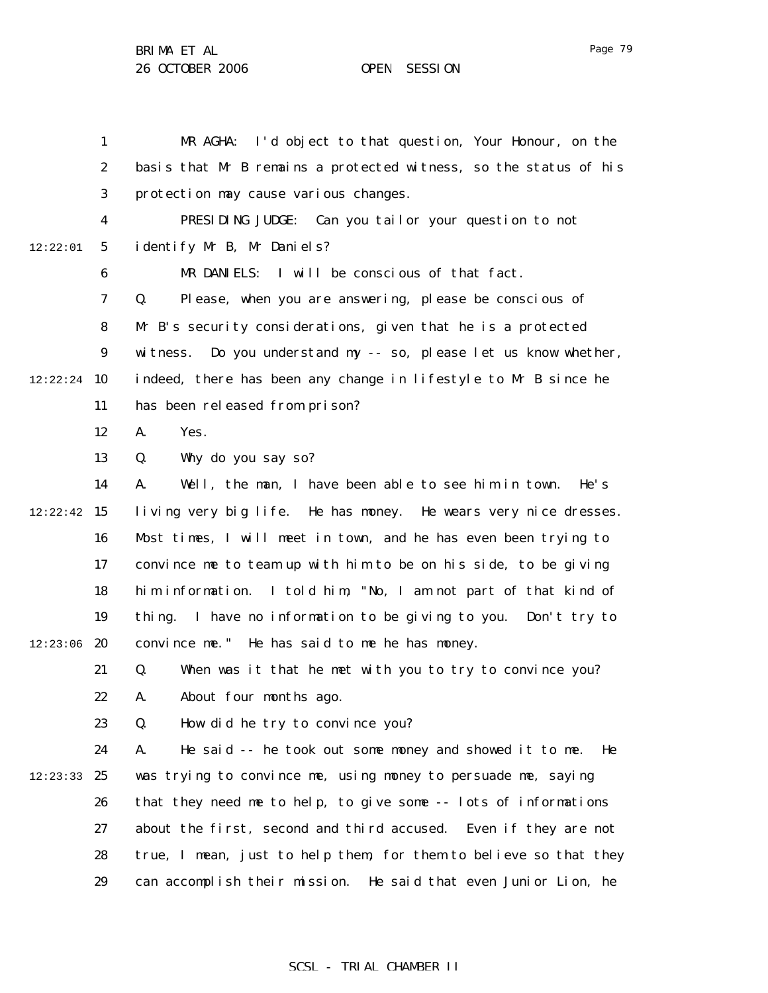Page 79

1 2 3 4 5 6 7 8 9  $12:22:24$  10 11 12 13 14  $12:22:42$  15 16 17 18 19  $12:23:06$  20 21 22 23 24 12:23:33 25 26 27 28 29 12:22:01 MR AGHA: I'd object to that question, Your Honour, on the basis that Mr B remains a protected witness, so the status of his protection may cause various changes. PRESIDING JUDGE: Can you tailor your question to not identify Mr B, Mr Daniels? MR DANIELS: I will be conscious of that fact. Q. Please, when you are answering, please be conscious of Mr B's security considerations, given that he is a protected witness. Do you understand my -- so, please let us know whether, indeed, there has been any change in lifestyle to Mr B since he has been released from prison? A. Yes. Q. Why do you say so? A. Well, the man, I have been able to see him in town. He's living very big life. He has money. He wears very nice dresses. Most times, I will meet in town, and he has even been trying to convince me to team up with him to be on his side, to be giving him information. I told him, "No, I am not part of that kind of thing. I have no information to be giving to you. Don't try to convince me." He has said to me he has money. Q. When was it that he met with you to try to convince you? A. About four months ago. Q. How did he try to convince you? A. He said -- he took out some money and showed it to me. He was trying to convince me, using money to persuade me, saying that they need me to help, to give some -- lots of informations about the first, second and third accused. Even if they are not true, I mean, just to help them, for them to believe so that they can accomplish their mission. He said that even Junior Lion, he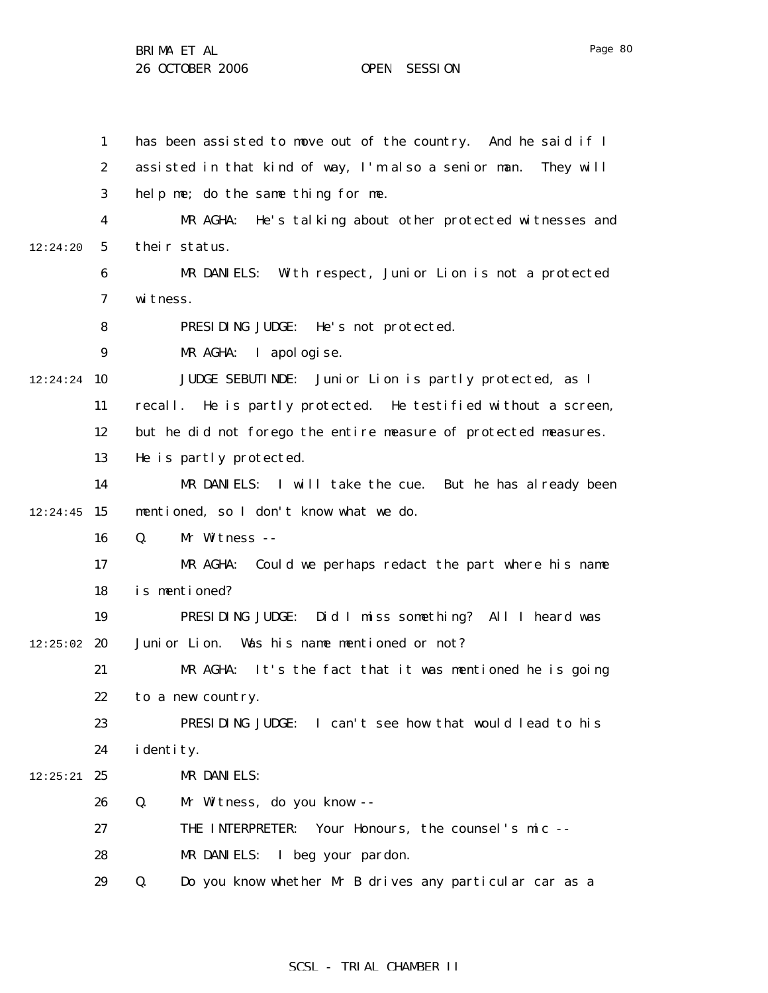1 2 3 4 5 6 7 8 9 12:24:24 10 11 12 13 14  $12:24:45$  15 16 17 18 19  $12:25:02$  20 21 22 23 24  $12:25:21$  25 26 27 28 29 12:24:20 has been assisted to move out of the country. And he said if I assisted in that kind of way, I'm also a senior man. They will help me; do the same thing for me. MR AGHA: He's talking about other protected witnesses and their status. MR DANIELS: With respect, Junior Lion is not a protected witness. PRESIDING JUDGE: He's not protected. MR AGHA: I apologise. JUDGE SEBUTINDE: Junior Lion is partly protected, as I recall. He is partly protected. He testified without a screen, but he did not forego the entire measure of protected measures. He is partly protected. MR DANIELS: I will take the cue. But he has already been mentioned, so I don't know what we do. Q. Mr Witness -- MR AGHA: Could we perhaps redact the part where his name is mentioned? PRESIDING JUDGE: Did I miss something? All I heard was Junior Lion. Was his name mentioned or not? MR AGHA: It's the fact that it was mentioned he is going to a new country. PRESIDING JUDGE: I can't see how that would lead to his i dentity. MR DANIELS: Q. Mr Witness, do you know -- THE INTERPRETER: Your Honours, the counsel's mic -- MR DANIELS: I beg your pardon. Q. Do you know whether Mr B drives any particular car as a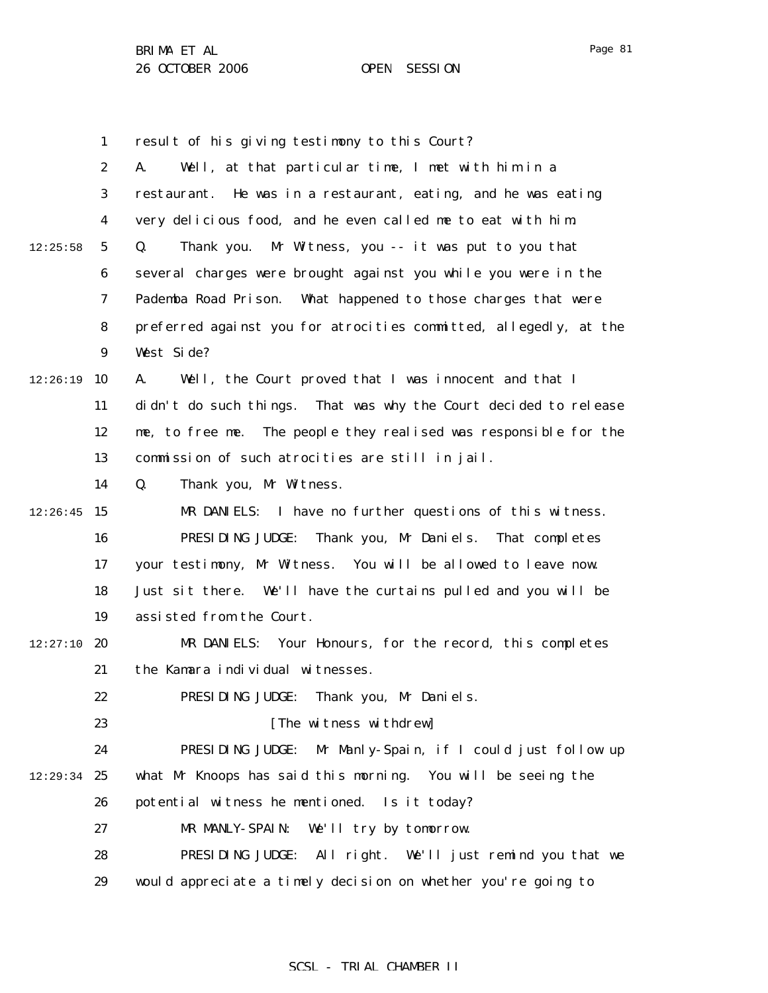1

22

2 3 4 5 6 7 8 9  $12:26:19$  10 11 12 13 12:25:58 A. Well, at that particular time, I met with him in a restaurant. He was in a restaurant, eating, and he was eating very delicious food, and he even called me to eat with him. Q. Thank you. Mr Witness, you -- it was put to you that several charges were brought against you while you were in the Pademba Road Prison. What happened to those charges that were preferred against you for atrocities committed, allegedly, at the West Side? A. Well, the Court proved that I was innocent and that I didn't do such things. That was why the Court decided to release me, to free me. The people they realised was responsible for the commission of such atrocities are still in jail.

result of his giving testimony to this Court?

14 Q. Thank you, Mr Witness.

 $12:26:45$  15 16 17 18 19 MR DANIELS: I have no further questions of this witness. PRESIDING JUDGE: Thank you, Mr Daniels. That completes your testimony, Mr Witness. You will be allowed to leave now. Just sit there. We'll have the curtains pulled and you will be assisted from the Court.

 $12:27:10$  20 21 MR DANIELS: Your Honours, for the record, this completes the Kamara individual witnesses.

PRESIDING JUDGE: Thank you, Mr Daniels.

23 [The witness withdrew]

24 12:29:34 25 26 27 PRESIDING JUDGE: Mr Manly-Spain, if I could just follow up what Mr Knoops has said this morning. You will be seeing the potential witness he mentioned. Is it today? MR MANLY-SPAIN: We'll try by tomorrow.

28 29 PRESIDING JUDGE: All right. We'll just remind you that we would appreciate a timely decision on whether you're going to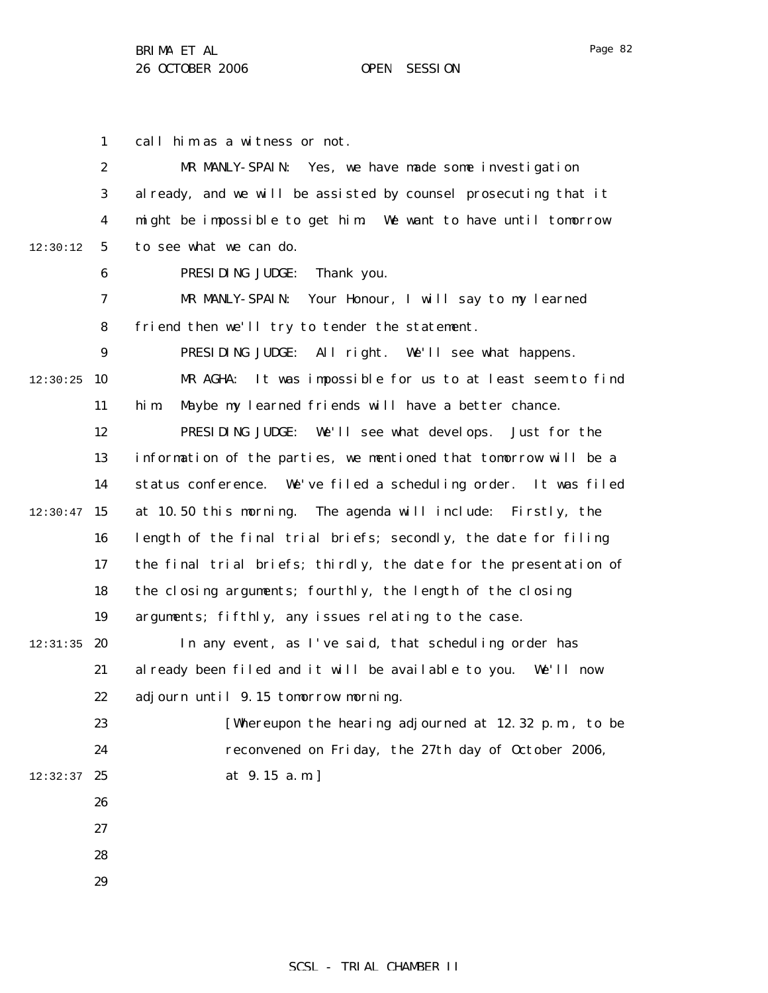1 2 3 4 5 6 7 8 9  $12:30:25$  10 11 12 13 14  $12:30:47$  15 16 17 18 19  $12:31:35$  20 21 22 23 24  $12:32:37$  25 26 27 28 29 12:30:12 call him as a witness or not. MR MANLY-SPAIN: Yes, we have made some investigation already, and we will be assisted by counsel prosecuting that it might be impossible to get him. We want to have until tomorrow to see what we can do. PRESIDING JUDGE: Thank you. MR MANLY-SPAIN: Your Honour, I will say to my learned friend then we'll try to tender the statement. PRESIDING JUDGE: All right. We'll see what happens. MR AGHA: It was impossible for us to at least seem to find him. Maybe my learned friends will have a better chance. PRESIDING JUDGE: We'll see what develops. Just for the information of the parties, we mentioned that tomorrow will be a status conference. We've filed a scheduling order. It was filed at 10.50 this morning. The agenda will include: Firstly, the length of the final trial briefs; secondly, the date for filing the final trial briefs; thirdly, the date for the presentation of the closing arguments; fourthly, the length of the closing arguments; fifthly, any issues relating to the case. In any event, as I've said, that scheduling order has already been filed and it will be available to you. We'll now adjourn until 9.15 tomorrow morning. [Whereupon the hearing adjourned at 12.32 p.m., to be reconvened on Friday, the 27th day of October 2006, at 9.15 a.m.]